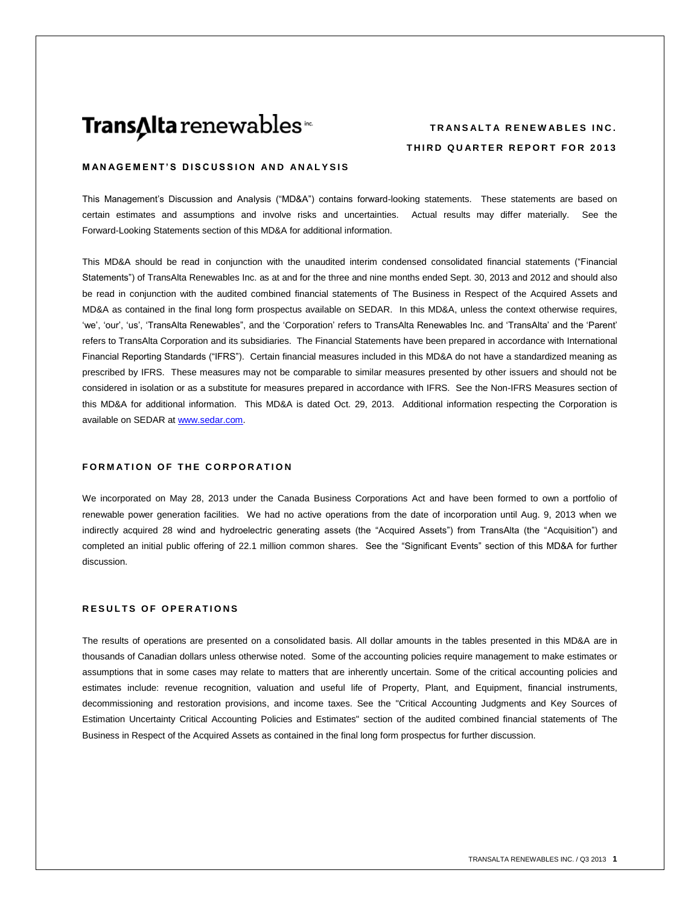## Trans∆Ita renewables<sup>®</sup>

## **TRANSALTA RENEWABLES INC. THIRD QUARTER REPORT FOR 2013**

#### **MANAGEMENT'S DISCUSSION AND ANALYSIS**

This Management's Discussion and Analysis ("MD&A") contains forward-looking statements. These statements are based on certain estimates and assumptions and involve risks and uncertainties. Actual results may differ materially. See the Forward-Looking Statements section of this MD&A for additional information.

This MD&A should be read in conjunction with the unaudited interim condensed consolidated financial statements ("Financial Statements") of TransAlta Renewables Inc. as at and for the three and nine months ended Sept. 30, 2013 and 2012 and should also be read in conjunction with the audited combined financial statements of The Business in Respect of the Acquired Assets and MD&A as contained in the final long form prospectus available on SEDAR. In this MD&A, unless the context otherwise requires, 'we', 'our', 'us', 'TransAlta Renewables", and the 'Corporation' refers to TransAlta Renewables Inc. and 'TransAlta' and the 'Parent' refers to TransAlta Corporation and its subsidiaries. The Financial Statements have been prepared in accordance with International Financial Reporting Standards ("IFRS"). Certain financial measures included in this MD&A do not have a standardized meaning as prescribed by IFRS. These measures may not be comparable to similar measures presented by other issuers and should not be considered in isolation or as a substitute for measures prepared in accordance with IFRS. See the Non-IFRS Measures section of this MD&A for additional information. This MD&A is dated Oct. 29, 2013. Additional information respecting the Corporation is available on SEDAR at www.sedar.com.

#### **FORMATION OF THE CORPORATION**

We incorporated on May 28, 2013 under the Canada Business Corporations Act and have been formed to own a portfolio of renewable power generation facilities. We had no active operations from the date of incorporation until Aug. 9, 2013 when we indirectly acquired 28 wind and hydroelectric generating assets (the "Acquired Assets") from TransAlta (the "Acquisition") and completed an initial public offering of 22.1 million common shares. See the "Significant Events" section of this MD&A for further discussion.

#### **RESULTS OF OPERATIONS**

The results of operations are presented on a consolidated basis. All dollar amounts in the tables presented in this MD&A are in thousands of Canadian dollars unless otherwise noted. Some of the accounting policies require management to make estimates or assumptions that in some cases may relate to matters that are inherently uncertain. Some of the critical accounting policies and estimates include: revenue recognition, valuation and useful life of Property, Plant, and Equipment, financial instruments, decommissioning and restoration provisions, and income taxes. See the "Critical Accounting Judgments and Key Sources of Estimation Uncertainty Critical Accounting Policies and Estimates" section of the audited combined financial statements of The Business in Respect of the Acquired Assets as contained in the final long form prospectus for further discussion.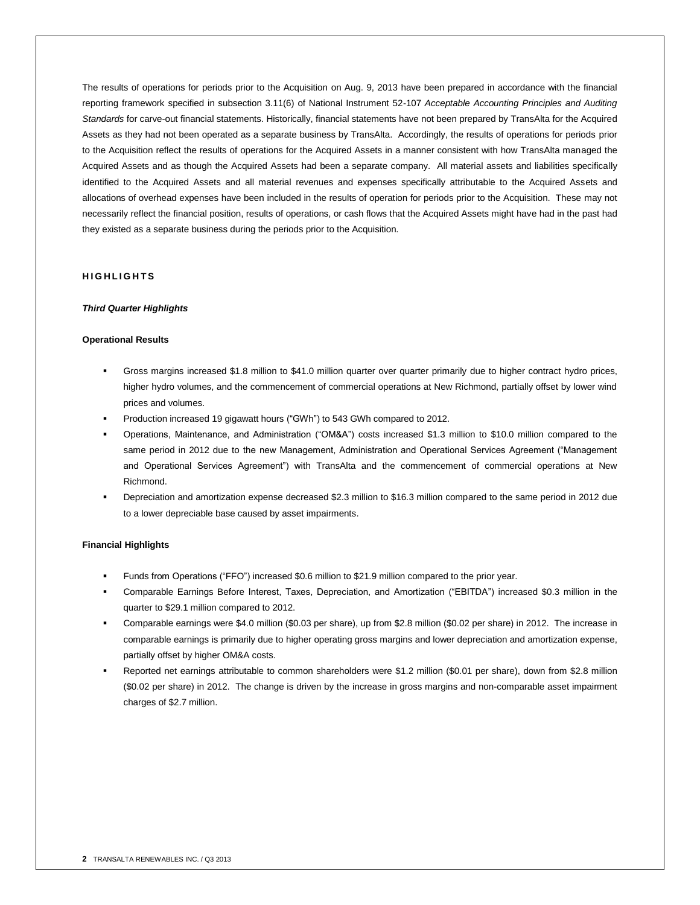The results of operations for periods prior to the Acquisition on Aug. 9, 2013 have been prepared in accordance with the financial reporting framework specified in subsection 3.11(6) of National Instrument 52-107 *Acceptable Accounting Principles and Auditing Standards* for carve-out financial statements. Historically, financial statements have not been prepared by TransAlta for the Acquired Assets as they had not been operated as a separate business by TransAlta. Accordingly, the results of operations for periods prior to the Acquisition reflect the results of operations for the Acquired Assets in a manner consistent with how TransAlta managed the Acquired Assets and as though the Acquired Assets had been a separate company. All material assets and liabilities specifically identified to the Acquired Assets and all material revenues and expenses specifically attributable to the Acquired Assets and allocations of overhead expenses have been included in the results of operation for periods prior to the Acquisition. These may not necessarily reflect the financial position, results of operations, or cash flows that the Acquired Assets might have had in the past had they existed as a separate business during the periods prior to the Acquisition.

## **H I G H L I G H T S**

#### *Third Quarter Highlights*

#### **Operational Results**

- Gross margins increased \$1.8 million to \$41.0 million quarter over quarter primarily due to higher contract hydro prices, higher hydro volumes, and the commencement of commercial operations at New Richmond, partially offset by lower wind prices and volumes.
- Production increased 19 gigawatt hours ("GWh") to 543 GWh compared to 2012.
- Operations, Maintenance, and Administration ("OM&A") costs increased \$1.3 million to \$10.0 million compared to the same period in 2012 due to the new Management, Administration and Operational Services Agreement ("Management and Operational Services Agreement") with TransAlta and the commencement of commercial operations at New Richmond.
- Depreciation and amortization expense decreased \$2.3 million to \$16.3 million compared to the same period in 2012 due to a lower depreciable base caused by asset impairments.

#### **Financial Highlights**

- Funds from Operations ("FFO") increased \$0.6 million to \$21.9 million compared to the prior year.
- Comparable Earnings Before Interest, Taxes, Depreciation, and Amortization ("EBITDA") increased \$0.3 million in the quarter to \$29.1 million compared to 2012.
- Comparable earnings were \$4.0 million (\$0.03 per share), up from \$2.8 million (\$0.02 per share) in 2012. The increase in comparable earnings is primarily due to higher operating gross margins and lower depreciation and amortization expense, partially offset by higher OM&A costs.
- Reported net earnings attributable to common shareholders were \$1.2 million (\$0.01 per share), down from \$2.8 million (\$0.02 per share) in 2012. The change is driven by the increase in gross margins and non-comparable asset impairment charges of \$2.7 million.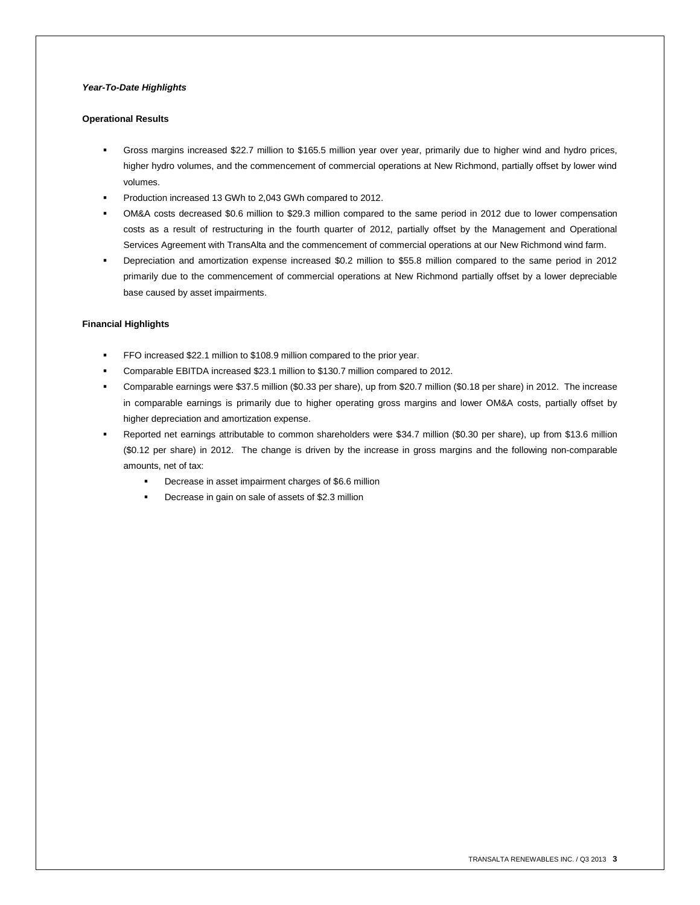### *Year-To-Date Highlights*

#### **Operational Results**

- Gross margins increased \$22.7 million to \$165.5 million year over year, primarily due to higher wind and hydro prices, higher hydro volumes, and the commencement of commercial operations at New Richmond, partially offset by lower wind volumes.
- Production increased 13 GWh to 2,043 GWh compared to 2012.
- OM&A costs decreased \$0.6 million to \$29.3 million compared to the same period in 2012 due to lower compensation costs as a result of restructuring in the fourth quarter of 2012, partially offset by the Management and Operational Services Agreement with TransAlta and the commencement of commercial operations at our New Richmond wind farm.
- Depreciation and amortization expense increased \$0.2 million to \$55.8 million compared to the same period in 2012 primarily due to the commencement of commercial operations at New Richmond partially offset by a lower depreciable base caused by asset impairments.

#### **Financial Highlights**

- FFO increased \$22.1 million to \$108.9 million compared to the prior year.
- Comparable EBITDA increased \$23.1 million to \$130.7 million compared to 2012.
- Comparable earnings were \$37.5 million (\$0.33 per share), up from \$20.7 million (\$0.18 per share) in 2012. The increase in comparable earnings is primarily due to higher operating gross margins and lower OM&A costs, partially offset by higher depreciation and amortization expense.
- Reported net earnings attributable to common shareholders were \$34.7 million (\$0.30 per share), up from \$13.6 million (\$0.12 per share) in 2012. The change is driven by the increase in gross margins and the following non-comparable amounts, net of tax:
	- **•** Decrease in asset impairment charges of \$6.6 million
	- **Decrease in gain on sale of assets of \$2.3 million**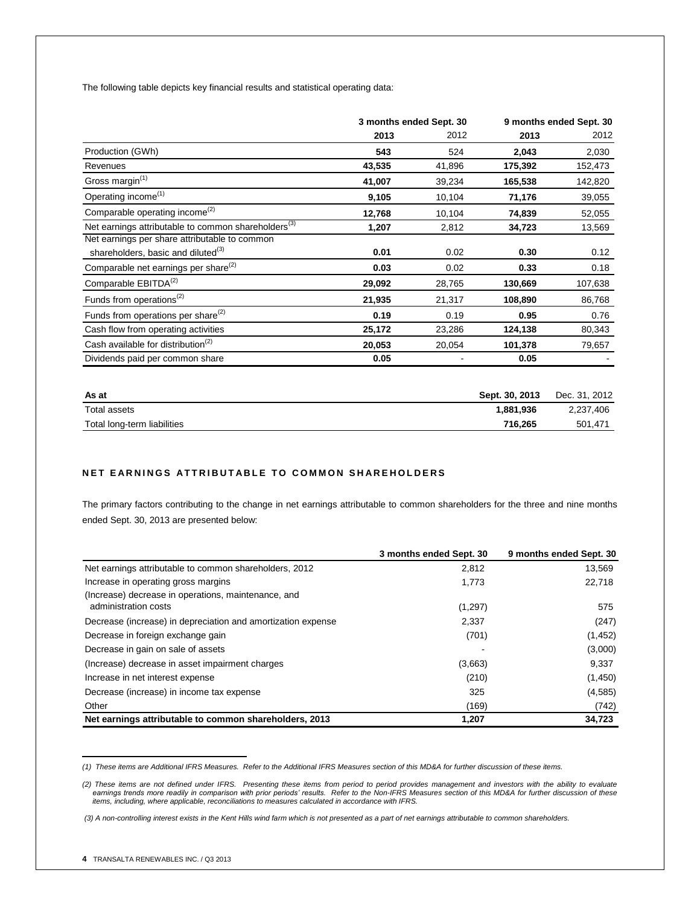The following table depicts key financial results and statistical operating data:<sup>1</sup>

|                                                                 | 3 months ended Sept. 30 |        |         | 9 months ended Sept. 30 |
|-----------------------------------------------------------------|-------------------------|--------|---------|-------------------------|
|                                                                 | 2013                    | 2012   | 2013    | 2012                    |
| Production (GWh)                                                | 543                     | 524    | 2,043   | 2,030                   |
| Revenues                                                        | 43,535                  | 41,896 | 175,392 | 152,473                 |
| Gross margin <sup>(1)</sup>                                     | 41,007                  | 39,234 | 165,538 | 142,820                 |
| Operating income <sup>(1)</sup>                                 | 9,105                   | 10,104 | 71,176  | 39,055                  |
| Comparable operating income <sup>(2)</sup>                      | 12,768                  | 10,104 | 74,839  | 52,055                  |
| Net earnings attributable to common shareholders <sup>(3)</sup> | 1,207                   | 2,812  | 34,723  | 13,569                  |
| Net earnings per share attributable to common                   |                         |        |         |                         |
| shareholders, basic and diluted <sup>(3)</sup>                  | 0.01                    | 0.02   | 0.30    | 0.12                    |
| Comparable net earnings per share <sup>(2)</sup>                | 0.03                    | 0.02   | 0.33    | 0.18                    |
| Comparable EBITDA <sup>(2)</sup>                                | 29,092                  | 28,765 | 130,669 | 107,638                 |
| Funds from operations <sup>(2)</sup>                            | 21,935                  | 21,317 | 108,890 | 86,768                  |
| Funds from operations per share <sup>(2)</sup>                  | 0.19                    | 0.19   | 0.95    | 0.76                    |
| Cash flow from operating activities                             | 25,172                  | 23,286 | 124,138 | 80,343                  |
| Cash available for distribution <sup>(2)</sup>                  | 20,053                  | 20,054 | 101,378 | 79,657                  |
| Dividends paid per common share                                 | 0.05                    |        | 0.05    |                         |

| As at                       | Sept. 30, 2013 | Dec. 31, 2012 |
|-----------------------------|----------------|---------------|
| Total assets                | 1.881.936      | 2,237,406     |
| Total long-term liabilities | 716.265        | 501.471       |

#### **NET EARNINGS ATTRIBUTABLE TO COMMON SHAREHOLDERS**

The primary factors contributing to the change in net earnings attributable to common shareholders for the three and nine months ended Sept. 30, 2013 are presented below:

|                                                              | 3 months ended Sept. 30 | 9 months ended Sept. 30 |
|--------------------------------------------------------------|-------------------------|-------------------------|
| Net earnings attributable to common shareholders, 2012       | 2,812                   | 13,569                  |
| Increase in operating gross margins                          | 1,773                   | 22,718                  |
| (Increase) decrease in operations, maintenance, and          |                         |                         |
| administration costs                                         | (1, 297)                | 575                     |
| Decrease (increase) in depreciation and amortization expense | 2,337                   | (247)                   |
| Decrease in foreign exchange gain                            | (701)                   | (1, 452)                |
| Decrease in gain on sale of assets                           |                         | (3,000)                 |
| (Increase) decrease in asset impairment charges              | (3,663)                 | 9,337                   |
| Increase in net interest expense                             | (210)                   | (1,450)                 |
| Decrease (increase) in income tax expense                    | 325                     | (4,585)                 |
| Other                                                        | (169)                   | (742)                   |
| Net earnings attributable to common shareholders, 2013       | 1,207                   | 34,723                  |

 *(1) These items are Additional IFRS Measures. Refer to the Additional IFRS Measures section of this MD&A for further discussion of these items.*

<sup>2)</sup> These items are not defined under IFRS. Presenting these items from period to period provides management and investors with the ability to evaluate)<br>earnings trends more readily in comparison with prior periods' results *items, including, where applicable, reconciliations to measures calculated in accordance with IFRS.* 

*<sup>(3)</sup> A non-controlling interest exists in the Kent Hills wind farm which is not presented as a part of net earnings attributable to common shareholders.*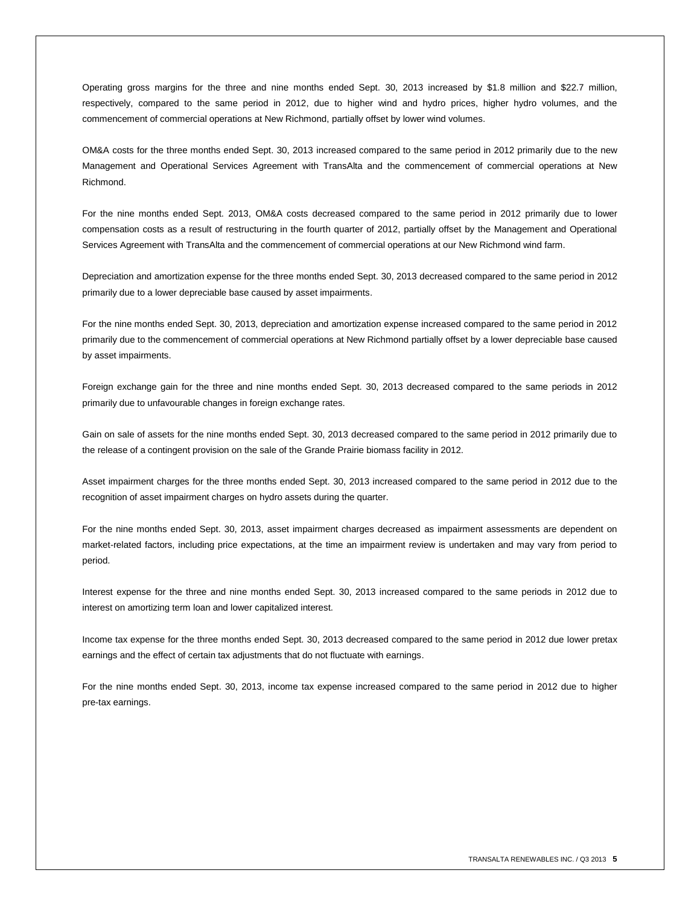Operating gross margins for the three and nine months ended Sept. 30, 2013 increased by \$1.8 million and \$22.7 million, respectively, compared to the same period in 2012, due to higher wind and hydro prices, higher hydro volumes, and the commencement of commercial operations at New Richmond, partially offset by lower wind volumes.

OM&A costs for the three months ended Sept. 30, 2013 increased compared to the same period in 2012 primarily due to the new Management and Operational Services Agreement with TransAlta and the commencement of commercial operations at New Richmond.

For the nine months ended Sept. 2013, OM&A costs decreased compared to the same period in 2012 primarily due to lower compensation costs as a result of restructuring in the fourth quarter of 2012, partially offset by the Management and Operational Services Agreement with TransAlta and the commencement of commercial operations at our New Richmond wind farm.

Depreciation and amortization expense for the three months ended Sept. 30, 2013 decreased compared to the same period in 2012 primarily due to a lower depreciable base caused by asset impairments.

For the nine months ended Sept. 30, 2013, depreciation and amortization expense increased compared to the same period in 2012 primarily due to the commencement of commercial operations at New Richmond partially offset by a lower depreciable base caused by asset impairments.

Foreign exchange gain for the three and nine months ended Sept. 30, 2013 decreased compared to the same periods in 2012 primarily due to unfavourable changes in foreign exchange rates.

Gain on sale of assets for the nine months ended Sept. 30, 2013 decreased compared to the same period in 2012 primarily due to the release of a contingent provision on the sale of the Grande Prairie biomass facility in 2012.

Asset impairment charges for the three months ended Sept. 30, 2013 increased compared to the same period in 2012 due to the recognition of asset impairment charges on hydro assets during the quarter.

For the nine months ended Sept. 30, 2013, asset impairment charges decreased as impairment assessments are dependent on market-related factors, including price expectations, at the time an impairment review is undertaken and may vary from period to period.

Interest expense for the three and nine months ended Sept. 30, 2013 increased compared to the same periods in 2012 due to interest on amortizing term loan and lower capitalized interest.

Income tax expense for the three months ended Sept. 30, 2013 decreased compared to the same period in 2012 due lower pretax earnings and the effect of certain tax adjustments that do not fluctuate with earnings.

For the nine months ended Sept. 30, 2013, income tax expense increased compared to the same period in 2012 due to higher pre-tax earnings.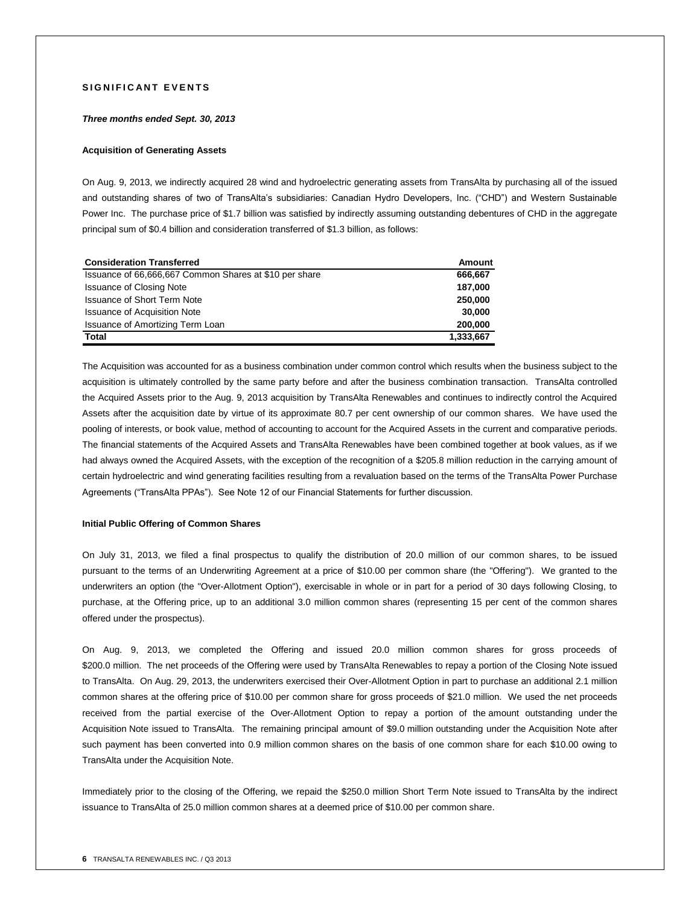## **SIGNIFICANT EVENTS**

#### *Three months ended Sept. 30, 2013*

#### **Acquisition of Generating Assets**

On Aug. 9, 2013, we indirectly acquired 28 wind and hydroelectric generating assets from TransAlta by purchasing all of the issued and outstanding shares of two of TransAlta's subsidiaries: Canadian Hydro Developers, Inc. ("CHD") and Western Sustainable Power Inc. The purchase price of \$1.7 billion was satisfied by indirectly assuming outstanding debentures of CHD in the aggregate principal sum of \$0.4 billion and consideration transferred of \$1.3 billion, as follows:

| <b>Consideration Transferred</b>                       | Amount    |
|--------------------------------------------------------|-----------|
| Issuance of 66,666,667 Common Shares at \$10 per share | 666,667   |
| <b>Issuance of Closing Note</b>                        | 187,000   |
| <b>Issuance of Short Term Note</b>                     | 250,000   |
| <b>Issuance of Acquisition Note</b>                    | 30,000    |
| Issuance of Amortizing Term Loan                       | 200,000   |
| <b>Total</b>                                           | 1,333,667 |

The Acquisition was accounted for as a business combination under common control which results when the business subject to the acquisition is ultimately controlled by the same party before and after the business combination transaction. TransAlta controlled the Acquired Assets prior to the Aug. 9, 2013 acquisition by TransAlta Renewables and continues to indirectly control the Acquired Assets after the acquisition date by virtue of its approximate 80.7 per cent ownership of our common shares. We have used the pooling of interests, or book value, method of accounting to account for the Acquired Assets in the current and comparative periods. The financial statements of the Acquired Assets and TransAlta Renewables have been combined together at book values, as if we had always owned the Acquired Assets, with the exception of the recognition of a \$205.8 million reduction in the carrying amount of certain hydroelectric and wind generating facilities resulting from a revaluation based on the terms of the TransAlta Power Purchase Agreements ("TransAlta PPAs"). See Note 12 of our Financial Statements for further discussion.

#### **Initial Public Offering of Common Shares**

On July 31, 2013, we filed a final prospectus to qualify the distribution of 20.0 million of our common shares, to be issued pursuant to the terms of an Underwriting Agreement at a price of \$10.00 per common share (the "Offering"). We granted to the underwriters an option (the "Over-Allotment Option"), exercisable in whole or in part for a period of 30 days following Closing, to purchase, at the Offering price, up to an additional 3.0 million common shares (representing 15 per cent of the common shares offered under the prospectus).

On Aug. 9, 2013, we completed the Offering and issued 20.0 million common shares for gross proceeds of \$200.0 million. The net proceeds of the Offering were used by TransAlta Renewables to repay a portion of the Closing Note issued to TransAlta. On Aug. 29, 2013, the underwriters exercised their Over-Allotment Option in part to purchase an additional 2.1 million common shares at the offering price of \$10.00 per common share for gross proceeds of \$21.0 million. We used the net proceeds received from the partial exercise of the Over-Allotment Option to repay a portion of the amount outstanding under the Acquisition Note issued to TransAlta. The remaining principal amount of \$9.0 million outstanding under the Acquisition Note after such payment has been converted into 0.9 million common shares on the basis of one common share for each \$10.00 owing to TransAlta under the Acquisition Note.

Immediately prior to the closing of the Offering, we repaid the \$250.0 million Short Term Note issued to TransAlta by the indirect issuance to TransAlta of 25.0 million common shares at a deemed price of \$10.00 per common share.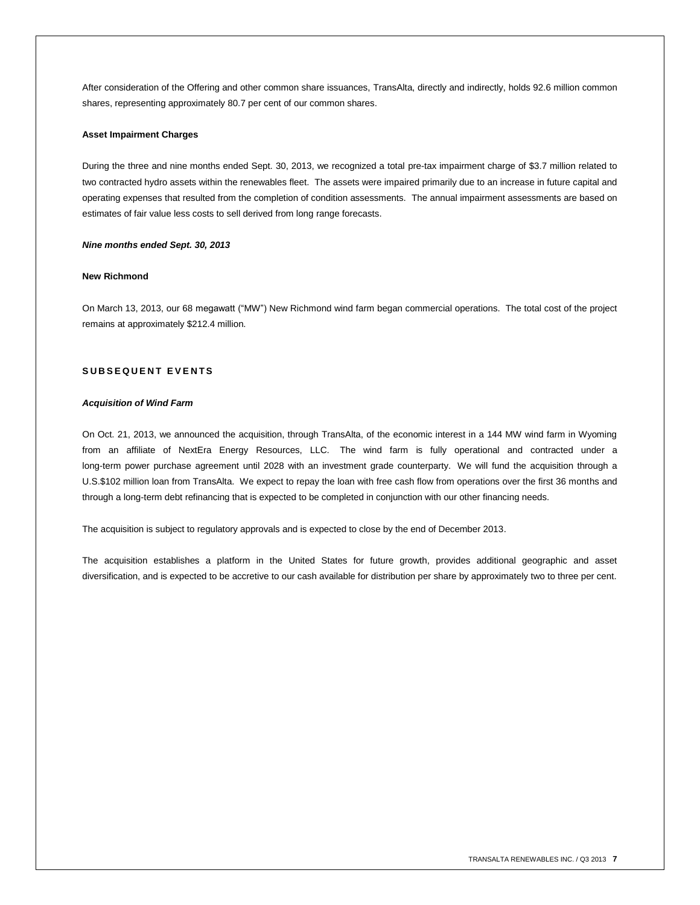After consideration of the Offering and other common share issuances, TransAlta, directly and indirectly, holds 92.6 million common shares, representing approximately 80.7 per cent of our common shares.

#### **Asset Impairment Charges**

During the three and nine months ended Sept. 30, 2013, we recognized a total pre-tax impairment charge of \$3.7 million related to two contracted hydro assets within the renewables fleet. The assets were impaired primarily due to an increase in future capital and operating expenses that resulted from the completion of condition assessments. The annual impairment assessments are based on estimates of fair value less costs to sell derived from long range forecasts.

#### *Nine months ended Sept. 30, 2013*

#### **New Richmond**

On March 13, 2013, our 68 megawatt ("MW") New Richmond wind farm began commercial operations. The total cost of the project remains at approximately \$212.4 million.

## **S U B S E Q U E N T E V E N T S**

#### *Acquisition of Wind Farm*

On Oct. 21, 2013, we announced the acquisition, through TransAlta, of the economic interest in a 144 MW wind farm in Wyoming from an affiliate of NextEra Energy Resources, LLC. The wind farm is fully operational and contracted under a long-term power purchase agreement until 2028 with an investment grade counterparty. We will fund the acquisition through a U.S.\$102 million loan from TransAlta. We expect to repay the loan with free cash flow from operations over the first 36 months and through a long-term debt refinancing that is expected to be completed in conjunction with our other financing needs.

The acquisition is subject to regulatory approvals and is expected to close by the end of December 2013.

The acquisition establishes a platform in the United States for future growth, provides additional geographic and asset diversification, and is expected to be accretive to our cash available for distribution per share by approximately two to three per cent.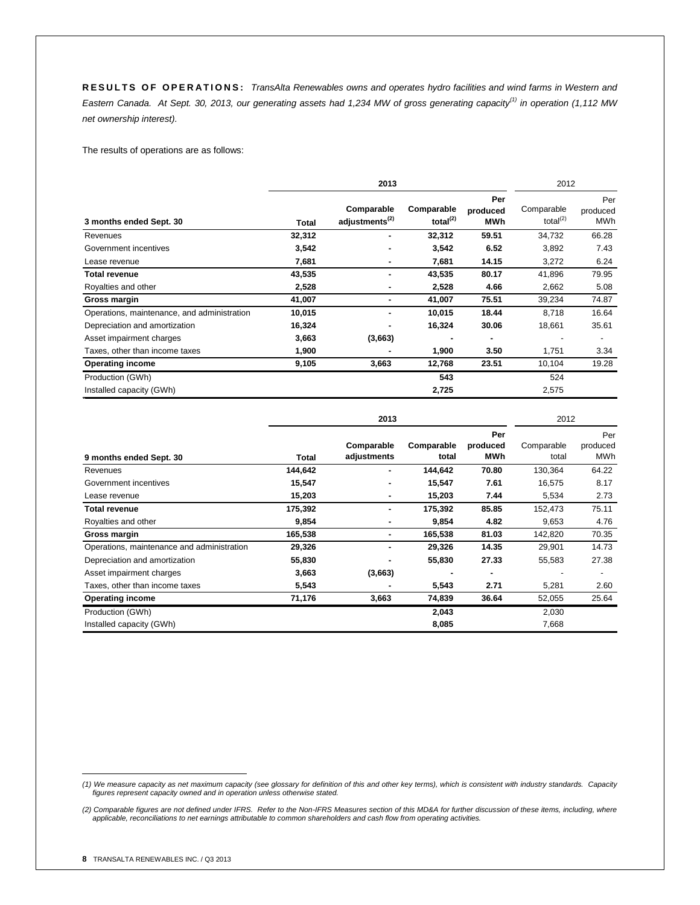**R E S U L T S O F O P E R A T I O N S :** *TransAlta Renewables owns and operates hydro facilities and wind farms in Western and Eastern Canada. At Sept. 30, 2013, our generating assets had 1,234 MW of gross generating capacity(1) in operation (1,112 MW net ownership interest).* 

The results of operations are as follows:

|                                             |        | 2013                                     |                                    |                        | 2012                         |                        |
|---------------------------------------------|--------|------------------------------------------|------------------------------------|------------------------|------------------------------|------------------------|
| 3 months ended Sept. 30                     | Total  | Comparable<br>adjustments <sup>(2)</sup> | Comparable<br>total <sup>(2)</sup> | Per<br>produced<br>MWh | Comparable<br>total $^{(2)}$ | Per<br>produced<br>MWh |
| Revenues                                    | 32,312 |                                          | 32,312                             | 59.51                  | 34,732                       | 66.28                  |
| Government incentives                       | 3,542  |                                          | 3,542                              | 6.52                   | 3,892                        | 7.43                   |
| Lease revenue                               | 7,681  |                                          | 7,681                              | 14.15                  | 3,272                        | 6.24                   |
| <b>Total revenue</b>                        | 43,535 |                                          | 43,535                             | 80.17                  | 41,896                       | 79.95                  |
| Royalties and other                         | 2,528  |                                          | 2,528                              | 4.66                   | 2,662                        | 5.08                   |
| Gross margin                                | 41,007 |                                          | 41,007                             | 75.51                  | 39,234                       | 74.87                  |
| Operations, maintenance, and administration | 10,015 | ÷                                        | 10,015                             | 18.44                  | 8,718                        | 16.64                  |
| Depreciation and amortization               | 16,324 |                                          | 16,324                             | 30.06                  | 18,661                       | 35.61                  |
| Asset impairment charges                    | 3,663  | (3,663)                                  |                                    |                        |                              |                        |
| Taxes, other than income taxes              | 1,900  |                                          | 1,900                              | 3.50                   | 1,751                        | 3.34                   |
| <b>Operating income</b>                     | 9,105  | 3,663                                    | 12,768                             | 23.51                  | 10,104                       | 19.28                  |
| Production (GWh)                            |        |                                          | 543                                |                        | 524                          |                        |
| Installed capacity (GWh)                    |        |                                          | 2,725                              |                        | 2,575                        |                        |

|                                            |         | 2013                      |                     |                               | 2012                |                          |
|--------------------------------------------|---------|---------------------------|---------------------|-------------------------------|---------------------|--------------------------|
| 9 months ended Sept. 30                    | Total   | Comparable<br>adjustments | Comparable<br>total | Per<br>produced<br><b>MWh</b> | Comparable<br>total | Per<br>produced<br>MWh   |
| Revenues                                   | 144,642 | ٠                         | 144,642             | 70.80                         | 130,364             | 64.22                    |
| Government incentives                      | 15,547  |                           | 15,547              | 7.61                          | 16,575              | 8.17                     |
| Lease revenue                              | 15,203  |                           | 15,203              | 7.44                          | 5,534               | 2.73                     |
| <b>Total revenue</b>                       | 175,392 |                           | 175,392             | 85.85                         | 152,473             | 75.11                    |
| Royalties and other                        | 9,854   | ۰                         | 9,854               | 4.82                          | 9,653               | 4.76                     |
| Gross margin                               | 165,538 |                           | 165,538             | 81.03                         | 142,820             | 70.35                    |
| Operations, maintenance and administration | 29,326  |                           | 29,326              | 14.35                         | 29,901              | 14.73                    |
| Depreciation and amortization              | 55,830  |                           | 55,830              | 27.33                         | 55,583              | 27.38                    |
| Asset impairment charges                   | 3,663   | (3,663)                   |                     | ۰                             |                     | $\overline{\phantom{a}}$ |
| Taxes, other than income taxes             | 5,543   |                           | 5,543               | 2.71                          | 5,281               | 2.60                     |
| <b>Operating income</b>                    | 71,176  | 3,663                     | 74,839              | 36.64                         | 52,055              | 25.64                    |
| Production (GWh)                           |         |                           | 2,043               |                               | 2,030               |                          |
| Installed capacity (GWh)                   |         |                           | 8,085               |                               | 7,668               |                          |

 *(1) We measure capacity as net maximum capacity (see glossary for definition of this and other key terms), which is consistent with industry standards. Capacity figures represent capacity owned and in operation unless otherwise stated.*

<sup>(2)</sup> Comparable figures are not defined under IFRS. Refer to the Non-IFRS Measures section of this MD&A for further discussion of these items, including, where<br>applicable, reconciliations to net earnings attributable to com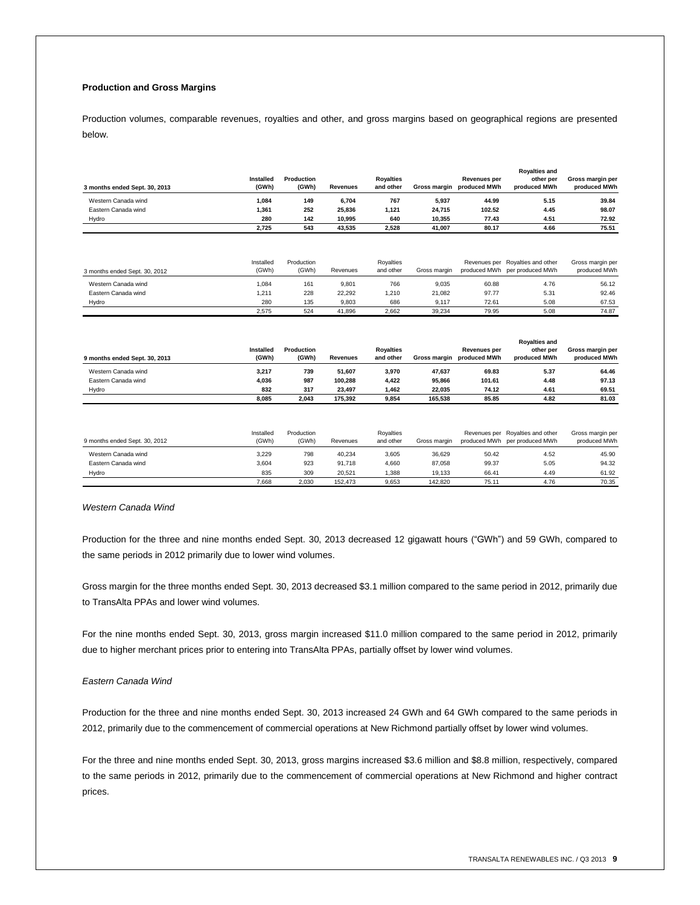## **Production and Gross Margins**

Production volumes, comparable revenues, royalties and other, and gross margins based on geographical regions are presented below.

| 3 months ended Sept. 30, 2013 | Installed<br>(GWh) | Production<br>(GWh) | <b>Revenues</b> | <b>Rovalties</b><br>and other | Gross margin | <b>Revenues per</b><br>produced MWh | <b>Rovalties and</b><br>other per<br>produced MWh | Gross margin per<br>produced MWh |
|-------------------------------|--------------------|---------------------|-----------------|-------------------------------|--------------|-------------------------------------|---------------------------------------------------|----------------------------------|
| Western Canada wind           | 1.084              | 149                 | 6.704           | 767                           | 5,937        | 44.99                               | 5.15                                              | 39.84                            |
| Eastern Canada wind           | 1.361              | 252                 | 25.836          | 1.121                         | 24.715       | 102.52                              | 4.45                                              | 98.07                            |
| Hydro                         | 280                | 142                 | 10.995          | 640                           | 10.355       | 77.43                               | 4.51                                              | 72.92                            |
|                               | 2.725              | 543                 | 43.535          | 2.528                         | 41.007       | 80.17                               | 4.66                                              | 75.51                            |

| 3 months ended Sept. 30, 2012 | Installed<br>(GWh) | Production<br>(GWh) | Revenues | Rovalties<br>and other | Gross margin |       | Revenues per Royalties and other<br>produced MWh per produced MWh | Gross margin per<br>produced MWh |
|-------------------------------|--------------------|---------------------|----------|------------------------|--------------|-------|-------------------------------------------------------------------|----------------------------------|
| Western Canada wind           | .084               | 161                 | 9.801    | 766                    | 9.035        | 60.88 | 4.76                                                              | 56.12                            |
| Eastern Canada wind           | .211               | 228                 | 22.292   | .210                   | 21.082       | 97.77 | 5.31                                                              | 92.46                            |
| Hydro                         | 280                | 135                 | 9.803    | 686                    | 9.117        | 72.61 | 5.08                                                              | 67.53                            |
|                               | 2.575              | 524                 | 41.896   | 2.662                  | 39.234       | 79.95 | 5.08                                                              | 74.87                            |

| 9 months ended Sept. 30, 2013 | <b>Installed</b><br>(GWh) | Production<br>(GWh) | <b>Revenues</b> | <b>Rovalties</b><br>and other | Gross margin | Revenues per<br>produced MWh | <b>Rovalties and</b><br>other per<br>produced MWh | Gross margin per<br>produced MWh |
|-------------------------------|---------------------------|---------------------|-----------------|-------------------------------|--------------|------------------------------|---------------------------------------------------|----------------------------------|
| Western Canada wind           | 3,217                     | 739                 | 51.607          | 3.970                         | 47.637       | 69.83                        | 5.37                                              | 64.46                            |
| Eastern Canada wind           | 4.036                     | 987                 | 100.288         | 4,422                         | 95.866       | 101.61                       | 4.48                                              | 97.13                            |
| Hydro                         | 832                       | 317                 | 23.497          | 1.462                         | 22.035       | 74.12                        | 4.61                                              | 69.51                            |
|                               | 8.085                     | 2.043               | 175.392         | 9.854                         | 165.538      | 85.85                        | 4.82                                              | 81.03                            |

| 9 months ended Sept. 30, 2012 | Installed<br>(GWh) | Production<br>(GWh) | Revenues | Rovalties<br>and other | Gross margin |       | Revenues per Royalties and other<br>produced MWh per produced MWh | Gross margin per<br>produced MWh |
|-------------------------------|--------------------|---------------------|----------|------------------------|--------------|-------|-------------------------------------------------------------------|----------------------------------|
| Western Canada wind           | 3.229              | 798                 | 40.234   | 3.605                  | 36.629       | 50.42 | 4.52                                                              | 45.90                            |
| Eastern Canada wind           | 3.604              | 923                 | 91.718   | 4.660                  | 87.058       | 99.37 | 5.05                                                              | 94.32                            |
| Hydro                         | 835                | 309                 | 20.521   | .388                   | 19.133       | 66.41 | 4.49                                                              | 61.92                            |
|                               | 7.668              | 2.030               | 152.473  | 9.653                  | 142.820      | 75.11 | 4.76                                                              | 70.35                            |

*Western Canada Wind*

Production for the three and nine months ended Sept. 30, 2013 decreased 12 gigawatt hours ("GWh") and 59 GWh, compared to the same periods in 2012 primarily due to lower wind volumes.

Gross margin for the three months ended Sept. 30, 2013 decreased \$3.1 million compared to the same period in 2012, primarily due to TransAlta PPAs and lower wind volumes.

For the nine months ended Sept. 30, 2013, gross margin increased \$11.0 million compared to the same period in 2012, primarily due to higher merchant prices prior to entering into TransAlta PPAs, partially offset by lower wind volumes.

#### *Eastern Canada Wind*

Production for the three and nine months ended Sept. 30, 2013 increased 24 GWh and 64 GWh compared to the same periods in 2012, primarily due to the commencement of commercial operations at New Richmond partially offset by lower wind volumes.

For the three and nine months ended Sept. 30, 2013, gross margins increased \$3.6 million and \$8.8 million, respectively, compared to the same periods in 2012, primarily due to the commencement of commercial operations at New Richmond and higher contract prices.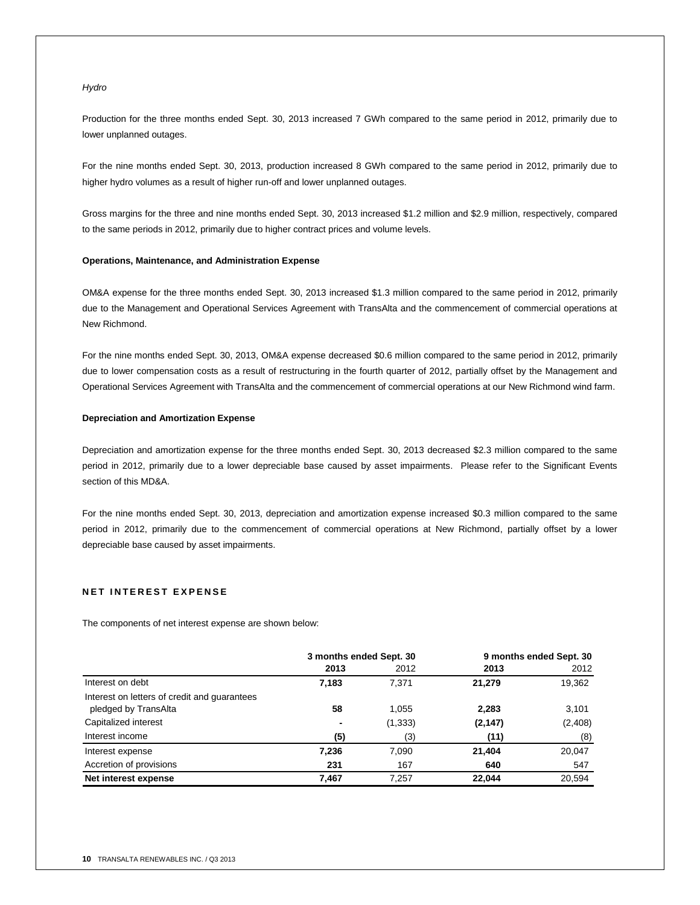#### *Hydro*

Production for the three months ended Sept. 30, 2013 increased 7 GWh compared to the same period in 2012, primarily due to lower unplanned outages.

For the nine months ended Sept. 30, 2013, production increased 8 GWh compared to the same period in 2012, primarily due to higher hydro volumes as a result of higher run-off and lower unplanned outages.

Gross margins for the three and nine months ended Sept. 30, 2013 increased \$1.2 million and \$2.9 million, respectively, compared to the same periods in 2012, primarily due to higher contract prices and volume levels.

#### **Operations, Maintenance, and Administration Expense**

OM&A expense for the three months ended Sept. 30, 2013 increased \$1.3 million compared to the same period in 2012, primarily due to the Management and Operational Services Agreement with TransAlta and the commencement of commercial operations at New Richmond.

For the nine months ended Sept. 30, 2013, OM&A expense decreased \$0.6 million compared to the same period in 2012, primarily due to lower compensation costs as a result of restructuring in the fourth quarter of 2012, partially offset by the Management and Operational Services Agreement with TransAlta and the commencement of commercial operations at our New Richmond wind farm.

#### **Depreciation and Amortization Expense**

Depreciation and amortization expense for the three months ended Sept. 30, 2013 decreased \$2.3 million compared to the same period in 2012, primarily due to a lower depreciable base caused by asset impairments. Please refer to the Significant Events section of this MD&A.

For the nine months ended Sept. 30, 2013, depreciation and amortization expense increased \$0.3 million compared to the same period in 2012, primarily due to the commencement of commercial operations at New Richmond, partially offset by a lower depreciable base caused by asset impairments.

#### **NET INTEREST EXPENSE**

The components of net interest expense are shown below:

|                                                                      | 3 months ended Sept. 30 |          |          | 9 months ended Sept. 30 |
|----------------------------------------------------------------------|-------------------------|----------|----------|-------------------------|
|                                                                      | 2013                    | 2012     | 2013     | 2012                    |
| Interest on debt                                                     | 7,183                   | 7.371    | 21,279   | 19,362                  |
| Interest on letters of credit and guarantees<br>pledged by TransAlta | 58                      | 1,055    | 2,283    | 3,101                   |
| Capitalized interest                                                 |                         | (1, 333) | (2, 147) | (2, 408)                |
| Interest income                                                      | (5)                     | (3)      | (11)     | (8)                     |
| Interest expense                                                     | 7,236                   | 7,090    | 21.404   | 20,047                  |
| Accretion of provisions                                              | 231                     | 167      | 640      | 547                     |
| Net interest expense                                                 | 7,467                   | 7,257    | 22.044   | 20.594                  |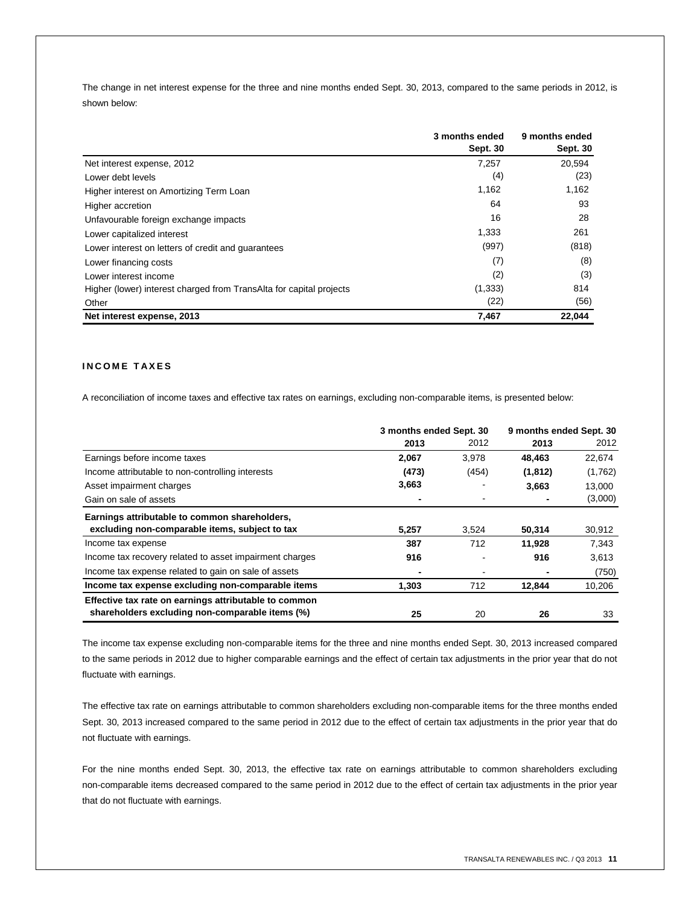The change in net interest expense for the three and nine months ended Sept. 30, 2013, compared to the same periods in 2012, is shown below:

|                                                                     | 3 months ended<br>Sept. 30 | 9 months ended<br>Sept. 30 |
|---------------------------------------------------------------------|----------------------------|----------------------------|
| Net interest expense, 2012                                          | 7,257                      | 20,594                     |
| Lower debt levels                                                   | (4)                        | (23)                       |
| Higher interest on Amortizing Term Loan                             | 1,162                      | 1,162                      |
| Higher accretion                                                    | 64                         | 93                         |
| Unfavourable foreign exchange impacts                               | 16                         | 28                         |
| Lower capitalized interest                                          | 1,333                      | 261                        |
| Lower interest on letters of credit and guarantees                  | (997)                      | (818)                      |
| Lower financing costs                                               | (7)                        | (8)                        |
| Lower interest income                                               | (2)                        | (3)                        |
| Higher (lower) interest charged from TransAlta for capital projects | (1, 333)                   | 814                        |
| Other                                                               | (22)                       | (56)                       |
| Net interest expense, 2013                                          | 7,467                      | 22,044                     |

## **I N C O M E T A X E S**

A reconciliation of income taxes and effective tax rates on earnings, excluding non-comparable items, is presented below:

|                                                         | 3 months ended Sept. 30 |       | 9 months ended Sept. 30 |         |
|---------------------------------------------------------|-------------------------|-------|-------------------------|---------|
|                                                         | 2013                    | 2012  | 2013                    | 2012    |
| Earnings before income taxes                            | 2,067                   | 3,978 | 48,463                  | 22,674  |
| Income attributable to non-controlling interests        | (473)                   | (454) | (1, 812)                | (1,762) |
| Asset impairment charges                                | 3,663                   |       | 3,663                   | 13,000  |
| Gain on sale of assets                                  |                         |       |                         | (3,000) |
| Earnings attributable to common shareholders,           |                         |       |                         |         |
| excluding non-comparable items, subject to tax          | 5,257                   | 3,524 | 50,314                  | 30,912  |
| Income tax expense                                      | 387                     | 712   | 11,928                  | 7,343   |
| Income tax recovery related to asset impairment charges | 916                     |       | 916                     | 3,613   |
| Income tax expense related to gain on sale of assets    |                         |       |                         | (750)   |
| Income tax expense excluding non-comparable items       | 1,303                   | 712   | 12,844                  | 10,206  |
| Effective tax rate on earnings attributable to common   |                         |       |                         |         |
| shareholders excluding non-comparable items (%)         | 25                      | 20    | 26                      | 33      |

The income tax expense excluding non-comparable items for the three and nine months ended Sept. 30, 2013 increased compared to the same periods in 2012 due to higher comparable earnings and the effect of certain tax adjustments in the prior year that do not fluctuate with earnings.

The effective tax rate on earnings attributable to common shareholders excluding non-comparable items for the three months ended Sept. 30, 2013 increased compared to the same period in 2012 due to the effect of certain tax adjustments in the prior year that do not fluctuate with earnings.

For the nine months ended Sept. 30, 2013, the effective tax rate on earnings attributable to common shareholders excluding non-comparable items decreased compared to the same period in 2012 due to the effect of certain tax adjustments in the prior year that do not fluctuate with earnings.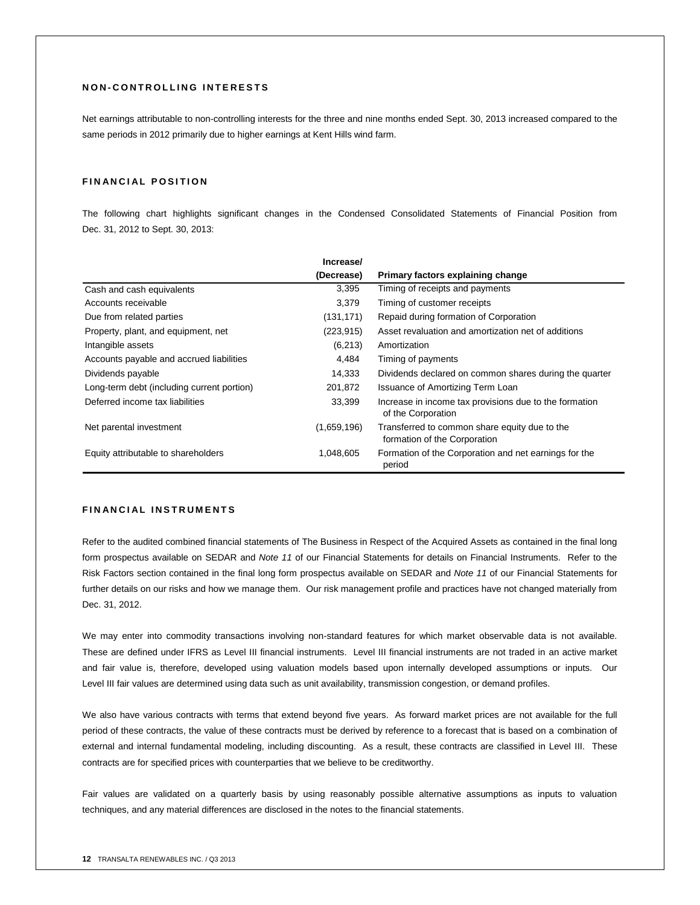### **N O N - C O N T R O L L I N G I N T E R E S T S**

Net earnings attributable to non-controlling interests for the three and nine months ended Sept. 30, 2013 increased compared to the same periods in 2012 primarily due to higher earnings at Kent Hills wind farm.

## **FINANCIAL POSITION**

The following chart highlights significant changes in the Condensed Consolidated Statements of Financial Position from Dec. 31, 2012 to Sept. 30, 2013:

|                                            | Increase/   |                                                                               |
|--------------------------------------------|-------------|-------------------------------------------------------------------------------|
|                                            | (Decrease)  | Primary factors explaining change                                             |
| Cash and cash equivalents                  | 3,395       | Timing of receipts and payments                                               |
| Accounts receivable                        | 3,379       | Timing of customer receipts                                                   |
| Due from related parties                   | (131, 171)  | Repaid during formation of Corporation                                        |
| Property, plant, and equipment, net        | (223, 915)  | Asset revaluation and amortization net of additions                           |
| Intangible assets                          | (6,213)     | Amortization                                                                  |
| Accounts payable and accrued liabilities   | 4,484       | Timing of payments                                                            |
| Dividends payable                          | 14,333      | Dividends declared on common shares during the quarter                        |
| Long-term debt (including current portion) | 201,872     | Issuance of Amortizing Term Loan                                              |
| Deferred income tax liabilities            | 33,399      | Increase in income tax provisions due to the formation<br>of the Corporation  |
| Net parental investment                    | (1,659,196) | Transferred to common share equity due to the<br>formation of the Corporation |
| Equity attributable to shareholders        | 1,048,605   | Formation of the Corporation and net earnings for the<br>period               |

## **FINANCIAL INSTRUMENTS**

Refer to the audited combined financial statements of The Business in Respect of the Acquired Assets as contained in the final long form prospectus available on SEDAR and *Note 11* of our Financial Statements for details on Financial Instruments. Refer to the Risk Factors section contained in the final long form prospectus available on SEDAR and *Note 11* of our Financial Statements for further details on our risks and how we manage them. Our risk management profile and practices have not changed materially from Dec. 31, 2012.

We may enter into commodity transactions involving non-standard features for which market observable data is not available. These are defined under IFRS as Level III financial instruments. Level III financial instruments are not traded in an active market and fair value is, therefore, developed using valuation models based upon internally developed assumptions or inputs. Our Level III fair values are determined using data such as unit availability, transmission congestion, or demand profiles.

We also have various contracts with terms that extend beyond five years. As forward market prices are not available for the full period of these contracts, the value of these contracts must be derived by reference to a forecast that is based on a combination of external and internal fundamental modeling, including discounting. As a result, these contracts are classified in Level III. These contracts are for specified prices with counterparties that we believe to be creditworthy.

Fair values are validated on a quarterly basis by using reasonably possible alternative assumptions as inputs to valuation techniques, and any material differences are disclosed in the notes to the financial statements.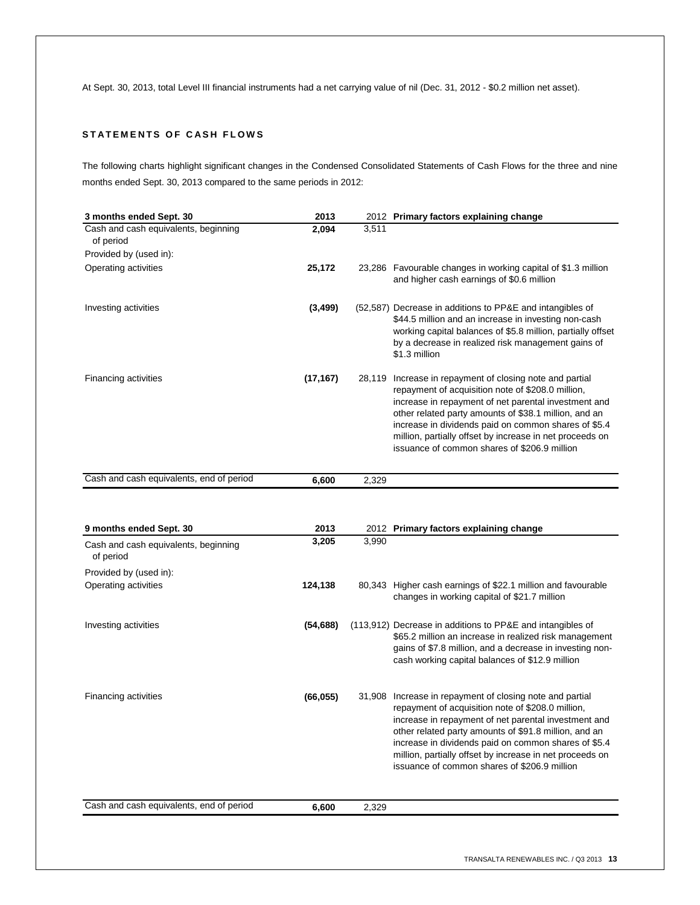At Sept. 30, 2013, total Level III financial instruments had a net carrying value of nil (Dec. 31, 2012 - \$0.2 million net asset).

## **STATEMENTS OF CASH FLOWS**

The following charts highlight significant changes in the Condensed Consolidated Statements of Cash Flows for the three and nine months ended Sept. 30, 2013 compared to the same periods in 2012:

| 3 months ended Sept. 30                                                      | 2013          |       | 2012 Primary factors explaining change                                                                                                                                                                                                                                                                                                                                                             |
|------------------------------------------------------------------------------|---------------|-------|----------------------------------------------------------------------------------------------------------------------------------------------------------------------------------------------------------------------------------------------------------------------------------------------------------------------------------------------------------------------------------------------------|
| Cash and cash equivalents, beginning<br>of period                            | 2,094         | 3,511 |                                                                                                                                                                                                                                                                                                                                                                                                    |
| Provided by (used in):                                                       |               |       |                                                                                                                                                                                                                                                                                                                                                                                                    |
| Operating activities                                                         | 25,172        |       | 23,286 Favourable changes in working capital of \$1.3 million<br>and higher cash earnings of \$0.6 million                                                                                                                                                                                                                                                                                         |
| Investing activities                                                         | (3, 499)      |       | (52,587) Decrease in additions to PP&E and intangibles of<br>\$44.5 million and an increase in investing non-cash<br>working capital balances of \$5.8 million, partially offset<br>by a decrease in realized risk management gains of<br>\$1.3 million                                                                                                                                            |
| Financing activities                                                         | (17, 167)     |       | 28,119 Increase in repayment of closing note and partial<br>repayment of acquisition note of \$208.0 million,<br>increase in repayment of net parental investment and<br>other related party amounts of \$38.1 million, and an<br>increase in dividends paid on common shares of \$5.4<br>million, partially offset by increase in net proceeds on<br>issuance of common shares of \$206.9 million |
| Cash and cash equivalents, end of period                                     | 6,600         | 2,329 |                                                                                                                                                                                                                                                                                                                                                                                                    |
| 9 months ended Sept. 30<br>Cash and cash equivalents, beginning<br>of period | 2013<br>3,205 | 3,990 | 2012 Primary factors explaining change                                                                                                                                                                                                                                                                                                                                                             |
| Provided by (used in):                                                       |               |       |                                                                                                                                                                                                                                                                                                                                                                                                    |
| Operating activities                                                         | 124,138       |       | 80,343 Higher cash earnings of \$22.1 million and favourable<br>changes in working capital of \$21.7 million                                                                                                                                                                                                                                                                                       |
| Investing activities                                                         | (54, 688)     |       | (113,912) Decrease in additions to PP&E and intangibles of<br>\$65.2 million an increase in realized risk management<br>gains of \$7.8 million, and a decrease in investing non-<br>cash working capital balances of \$12.9 million                                                                                                                                                                |
| Financing activities                                                         | (66, 055)     |       | 31,908 Increase in repayment of closing note and partial<br>repayment of acquisition note of \$208.0 million,<br>increase in repayment of net parental investment and<br>other related party amounts of \$91.8 million, and an<br>increase in dividends paid on common shares of \$5.4<br>million, partially offset by increase in net proceeds on<br>issuance of common shares of \$206.9 million |
| Cash and cash equivalents, end of period                                     | 6,600         | 2,329 |                                                                                                                                                                                                                                                                                                                                                                                                    |
|                                                                              |               |       |                                                                                                                                                                                                                                                                                                                                                                                                    |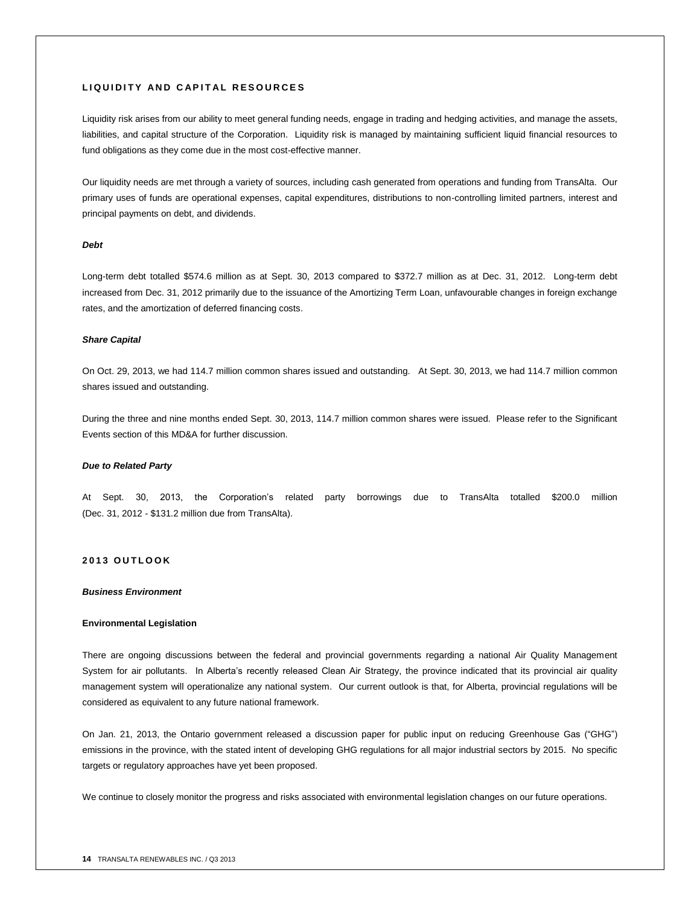#### **L I Q U I D I T Y A N D C A P I T A L R E S O U R C E S**

Liquidity risk arises from our ability to meet general funding needs, engage in trading and hedging activities, and manage the assets, liabilities, and capital structure of the Corporation. Liquidity risk is managed by maintaining sufficient liquid financial resources to fund obligations as they come due in the most cost-effective manner.

Our liquidity needs are met through a variety of sources, including cash generated from operations and funding from TransAlta. Our primary uses of funds are operational expenses, capital expenditures, distributions to non-controlling limited partners, interest and principal payments on debt, and dividends.

#### *Debt*

Long-term debt totalled \$574.6 million as at Sept. 30, 2013 compared to \$372.7 million as at Dec. 31, 2012. Long-term debt increased from Dec. 31, 2012 primarily due to the issuance of the Amortizing Term Loan, unfavourable changes in foreign exchange rates, and the amortization of deferred financing costs.

#### *Share Capital*

On Oct. 29, 2013, we had 114.7 million common shares issued and outstanding. At Sept. 30, 2013, we had 114.7 million common shares issued and outstanding.

During the three and nine months ended Sept. 30, 2013, 114.7 million common shares were issued. Please refer to the Significant Events section of this MD&A for further discussion.

#### *Due to Related Party*

At Sept. 30, 2013, the Corporation's related party borrowings due to TransAlta totalled \$200.0 million (Dec. 31, 2012 - \$131.2 million due from TransAlta).

#### **2 0 1 3 O U T L O O K**

#### *Business Environment*

#### **Environmental Legislation**

There are ongoing discussions between the federal and provincial governments regarding a national Air Quality Management System for air pollutants. In Alberta's recently released Clean Air Strategy, the province indicated that its provincial air quality management system will operationalize any national system. Our current outlook is that, for Alberta, provincial regulations will be considered as equivalent to any future national framework.

On Jan. 21, 2013, the Ontario government released a discussion paper for public input on reducing Greenhouse Gas ("GHG") emissions in the province, with the stated intent of developing GHG regulations for all major industrial sectors by 2015. No specific targets or regulatory approaches have yet been proposed.

We continue to closely monitor the progress and risks associated with environmental legislation changes on our future operations.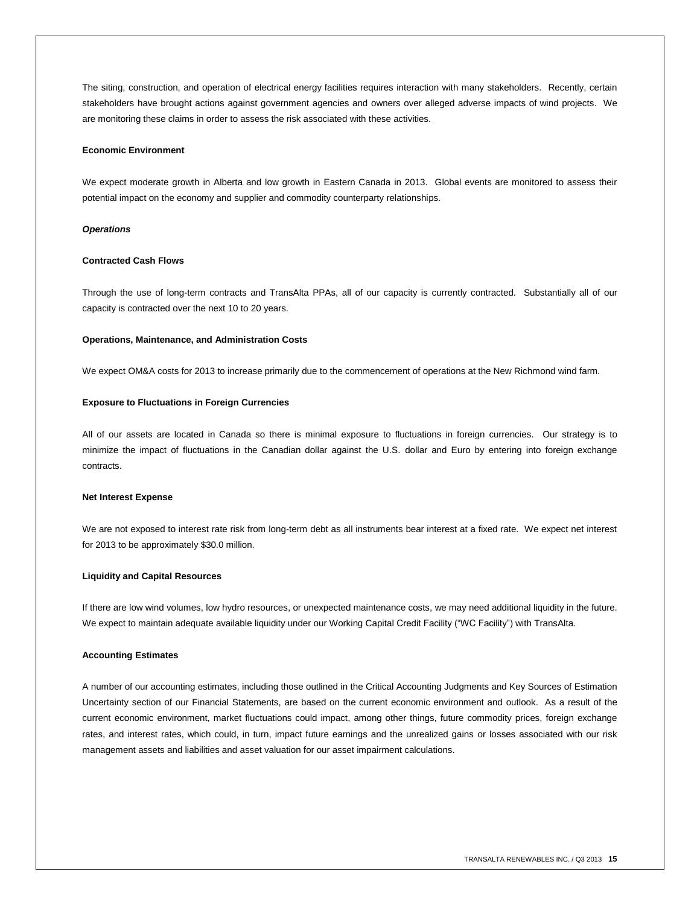The siting, construction, and operation of electrical energy facilities requires interaction with many stakeholders. Recently, certain stakeholders have brought actions against government agencies and owners over alleged adverse impacts of wind projects. We are monitoring these claims in order to assess the risk associated with these activities.

#### **Economic Environment**

We expect moderate growth in Alberta and low growth in Eastern Canada in 2013. Global events are monitored to assess their potential impact on the economy and supplier and commodity counterparty relationships.

#### *Operations*

#### **Contracted Cash Flows**

Through the use of long-term contracts and TransAlta PPAs, all of our capacity is currently contracted. Substantially all of our capacity is contracted over the next 10 to 20 years.

#### **Operations, Maintenance, and Administration Costs**

We expect OM&A costs for 2013 to increase primarily due to the commencement of operations at the New Richmond wind farm.

#### **Exposure to Fluctuations in Foreign Currencies**

All of our assets are located in Canada so there is minimal exposure to fluctuations in foreign currencies. Our strategy is to minimize the impact of fluctuations in the Canadian dollar against the U.S. dollar and Euro by entering into foreign exchange contracts.

#### **Net Interest Expense**

We are not exposed to interest rate risk from long-term debt as all instruments bear interest at a fixed rate. We expect net interest for 2013 to be approximately \$30.0 million.

#### **Liquidity and Capital Resources**

If there are low wind volumes, low hydro resources, or unexpected maintenance costs, we may need additional liquidity in the future. We expect to maintain adequate available liquidity under our Working Capital Credit Facility ("WC Facility") with TransAlta.

#### **Accounting Estimates**

A number of our accounting estimates, including those outlined in the Critical Accounting Judgments and Key Sources of Estimation Uncertainty section of our Financial Statements, are based on the current economic environment and outlook. As a result of the current economic environment, market fluctuations could impact, among other things, future commodity prices, foreign exchange rates, and interest rates, which could, in turn, impact future earnings and the unrealized gains or losses associated with our risk management assets and liabilities and asset valuation for our asset impairment calculations.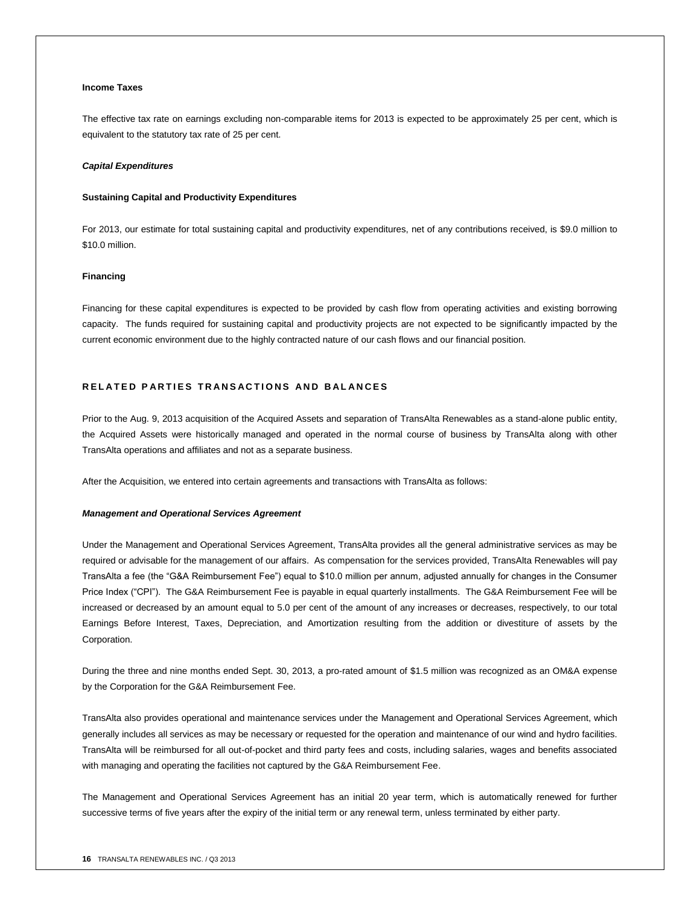#### **Income Taxes**

The effective tax rate on earnings excluding non-comparable items for 2013 is expected to be approximately 25 per cent, which is equivalent to the statutory tax rate of 25 per cent.

#### *Capital Expenditures*

#### **Sustaining Capital and Productivity Expenditures**

For 2013, our estimate for total sustaining capital and productivity expenditures, net of any contributions received, is \$9.0 million to \$10.0 million.

#### **Financing**

Financing for these capital expenditures is expected to be provided by cash flow from operating activities and existing borrowing capacity. The funds required for sustaining capital and productivity projects are not expected to be significantly impacted by the current economic environment due to the highly contracted nature of our cash flows and our financial position.

## **RELATED PARTIES TRANSACTIONS AND BALANCES**

Prior to the Aug. 9, 2013 acquisition of the Acquired Assets and separation of TransAlta Renewables as a stand-alone public entity, the Acquired Assets were historically managed and operated in the normal course of business by TransAlta along with other TransAlta operations and affiliates and not as a separate business.

After the Acquisition, we entered into certain agreements and transactions with TransAlta as follows:

#### *Management and Operational Services Agreement*

Under the Management and Operational Services Agreement, TransAlta provides all the general administrative services as may be required or advisable for the management of our affairs. As compensation for the services provided, TransAlta Renewables will pay TransAlta a fee (the "G&A Reimbursement Fee") equal to \$10.0 million per annum, adjusted annually for changes in the Consumer Price Index ("CPI"). The G&A Reimbursement Fee is payable in equal quarterly installments. The G&A Reimbursement Fee will be increased or decreased by an amount equal to 5.0 per cent of the amount of any increases or decreases, respectively, to our total Earnings Before Interest, Taxes, Depreciation, and Amortization resulting from the addition or divestiture of assets by the Corporation.

During the three and nine months ended Sept. 30, 2013, a pro-rated amount of \$1.5 million was recognized as an OM&A expense by the Corporation for the G&A Reimbursement Fee.

TransAlta also provides operational and maintenance services under the Management and Operational Services Agreement, which generally includes all services as may be necessary or requested for the operation and maintenance of our wind and hydro facilities. TransAlta will be reimbursed for all out-of-pocket and third party fees and costs, including salaries, wages and benefits associated with managing and operating the facilities not captured by the G&A Reimbursement Fee.

The Management and Operational Services Agreement has an initial 20 year term, which is automatically renewed for further successive terms of five years after the expiry of the initial term or any renewal term, unless terminated by either party.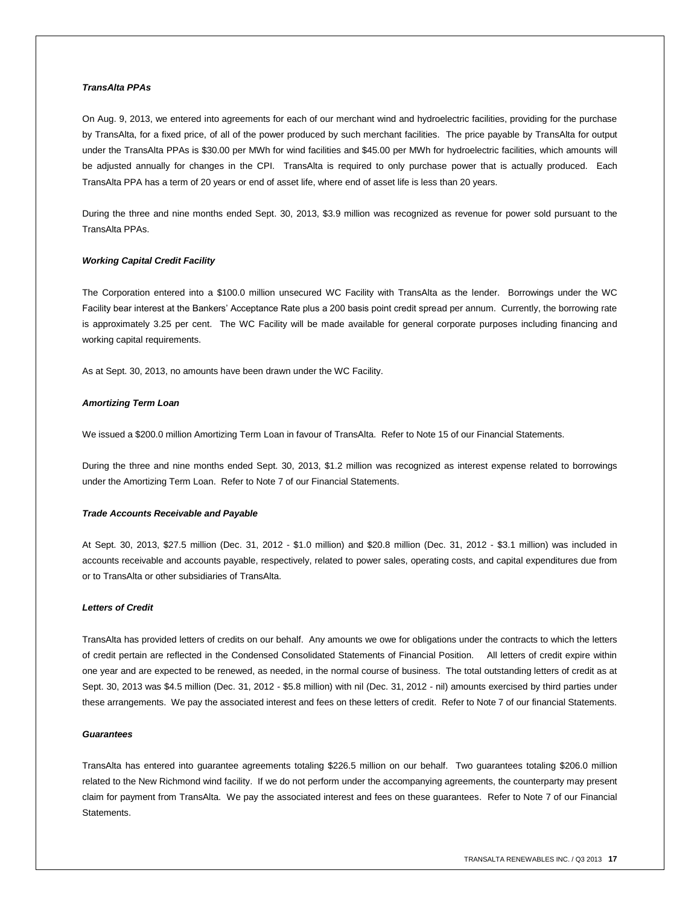#### *TransAlta PPAs*

On Aug. 9, 2013, we entered into agreements for each of our merchant wind and hydroelectric facilities, providing for the purchase by TransAlta, for a fixed price, of all of the power produced by such merchant facilities. The price payable by TransAlta for output under the TransAlta PPAs is \$30.00 per MWh for wind facilities and \$45.00 per MWh for hydroelectric facilities, which amounts will be adjusted annually for changes in the CPI. TransAlta is required to only purchase power that is actually produced. Each TransAlta PPA has a term of 20 years or end of asset life, where end of asset life is less than 20 years.

During the three and nine months ended Sept. 30, 2013, \$3.9 million was recognized as revenue for power sold pursuant to the TransAlta PPAs.

#### *Working Capital Credit Facility*

The Corporation entered into a \$100.0 million unsecured WC Facility with TransAlta as the lender. Borrowings under the WC Facility bear interest at the Bankers' Acceptance Rate plus a 200 basis point credit spread per annum. Currently, the borrowing rate is approximately 3.25 per cent. The WC Facility will be made available for general corporate purposes including financing and working capital requirements.

As at Sept. 30, 2013, no amounts have been drawn under the WC Facility.

#### *Amortizing Term Loan*

We issued a \$200.0 million Amortizing Term Loan in favour of TransAlta. Refer to Note 15 of our Financial Statements.

During the three and nine months ended Sept. 30, 2013, \$1.2 million was recognized as interest expense related to borrowings under the Amortizing Term Loan. Refer to Note 7 of our Financial Statements.

#### *Trade Accounts Receivable and Payable*

At Sept. 30, 2013, \$27.5 million (Dec. 31, 2012 - \$1.0 million) and \$20.8 million (Dec. 31, 2012 - \$3.1 million) was included in accounts receivable and accounts payable, respectively, related to power sales, operating costs, and capital expenditures due from or to TransAlta or other subsidiaries of TransAlta.

#### *Letters of Credit*

TransAlta has provided letters of credits on our behalf. Any amounts we owe for obligations under the contracts to which the letters of credit pertain are reflected in the Condensed Consolidated Statements of Financial Position. All letters of credit expire within one year and are expected to be renewed, as needed, in the normal course of business. The total outstanding letters of credit as at Sept. 30, 2013 was \$4.5 million (Dec. 31, 2012 - \$5.8 million) with nil (Dec. 31, 2012 - nil) amounts exercised by third parties under these arrangements. We pay the associated interest and fees on these letters of credit. Refer to Note 7 of our financial Statements.

#### *Guarantees*

TransAlta has entered into guarantee agreements totaling \$226.5 million on our behalf. Two guarantees totaling \$206.0 million related to the New Richmond wind facility. If we do not perform under the accompanying agreements, the counterparty may present claim for payment from TransAlta. We pay the associated interest and fees on these guarantees. Refer to Note 7 of our Financial **Statements**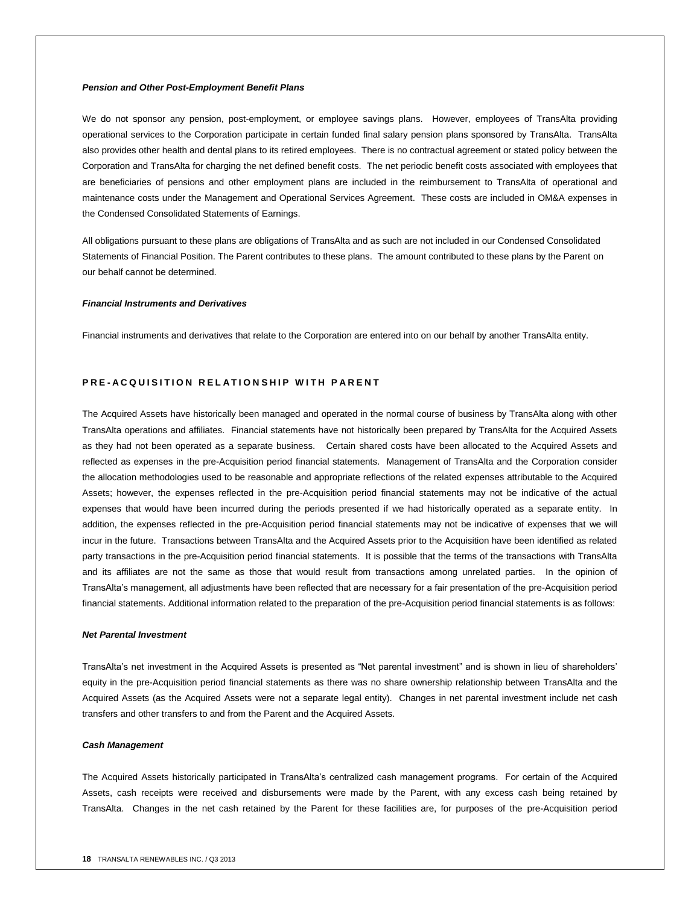#### *Pension and Other Post-Employment Benefit Plans*

We do not sponsor any pension, post-employment, or employee savings plans. However, employees of TransAlta providing operational services to the Corporation participate in certain funded final salary pension plans sponsored by TransAlta. TransAlta also provides other health and dental plans to its retired employees. There is no contractual agreement or stated policy between the Corporation and TransAlta for charging the net defined benefit costs. The net periodic benefit costs associated with employees that are beneficiaries of pensions and other employment plans are included in the reimbursement to TransAlta of operational and maintenance costs under the Management and Operational Services Agreement. These costs are included in OM&A expenses in the Condensed Consolidated Statements of Earnings.

All obligations pursuant to these plans are obligations of TransAlta and as such are not included in our Condensed Consolidated Statements of Financial Position. The Parent contributes to these plans. The amount contributed to these plans by the Parent on our behalf cannot be determined.

#### *Financial Instruments and Derivatives*

Financial instruments and derivatives that relate to the Corporation are entered into on our behalf by another TransAlta entity.

#### **PRE-ACQUISITION RELATIONSHIP WITH PARENT**

The Acquired Assets have historically been managed and operated in the normal course of business by TransAlta along with other TransAlta operations and affiliates. Financial statements have not historically been prepared by TransAlta for the Acquired Assets as they had not been operated as a separate business. Certain shared costs have been allocated to the Acquired Assets and reflected as expenses in the pre-Acquisition period financial statements. Management of TransAlta and the Corporation consider the allocation methodologies used to be reasonable and appropriate reflections of the related expenses attributable to the Acquired Assets; however, the expenses reflected in the pre-Acquisition period financial statements may not be indicative of the actual expenses that would have been incurred during the periods presented if we had historically operated as a separate entity. In addition, the expenses reflected in the pre-Acquisition period financial statements may not be indicative of expenses that we will incur in the future. Transactions between TransAlta and the Acquired Assets prior to the Acquisition have been identified as related party transactions in the pre-Acquisition period financial statements. It is possible that the terms of the transactions with TransAlta and its affiliates are not the same as those that would result from transactions among unrelated parties. In the opinion of TransAlta's management, all adjustments have been reflected that are necessary for a fair presentation of the pre-Acquisition period financial statements. Additional information related to the preparation of the pre-Acquisition period financial statements is as follows:

#### *Net Parental Investment*

TransAlta's net investment in the Acquired Assets is presented as "Net parental investment" and is shown in lieu of shareholders' equity in the pre-Acquisition period financial statements as there was no share ownership relationship between TransAlta and the Acquired Assets (as the Acquired Assets were not a separate legal entity). Changes in net parental investment include net cash transfers and other transfers to and from the Parent and the Acquired Assets.

#### *Cash Management*

The Acquired Assets historically participated in TransAlta's centralized cash management programs. For certain of the Acquired Assets, cash receipts were received and disbursements were made by the Parent, with any excess cash being retained by TransAlta. Changes in the net cash retained by the Parent for these facilities are, for purposes of the pre-Acquisition period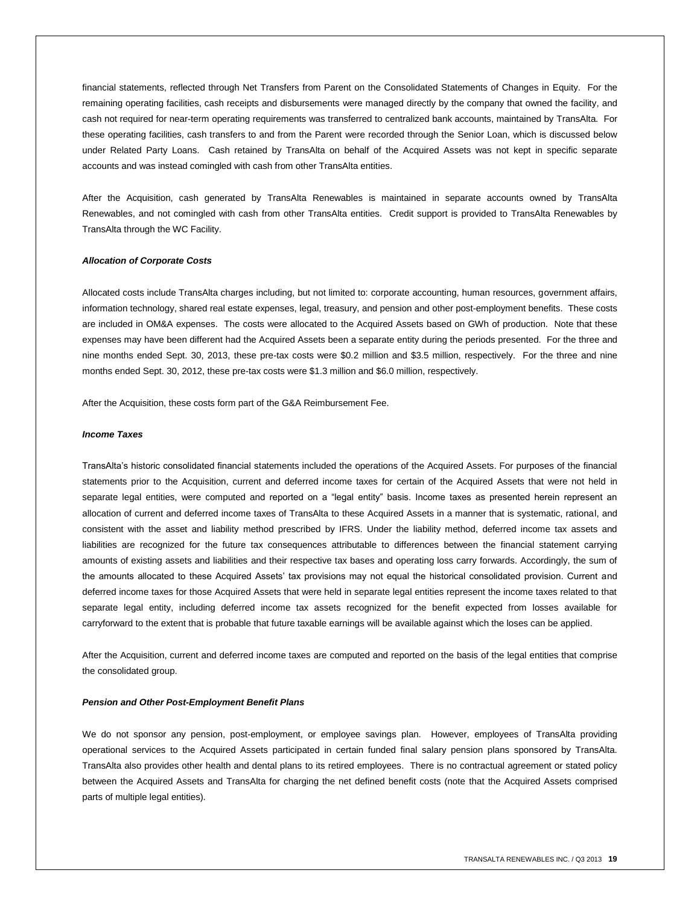financial statements, reflected through Net Transfers from Parent on the Consolidated Statements of Changes in Equity. For the remaining operating facilities, cash receipts and disbursements were managed directly by the company that owned the facility, and cash not required for near-term operating requirements was transferred to centralized bank accounts, maintained by TransAlta. For these operating facilities, cash transfers to and from the Parent were recorded through the Senior Loan, which is discussed below under Related Party Loans. Cash retained by TransAlta on behalf of the Acquired Assets was not kept in specific separate accounts and was instead comingled with cash from other TransAlta entities.

After the Acquisition, cash generated by TransAlta Renewables is maintained in separate accounts owned by TransAlta Renewables, and not comingled with cash from other TransAlta entities. Credit support is provided to TransAlta Renewables by TransAlta through the WC Facility.

#### *Allocation of Corporate Costs*

Allocated costs include TransAlta charges including, but not limited to: corporate accounting, human resources, government affairs, information technology, shared real estate expenses, legal, treasury, and pension and other post-employment benefits. These costs are included in OM&A expenses. The costs were allocated to the Acquired Assets based on GWh of production. Note that these expenses may have been different had the Acquired Assets been a separate entity during the periods presented. For the three and nine months ended Sept. 30, 2013, these pre-tax costs were \$0.2 million and \$3.5 million, respectively. For the three and nine months ended Sept. 30, 2012, these pre-tax costs were \$1.3 million and \$6.0 million, respectively.

After the Acquisition, these costs form part of the G&A Reimbursement Fee.

#### *Income Taxes*

TransAlta's historic consolidated financial statements included the operations of the Acquired Assets. For purposes of the financial statements prior to the Acquisition, current and deferred income taxes for certain of the Acquired Assets that were not held in separate legal entities, were computed and reported on a "legal entity" basis. Income taxes as presented herein represent an allocation of current and deferred income taxes of TransAlta to these Acquired Assets in a manner that is systematic, rational, and consistent with the asset and liability method prescribed by IFRS. Under the liability method, deferred income tax assets and liabilities are recognized for the future tax consequences attributable to differences between the financial statement carrying amounts of existing assets and liabilities and their respective tax bases and operating loss carry forwards. Accordingly, the sum of the amounts allocated to these Acquired Assets' tax provisions may not equal the historical consolidated provision. Current and deferred income taxes for those Acquired Assets that were held in separate legal entities represent the income taxes related to that separate legal entity, including deferred income tax assets recognized for the benefit expected from losses available for carryforward to the extent that is probable that future taxable earnings will be available against which the loses can be applied.

After the Acquisition, current and deferred income taxes are computed and reported on the basis of the legal entities that comprise the consolidated group.

#### *Pension and Other Post-Employment Benefit Plans*

We do not sponsor any pension, post-employment, or employee savings plan. However, employees of TransAlta providing operational services to the Acquired Assets participated in certain funded final salary pension plans sponsored by TransAlta. TransAlta also provides other health and dental plans to its retired employees. There is no contractual agreement or stated policy between the Acquired Assets and TransAlta for charging the net defined benefit costs (note that the Acquired Assets comprised parts of multiple legal entities).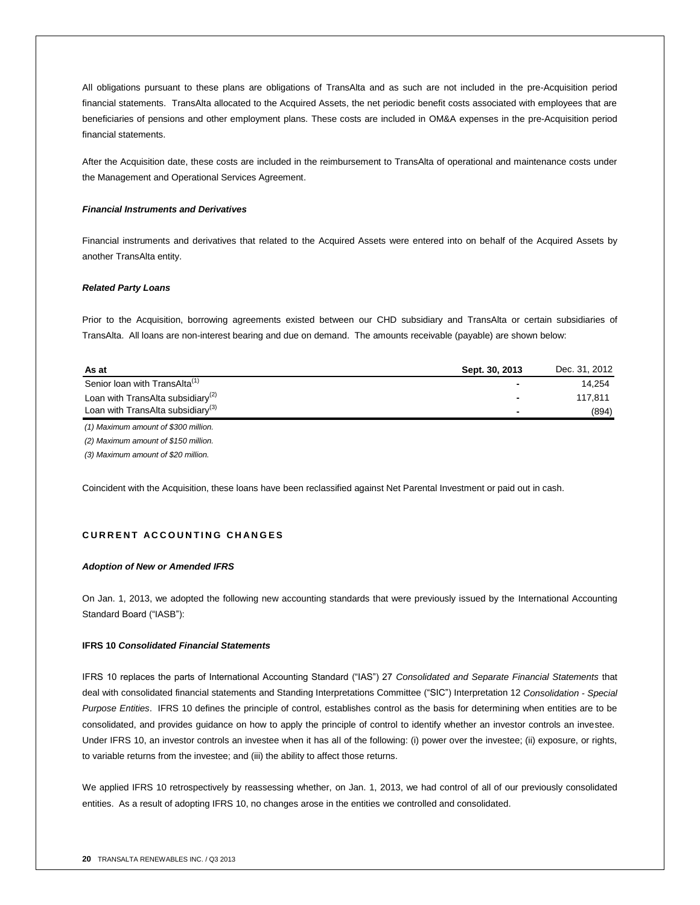All obligations pursuant to these plans are obligations of TransAlta and as such are not included in the pre-Acquisition period financial statements. TransAlta allocated to the Acquired Assets, the net periodic benefit costs associated with employees that are beneficiaries of pensions and other employment plans. These costs are included in OM&A expenses in the pre-Acquisition period financial statements.

After the Acquisition date, these costs are included in the reimbursement to TransAlta of operational and maintenance costs under the Management and Operational Services Agreement.

#### *Financial Instruments and Derivatives*

Financial instruments and derivatives that related to the Acquired Assets were entered into on behalf of the Acquired Assets by another TransAlta entity.

#### *Related Party Loans*

Prior to the Acquisition, borrowing agreements existed between our CHD subsidiary and TransAlta or certain subsidiaries of TransAlta. All loans are non-interest bearing and due on demand. The amounts receivable (payable) are shown below:

| As at                                         | Sept. 30, 2013 | Dec. 31, 2012 |
|-----------------------------------------------|----------------|---------------|
| Senior loan with TransAlta <sup>(1)</sup>     |                | 14.254        |
| Loan with TransAlta subsidiary <sup>(2)</sup> |                | 117.811       |
| Loan with TransAlta subsidiary <sup>(3)</sup> |                | (894)         |
|                                               |                |               |

*(1) Maximum amount of \$300 million.*

*(2) Maximum amount of \$150 million.*

*(3) Maximum amount of \$20 million.*

Coincident with the Acquisition, these loans have been reclassified against Net Parental Investment or paid out in cash.

## **C U R R E N T A C C O U N T I N G C H A N G E S**

#### *Adoption of New or Amended IFRS*

On Jan. 1, 2013, we adopted the following new accounting standards that were previously issued by the International Accounting Standard Board ("IASB"):

#### **IFRS 10** *Consolidated Financial Statements*

IFRS 10 replaces the parts of International Accounting Standard ("IAS") 27 *Consolidated and Separate Financial Statements* that deal with consolidated financial statements and Standing Interpretations Committee ("SIC") Interpretation 12 *Consolidation - Special Purpose Entities*. IFRS 10 defines the principle of control, establishes control as the basis for determining when entities are to be consolidated, and provides guidance on how to apply the principle of control to identify whether an investor controls an investee. Under IFRS 10, an investor controls an investee when it has all of the following: (i) power over the investee; (ii) exposure, or rights, to variable returns from the investee; and (iii) the ability to affect those returns.

We applied IFRS 10 retrospectively by reassessing whether, on Jan. 1, 2013, we had control of all of our previously consolidated entities. As a result of adopting IFRS 10, no changes arose in the entities we controlled and consolidated.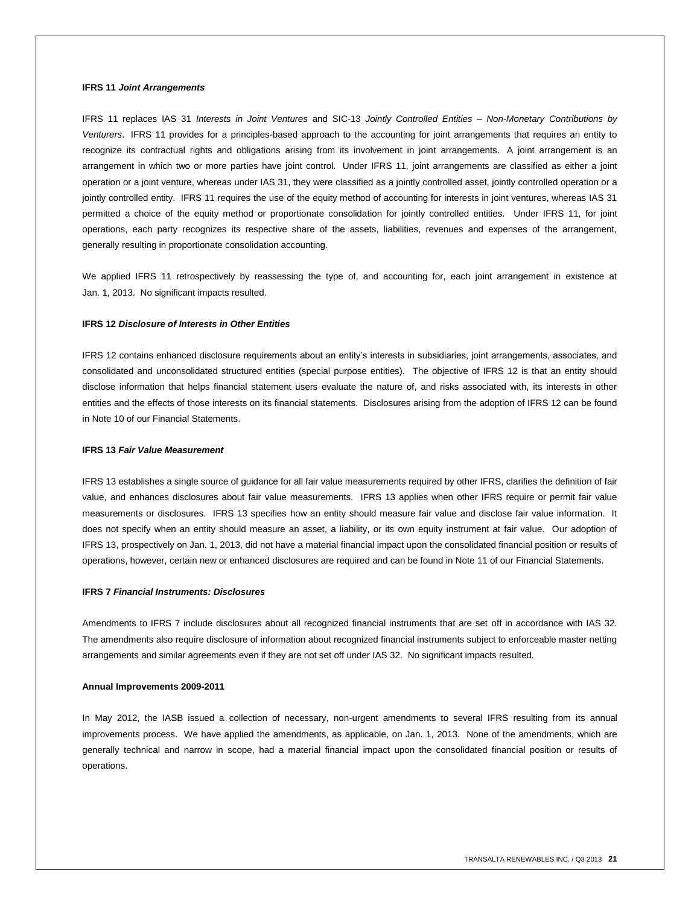#### **IFRS 11** *Joint Arrangements*

IFRS 11 replaces IAS 31 *Interests in Joint Ventures* and SIC-13 *Jointly Controlled Entities – Non-Monetary Contributions by Venturers*. IFRS 11 provides for a principles-based approach to the accounting for joint arrangements that requires an entity to recognize its contractual rights and obligations arising from its involvement in joint arrangements. A joint arrangement is an arrangement in which two or more parties have joint control. Under IFRS 11, joint arrangements are classified as either a joint operation or a joint venture, whereas under IAS 31, they were classified as a jointly controlled asset, jointly controlled operation or a jointly controlled entity. IFRS 11 requires the use of the equity method of accounting for interests in joint ventures, whereas IAS 31 permitted a choice of the equity method or proportionate consolidation for jointly controlled entities. Under IFRS 11, for joint operations, each party recognizes its respective share of the assets, liabilities, revenues and expenses of the arrangement, generally resulting in proportionate consolidation accounting.

We applied IFRS 11 retrospectively by reassessing the type of, and accounting for, each joint arrangement in existence at Jan. 1, 2013. No significant impacts resulted.

#### **IFRS 12** *Disclosure of Interests in Other Entities*

IFRS 12 contains enhanced disclosure requirements about an entity's interests in subsidiaries, joint arrangements, associates, and consolidated and unconsolidated structured entities (special purpose entities). The objective of IFRS 12 is that an entity should disclose information that helps financial statement users evaluate the nature of, and risks associated with, its interests in other entities and the effects of those interests on its financial statements. Disclosures arising from the adoption of IFRS 12 can be found in Note 10 of our Financial Statements.

#### **IFRS 13** *Fair Value Measurement*

IFRS 13 establishes a single source of guidance for all fair value measurements required by other IFRS, clarifies the definition of fair value, and enhances disclosures about fair value measurements. IFRS 13 applies when other IFRS require or permit fair value measurements or disclosures. IFRS 13 specifies how an entity should measure fair value and disclose fair value information. It does not specify when an entity should measure an asset, a liability, or its own equity instrument at fair value. Our adoption of IFRS 13, prospectively on Jan. 1, 2013, did not have a material financial impact upon the consolidated financial position or results of operations, however, certain new or enhanced disclosures are required and can be found in Note 11 of our Financial Statements.

## **IFRS 7** *Financial Instruments: Disclosures*

Amendments to IFRS 7 include disclosures about all recognized financial instruments that are set off in accordance with IAS 32. The amendments also require disclosure of information about recognized financial instruments subject to enforceable master netting arrangements and similar agreements even if they are not set off under IAS 32. No significant impacts resulted.

#### **Annual Improvements 2009-2011**

In May 2012, the IASB issued a collection of necessary, non-urgent amendments to several IFRS resulting from its annual improvements process. We have applied the amendments, as applicable, on Jan. 1, 2013. None of the amendments, which are generally technical and narrow in scope, had a material financial impact upon the consolidated financial position or results of operations.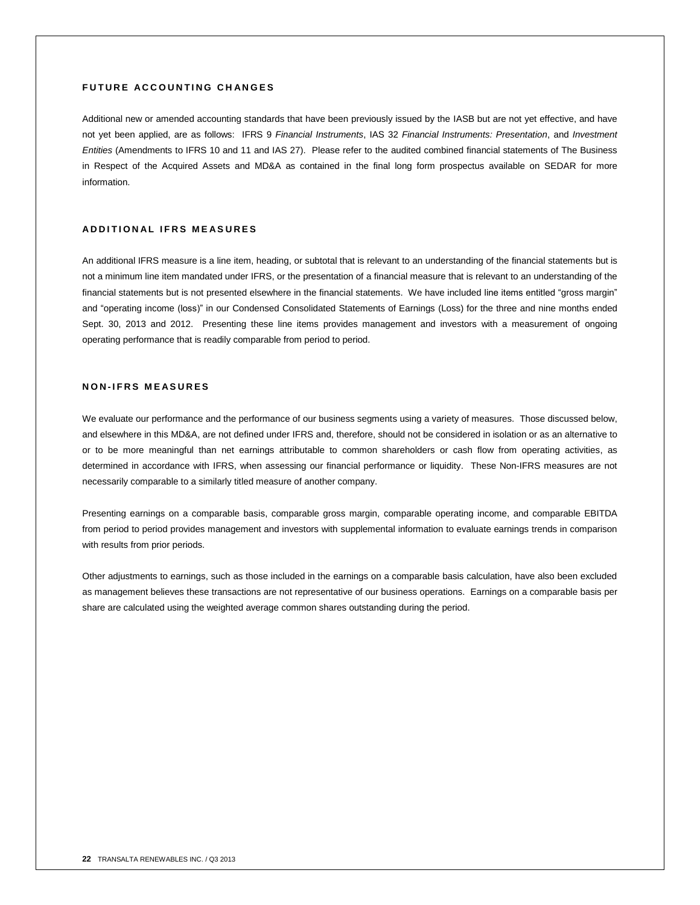#### **FUTURE ACCOUNTING CHANGES**

Additional new or amended accounting standards that have been previously issued by the IASB but are not yet effective, and have not yet been applied, are as follows: IFRS 9 *Financial Instruments*, IAS 32 *Financial Instruments: Presentation*, and *Investment Entities* (Amendments to IFRS 10 and 11 and IAS 27). Please refer to the audited combined financial statements of The Business in Respect of the Acquired Assets and MD&A as contained in the final long form prospectus available on SEDAR for more information.

#### **A D D I T I O N A L I F R S M E A S U R E S**

An additional IFRS measure is a line item, heading, or subtotal that is relevant to an understanding of the financial statements but is not a minimum line item mandated under IFRS, or the presentation of a financial measure that is relevant to an understanding of the financial statements but is not presented elsewhere in the financial statements. We have included line items entitled "gross margin" and "operating income (loss)" in our Condensed Consolidated Statements of Earnings (Loss) for the three and nine months ended Sept. 30, 2013 and 2012. Presenting these line items provides management and investors with a measurement of ongoing operating performance that is readily comparable from period to period.

## **N O N - I F R S M E A S U R E S**

We evaluate our performance and the performance of our business segments using a variety of measures. Those discussed below, and elsewhere in this MD&A, are not defined under IFRS and, therefore, should not be considered in isolation or as an alternative to or to be more meaningful than net earnings attributable to common shareholders or cash flow from operating activities, as determined in accordance with IFRS, when assessing our financial performance or liquidity. These Non-IFRS measures are not necessarily comparable to a similarly titled measure of another company.

Presenting earnings on a comparable basis, comparable gross margin, comparable operating income, and comparable EBITDA from period to period provides management and investors with supplemental information to evaluate earnings trends in comparison with results from prior periods.

Other adjustments to earnings, such as those included in the earnings on a comparable basis calculation, have also been excluded as management believes these transactions are not representative of our business operations. Earnings on a comparable basis per share are calculated using the weighted average common shares outstanding during the period.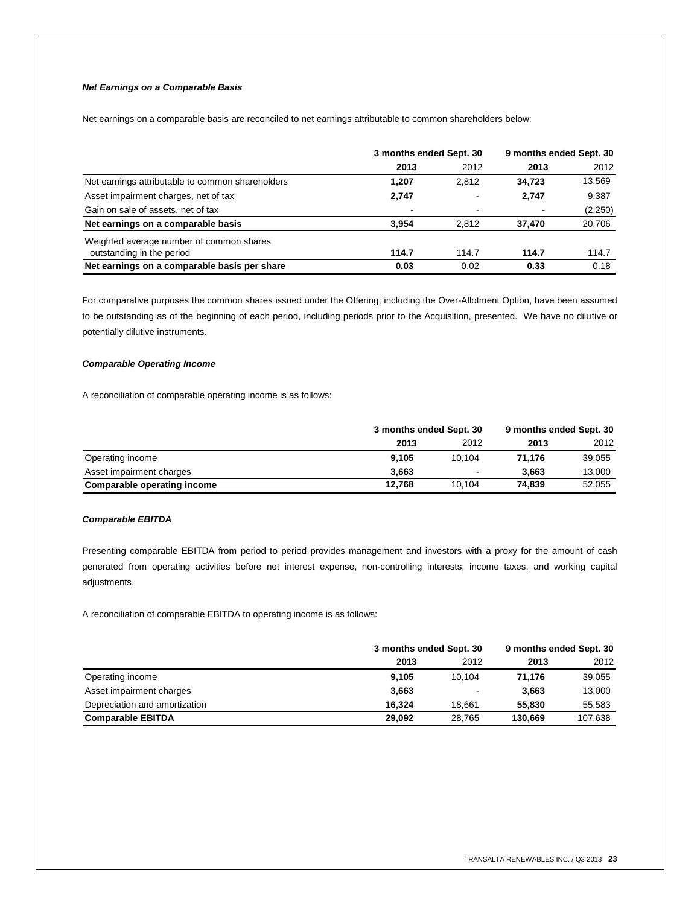## *Net Earnings on a Comparable Basis*

Net earnings on a comparable basis are reconciled to net earnings attributable to common shareholders below:

|                                                  | 3 months ended Sept. 30 |                | 9 months ended Sept. 30 |          |
|--------------------------------------------------|-------------------------|----------------|-------------------------|----------|
|                                                  | 2013                    | 2012           | 2013                    | 2012     |
| Net earnings attributable to common shareholders | 1.207                   | 2,812          | 34.723                  | 13,569   |
| Asset impairment charges, net of tax             | 2,747                   | $\blacksquare$ | 2,747                   | 9,387    |
| Gain on sale of assets, net of tax               | -                       | $\blacksquare$ | $\blacksquare$          | (2, 250) |
| Net earnings on a comparable basis               | 3.954                   | 2.812          | 37,470                  | 20,706   |
| Weighted average number of common shares         |                         |                |                         |          |
| outstanding in the period                        | 114.7                   | 114.7          | 114.7                   | 114.7    |
| Net earnings on a comparable basis per share     | 0.03                    | 0.02           | 0.33                    | 0.18     |

For comparative purposes the common shares issued under the Offering, including the Over-Allotment Option, have been assumed to be outstanding as of the beginning of each period, including periods prior to the Acquisition, presented. We have no dilutive or potentially dilutive instruments.

## *Comparable Operating Income*

A reconciliation of comparable operating income is as follows:

|                             | 3 months ended Sept. 30 |                | 9 months ended Sept. 30 |        |
|-----------------------------|-------------------------|----------------|-------------------------|--------|
|                             | 2013                    | 2012           | 2013                    | 2012   |
| Operating income            | 9.105                   | 10.104         | 71.176                  | 39.055 |
| Asset impairment charges    | 3.663                   | $\blacksquare$ | 3.663                   | 13.000 |
| Comparable operating income | 12.768                  | 10.104         | 74.839                  | 52,055 |

#### *Comparable EBITDA*

Presenting comparable EBITDA from period to period provides management and investors with a proxy for the amount of cash generated from operating activities before net interest expense, non-controlling interests, income taxes, and working capital adjustments.

A reconciliation of comparable EBITDA to operating income is as follows:

|                               | 3 months ended Sept. 30 |        | 9 months ended Sept. 30 |         |
|-------------------------------|-------------------------|--------|-------------------------|---------|
|                               | 2013                    | 2012   | 2013                    | 2012    |
| Operating income              | 9.105                   | 10.104 | 71.176                  | 39,055  |
| Asset impairment charges      | 3,663                   |        | 3,663                   | 13,000  |
| Depreciation and amortization | 16.324                  | 18.661 | 55,830                  | 55,583  |
| <b>Comparable EBITDA</b>      | 29.092                  | 28.765 | 130.669                 | 107,638 |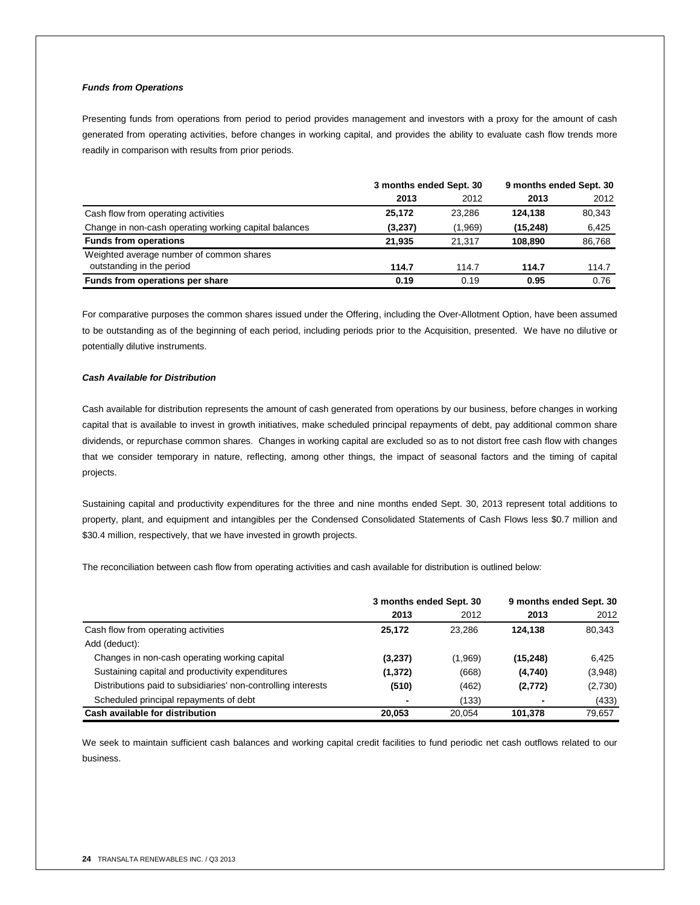## *Funds from Operations*

Presenting funds from operations from period to period provides management and investors with a proxy for the amount of cash generated from operating activities, before changes in working capital, and provides the ability to evaluate cash flow trends more readily in comparison with results from prior periods.

|                                                       | 3 months ended Sept. 30 |         | 9 months ended Sept. 30 |        |
|-------------------------------------------------------|-------------------------|---------|-------------------------|--------|
|                                                       | 2013                    | 2012    | 2013                    | 2012   |
| Cash flow from operating activities                   | 25,172                  | 23.286  | 124.138                 | 80,343 |
| Change in non-cash operating working capital balances | (3,237)                 | (1,969) | (15, 248)               | 6,425  |
| <b>Funds from operations</b>                          | 21.935                  | 21.317  | 108.890                 | 86,768 |
| Weighted average number of common shares              |                         |         |                         |        |
| outstanding in the period                             | 114.7                   | 114.7   | 114.7                   | 114.7  |
| Funds from operations per share                       | 0.19                    | 0.19    | 0.95                    | 0.76   |

For comparative purposes the common shares issued under the Offering, including the Over-Allotment Option, have been assumed to be outstanding as of the beginning of each period, including periods prior to the Acquisition, presented. We have no dilutive or potentially dilutive instruments.

#### *Cash Available for Distribution*

Cash available for distribution represents the amount of cash generated from operations by our business, before changes in working capital that is available to invest in growth initiatives, make scheduled principal repayments of debt, pay additional common share dividends, or repurchase common shares. Changes in working capital are excluded so as to not distort free cash flow with changes that we consider temporary in nature, reflecting, among other things, the impact of seasonal factors and the timing of capital projects.

Sustaining capital and productivity expenditures for the three and nine months ended Sept. 30, 2013 represent total additions to property, plant, and equipment and intangibles per the Condensed Consolidated Statements of Cash Flows less \$0.7 million and \$30.4 million, respectively, that we have invested in growth projects.

The reconciliation between cash flow from operating activities and cash available for distribution is outlined below:

|                                                               | 3 months ended Sept. 30 |         | 9 months ended Sept. 30 |         |
|---------------------------------------------------------------|-------------------------|---------|-------------------------|---------|
|                                                               | 2013                    | 2012    | 2013                    | 2012    |
| Cash flow from operating activities                           | 25.172                  | 23.286  | 124.138                 | 80,343  |
| Add (deduct):                                                 |                         |         |                         |         |
| Changes in non-cash operating working capital                 | (3,237)                 | (1,969) | (15, 248)               | 6,425   |
| Sustaining capital and productivity expenditures              | (1, 372)                | (668)   | (4,740)                 | (3,948) |
| Distributions paid to subsidiaries' non-controlling interests | (510)                   | (462)   | (2,772)                 | (2,730) |
| Scheduled principal repayments of debt                        |                         | (133)   |                         | (433)   |
| Cash available for distribution                               | 20.053                  | 20.054  | 101,378                 | 79.657  |

We seek to maintain sufficient cash balances and working capital credit facilities to fund periodic net cash outflows related to our business.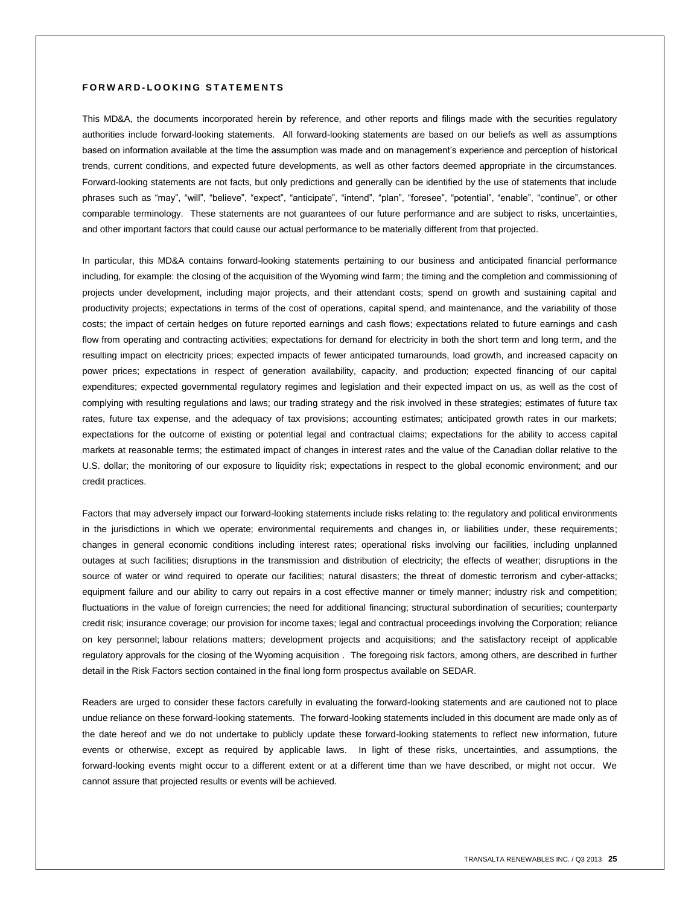## **F O R W A R D - L O O K I N G S T A T E M E N T S**

This MD&A, the documents incorporated herein by reference, and other reports and filings made with the securities regulatory authorities include forward-looking statements. All forward-looking statements are based on our beliefs as well as assumptions based on information available at the time the assumption was made and on management's experience and perception of historical trends, current conditions, and expected future developments, as well as other factors deemed appropriate in the circumstances. Forward-looking statements are not facts, but only predictions and generally can be identified by the use of statements that include phrases such as "may", "will", "believe", "expect", "anticipate", "intend", "plan", "foresee", "potential", "enable", "continue", or other comparable terminology. These statements are not guarantees of our future performance and are subject to risks, uncertainties, and other important factors that could cause our actual performance to be materially different from that projected.

In particular, this MD&A contains forward-looking statements pertaining to our business and anticipated financial performance including, for example: the closing of the acquisition of the Wyoming wind farm; the timing and the completion and commissioning of projects under development, including major projects, and their attendant costs; spend on growth and sustaining capital and productivity projects; expectations in terms of the cost of operations, capital spend, and maintenance, and the variability of those costs; the impact of certain hedges on future reported earnings and cash flows; expectations related to future earnings and cash flow from operating and contracting activities; expectations for demand for electricity in both the short term and long term, and the resulting impact on electricity prices; expected impacts of fewer anticipated turnarounds, load growth, and increased capacity on power prices; expectations in respect of generation availability, capacity, and production; expected financing of our capital expenditures; expected governmental regulatory regimes and legislation and their expected impact on us, as well as the cost of complying with resulting regulations and laws; our trading strategy and the risk involved in these strategies; estimates of future tax rates, future tax expense, and the adequacy of tax provisions; accounting estimates; anticipated growth rates in our markets; expectations for the outcome of existing or potential legal and contractual claims; expectations for the ability to access capital markets at reasonable terms; the estimated impact of changes in interest rates and the value of the Canadian dollar relative to the U.S. dollar; the monitoring of our exposure to liquidity risk; expectations in respect to the global economic environment; and our credit practices.

Factors that may adversely impact our forward-looking statements include risks relating to: the regulatory and political environments in the jurisdictions in which we operate; environmental requirements and changes in, or liabilities under, these requirements; changes in general economic conditions including interest rates; operational risks involving our facilities, including unplanned outages at such facilities; disruptions in the transmission and distribution of electricity; the effects of weather; disruptions in the source of water or wind required to operate our facilities; natural disasters; the threat of domestic terrorism and cyber-attacks; equipment failure and our ability to carry out repairs in a cost effective manner or timely manner; industry risk and competition; fluctuations in the value of foreign currencies; the need for additional financing; structural subordination of securities; counterparty credit risk; insurance coverage; our provision for income taxes; legal and contractual proceedings involving the Corporation; reliance on key personnel; labour relations matters; development projects and acquisitions; and the satisfactory receipt of applicable regulatory approvals for the closing of the Wyoming acquisition . The foregoing risk factors, among others, are described in further detail in the Risk Factors section contained in the final long form prospectus available on SEDAR.

Readers are urged to consider these factors carefully in evaluating the forward-looking statements and are cautioned not to place undue reliance on these forward-looking statements. The forward-looking statements included in this document are made only as of the date hereof and we do not undertake to publicly update these forward-looking statements to reflect new information, future events or otherwise, except as required by applicable laws. In light of these risks, uncertainties, and assumptions, the forward-looking events might occur to a different extent or at a different time than we have described, or might not occur. We cannot assure that projected results or events will be achieved.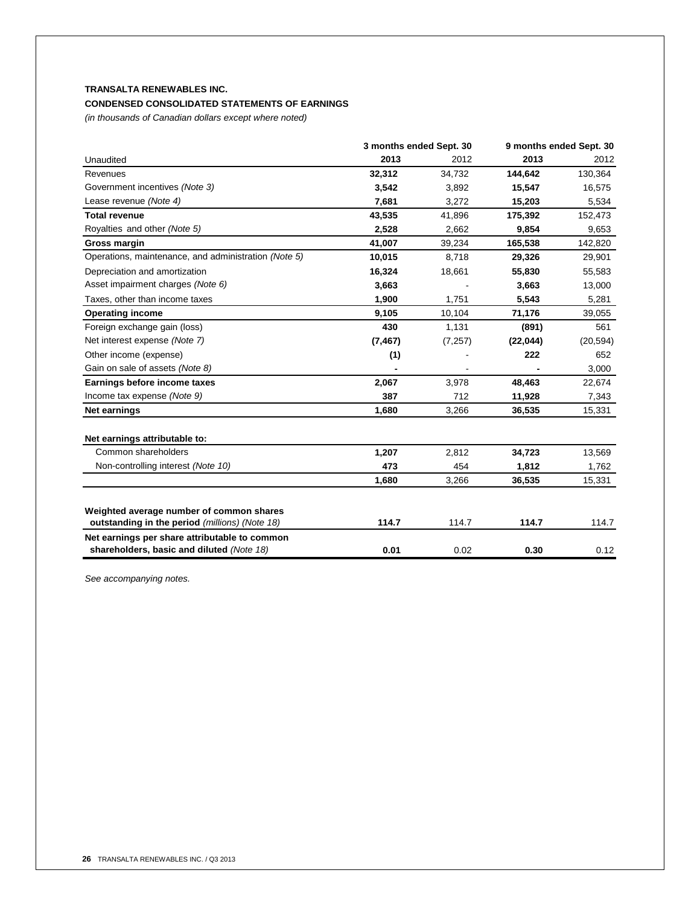## **CONDENSED CONSOLIDATED STATEMENTS OF EARNINGS**

*(in thousands of Canadian dollars except where noted)*

|                                                      | 3 months ended Sept. 30 |          | 9 months ended Sept. 30 |           |
|------------------------------------------------------|-------------------------|----------|-------------------------|-----------|
| Unaudited                                            | 2013                    | 2012     | 2013                    | 2012      |
| Revenues                                             | 32,312                  | 34,732   | 144,642                 | 130,364   |
| Government incentives (Note 3)                       | 3,542                   | 3,892    | 15.547                  | 16,575    |
| Lease revenue (Note 4)                               | 7,681                   | 3,272    | 15,203                  | 5,534     |
| <b>Total revenue</b>                                 | 43,535                  | 41,896   | 175,392                 | 152,473   |
| Royalties and other (Note 5)                         | 2,528                   | 2.662    | 9,854                   | 9,653     |
| Gross margin                                         | 41,007                  | 39,234   | 165,538                 | 142,820   |
| Operations, maintenance, and administration (Note 5) | 10,015                  | 8,718    | 29,326                  | 29,901    |
| Depreciation and amortization                        | 16,324                  | 18,661   | 55,830                  | 55,583    |
| Asset impairment charges (Note 6)                    | 3,663                   |          | 3,663                   | 13,000    |
| Taxes, other than income taxes                       | 1,900                   | 1,751    | 5,543                   | 5,281     |
| <b>Operating income</b>                              | 9,105                   | 10,104   | 71,176                  | 39,055    |
| Foreign exchange gain (loss)                         | 430                     | 1,131    | (891)                   | 561       |
| Net interest expense (Note 7)                        | (7, 467)                | (7, 257) | (22, 044)               | (20, 594) |
| Other income (expense)                               | (1)                     |          | 222                     | 652       |
| Gain on sale of assets (Note 8)                      |                         |          |                         | 3,000     |
| Earnings before income taxes                         | 2,067                   | 3,978    | 48,463                  | 22,674    |
| Income tax expense (Note 9)                          | 387                     | 712      | 11,928                  | 7,343     |
| <b>Net earnings</b>                                  | 1,680                   | 3,266    | 36,535                  | 15,331    |
| Net earnings attributable to:                        |                         |          |                         |           |
| Common shareholders                                  | 1,207                   | 2,812    | 34,723                  | 13,569    |
| Non-controlling interest (Note 10)                   | 473                     | 454      | 1,812                   | 1,762     |
|                                                      | 1,680                   | 3,266    | 36,535                  | 15,331    |
| Weighted average number of common shares             |                         |          |                         |           |
| outstanding in the period (millions) (Note 18)       | 114.7                   | 114.7    | 114.7                   | 114.7     |
| Net earnings per share attributable to common        |                         |          |                         |           |
| shareholders, basic and diluted (Note 18)            | 0.01                    | 0.02     | 0.30                    | 0.12      |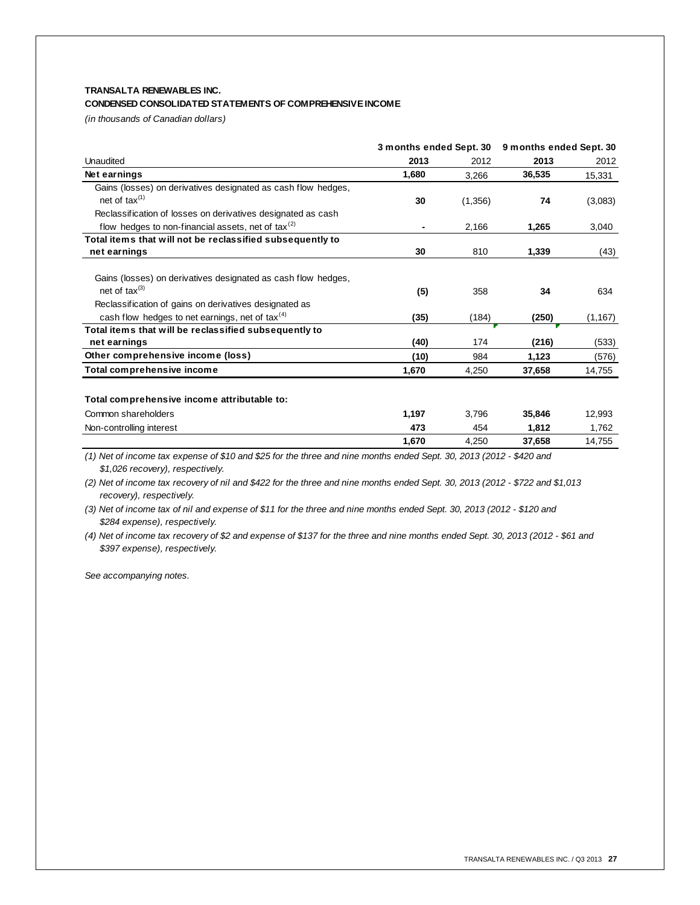## **TRANSALTA RENEWABLES INC. CONDENSED CONSOLIDATED STATEMENTS OF COMPREHENSIVE INCOME**

*(in thousands of Canadian dollars)*

|                                                                  |                | 3 months ended Sept. 30 |        | 9 months ended Sept. 30 |  |
|------------------------------------------------------------------|----------------|-------------------------|--------|-------------------------|--|
| Unaudited                                                        | 2013           | 2012                    | 2013   | 2012                    |  |
| Net earnings                                                     | 1,680          | 3.266                   | 36,535 | 15,331                  |  |
| Gains (losses) on derivatives designated as cash flow hedges,    |                |                         |        |                         |  |
| net of tax $(1)$                                                 | 30             | (1,356)                 | 74     | (3,083)                 |  |
| Reclassification of losses on derivatives designated as cash     |                |                         |        |                         |  |
| flow hedges to non-financial assets, net of $\text{tax}^{\{2\}}$ | $\blacksquare$ | 2,166                   | 1,265  | 3,040                   |  |
| Total items that will not be reclassified subsequently to        |                |                         |        |                         |  |
| net earnings                                                     | 30             | 810                     | 1,339  | (43)                    |  |
| Gains (losses) on derivatives designated as cash flow hedges,    |                |                         |        |                         |  |
| net of $\text{tax}^{(3)}$                                        | (5)            | 358                     | 34     | 634                     |  |
| Reclassification of gains on derivatives designated as           |                |                         |        |                         |  |
| cash flow hedges to net earnings, net of tax $(4)$               | (35)           | (184)                   | (250)  | (1, 167)                |  |
| Total items that will be reclassified subsequently to            |                |                         |        |                         |  |
| net earnings                                                     | (40)           | 174                     | (216)  | (533)                   |  |
| Other comprehensive income (loss)                                | (10)           | 984                     | 1,123  | (576)                   |  |
| Total comprehensive income                                       | 1,670          | 4,250                   | 37,658 | 14,755                  |  |

## **Total comprehensive income attributable to:**

| Common shareholders      | .197  | 3.796 | 35.846 | 12,993 |
|--------------------------|-------|-------|--------|--------|
| Non-controlling interest | 473   | 454   | 1.812  | .762   |
|                          | 1.670 | 250ء  | 37,658 | 14,755 |

*(1) Net of income tax expense of \$10 and \$25 for the three and nine months ended Sept. 30, 2013 (2012 - \$420 and \$1,026 recovery), respectively.*

*(2) Net of income tax recovery of nil and \$422 for the three and nine months ended Sept. 30, 2013 (2012 - \$722 and \$1,013 recovery), respectively.*

*(3) Net of income tax of nil and expense of \$11 for the three and nine months ended Sept. 30, 2013 (2012 - \$120 and \$284 expense), respectively.*

*(4) Net of income tax recovery of \$2 and expense of \$137 for the three and nine months ended Sept. 30, 2013 (2012 - \$61 and \$397 expense), respectively.*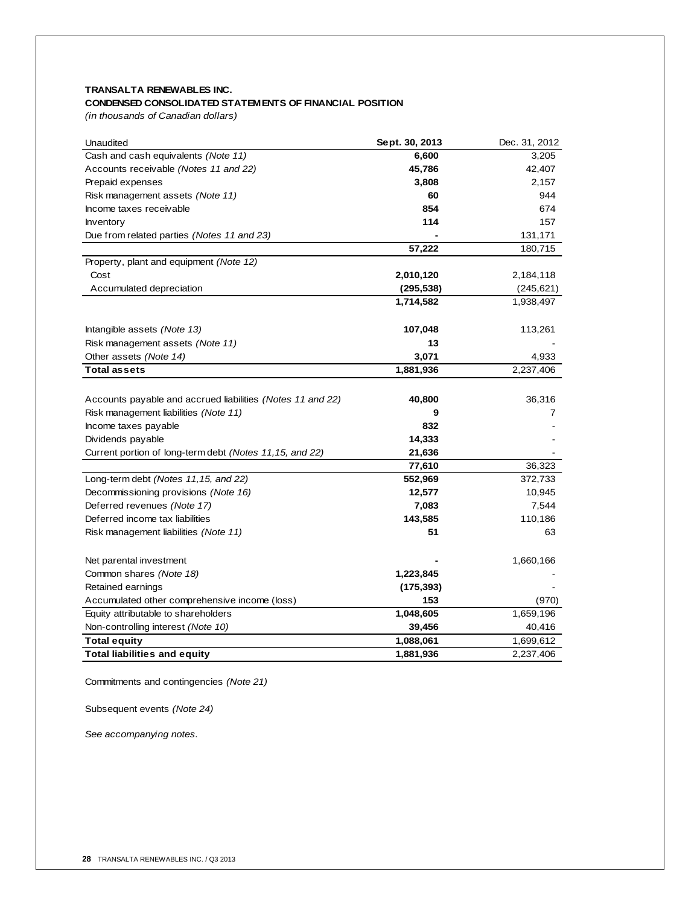## **CONDENSED CONSOLIDATED STATEMENTS OF FINANCIAL POSITION**

*(in thousands of Canadian dollars)*

| Unaudited                                                  | Sept. 30, 2013 | Dec. 31, 2012 |
|------------------------------------------------------------|----------------|---------------|
| Cash and cash equivalents (Note 11)                        | 6,600          | 3,205         |
| Accounts receivable (Notes 11 and 22)                      | 45,786         | 42,407        |
| Prepaid expenses                                           | 3,808          | 2,157         |
| Risk management assets (Note 11)                           | 60             | 944           |
| Income taxes receivable                                    | 854            | 674           |
| <b>Inventory</b>                                           | 114            | 157           |
| Due from related parties (Notes 11 and 23)                 |                | 131,171       |
|                                                            | 57,222         | 180,715       |
| Property, plant and equipment (Note 12)                    |                |               |
| Cost                                                       | 2,010,120      | 2,184,118     |
| Accumulated depreciation                                   | (295,538)      | (245, 621)    |
|                                                            | 1,714,582      | 1,938,497     |
|                                                            |                |               |
| Intangible assets (Note 13)                                | 107,048        | 113,261       |
| Risk management assets (Note 11)                           | 13             |               |
| Other assets (Note 14)                                     | 3,071          | 4,933         |
| <b>Total assets</b>                                        | 1,881,936      | 2,237,406     |
|                                                            |                |               |
| Accounts payable and accrued liabilities (Notes 11 and 22) | 40,800         | 36,316        |
| Risk management liabilities (Note 11)                      | 9              | 7             |
| Income taxes payable                                       | 832            |               |
| Dividends payable                                          | 14,333         |               |
| Current portion of long-term debt (Notes 11,15, and 22)    | 21,636         |               |
|                                                            | 77,610         | 36,323        |
| Long-term debt (Notes 11,15, and 22)                       | 552,969        | 372,733       |
| Decommissioning provisions (Note 16)                       | 12,577         | 10,945        |
| Deferred revenues (Note 17)                                | 7,083          | 7,544         |
| Deferred income tax liabilities                            | 143,585        | 110,186       |
| Risk management liabilities (Note 11)                      | 51             | 63            |
|                                                            |                |               |
| Net parental investment                                    |                | 1,660,166     |
| Common shares (Note 18)                                    | 1,223,845      |               |
| Retained earnings                                          | (175, 393)     |               |
| Accumulated other comprehensive income (loss)              | 153            | (970)         |
| Equity attributable to shareholders                        | 1,048,605      | 1,659,196     |
| Non-controlling interest (Note 10)                         | 39,456         | 40,416        |
| Total equity                                               | 1,088,061      | 1,699,612     |
| <b>Total liabilities and equity</b>                        | 1,881,936      | 2,237,406     |

Commitments and contingencies *(Note 21)*

Subsequent events *(Note 24)*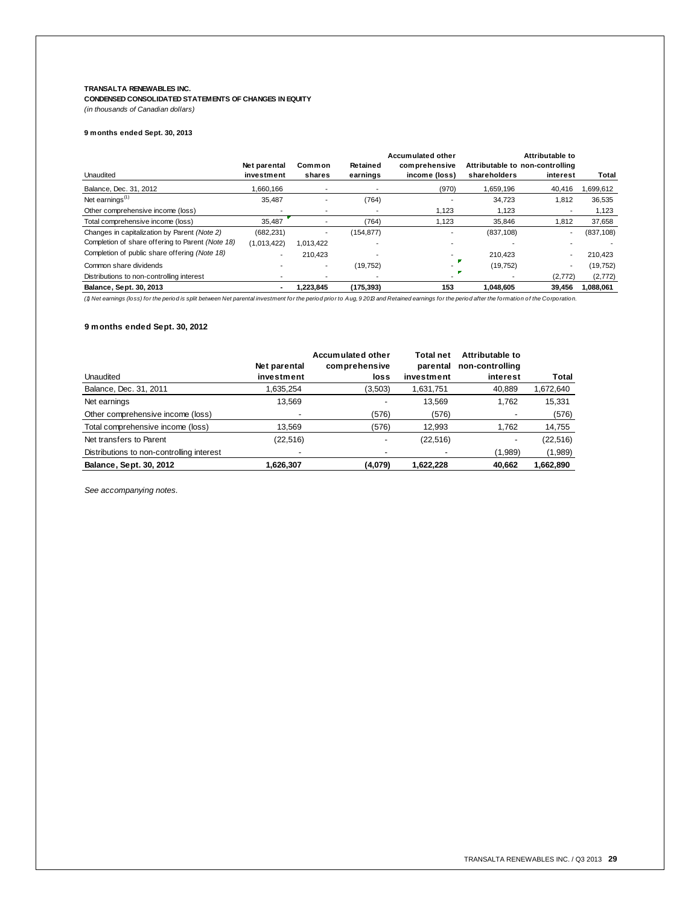**CONDENSED CONSOLIDATED STATEMENTS OF CHANGES IN EQUITY** *(in thousands of Canadian dollars)*

| 9 months ended Sept. 30, 2013 |  |
|-------------------------------|--|
|                               |  |

| Unaudited                                        | Net parental<br>investment | Common<br>shares | Retained<br>earnings | Accumulated other<br>comprehensive<br>income (loss) | shareholders | Attributable to<br>Attributable to non-controlling<br>interest | Total      |
|--------------------------------------------------|----------------------------|------------------|----------------------|-----------------------------------------------------|--------------|----------------------------------------------------------------|------------|
| Balance, Dec. 31, 2012                           | 1,660,166                  |                  |                      | (970)                                               | 1,659,196    | 40.416                                                         | 1,699,612  |
| Net earnings $(1)$                               | 35.487                     |                  | (764)                |                                                     | 34.723       | 1.812                                                          | 36.535     |
| Other comprehensive income (loss)                |                            |                  |                      | 1.123                                               | 1,123        |                                                                | 1,123      |
| Total comprehensive income (loss)                | 35,487                     |                  | (764)                | 1.123                                               | 35.846       | 1.812                                                          | 37,658     |
| Changes in capitalization by Parent (Note 2)     | (682, 231)                 |                  | (154, 877)           |                                                     | (837, 108)   | -                                                              | (837, 108) |
| Completion of share offering to Parent (Note 18) | (1,013,422)                | 1,013,422        |                      |                                                     |              |                                                                |            |
| Completion of public share offering (Note 18)    |                            | 210.423          |                      |                                                     | 210.423      |                                                                | 210.423    |
| Common share dividends                           |                            |                  | (19, 752)            |                                                     | (19, 752)    | $\overline{\phantom{0}}$                                       | (19, 752)  |
| Distributions to non-controlling interest        |                            |                  |                      |                                                     |              | (2,772)                                                        | (2,772)    |
| Balance, Sept. 30, 2013                          |                            | 1.223.845        | (175, 393)           | 153                                                 | 1.048.605    | 39.456                                                         | 1,088,061  |
|                                                  |                            |                  |                      |                                                     |              |                                                                |            |

*(1) Net earnings (loss) for the period is split between Net parental investment for the period prior to Aug, 9 2013 and Retained earnings for the period after the formation of the Corporation.*

## **9 months ended Sept. 30, 2012**

|                                           |              | Accumulated other | Total net  | Attributable to |           |
|-------------------------------------------|--------------|-------------------|------------|-----------------|-----------|
|                                           | Net parental | comprehensive     | parental   | non-controlling |           |
| Unaudited                                 | investment   | loss              | investment | interest        | Total     |
| Balance, Dec. 31, 2011                    | 1.635.254    | (3,503)           | 1,631,751  | 40,889          | 1,672,640 |
| Net earnings                              | 13.569       |                   | 13.569     | 1.762           | 15,331    |
| Other comprehensive income (loss)         |              | (576)             | (576)      |                 | (576)     |
| Total comprehensive income (loss)         | 13.569       | (576)             | 12.993     | 1.762           | 14,755    |
| Net transfers to Parent                   | (22,516)     |                   | (22, 516)  |                 | (22,516)  |
| Distributions to non-controlling interest |              |                   |            | (1,989)         | (1,989)   |
| Balance, Sept. 30, 2012                   | 1.626.307    | (4,079)           | 1.622.228  | 40.662          | 1.662.890 |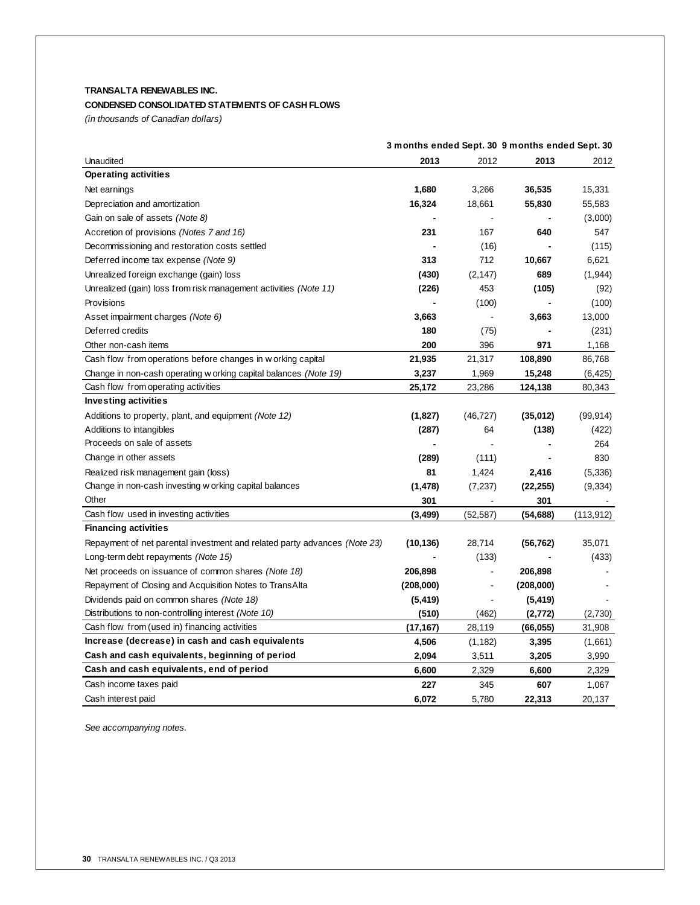## **CONDENSED CONSOLIDATED STATEMENTS OF CASH FLOWS**

*(in thousands of Canadian dollars)*

|                                                                           | 3 months ended Sept. 30 9 months ended Sept. 30 |                |                |            |
|---------------------------------------------------------------------------|-------------------------------------------------|----------------|----------------|------------|
| Unaudited                                                                 | 2013                                            | 2012           | 2013           | 2012       |
| <b>Operating activities</b>                                               |                                                 |                |                |            |
| Net earnings                                                              | 1,680                                           | 3,266          | 36,535         | 15,331     |
| Depreciation and amortization                                             | 16,324                                          | 18,661         | 55,830         | 55,583     |
| Gain on sale of assets (Note 8)                                           | $\qquad \qquad \blacksquare$                    | $\blacksquare$ | $\blacksquare$ | (3,000)    |
| Accretion of provisions (Notes 7 and 16)                                  | 231                                             | 167            | 640            | 547        |
| Decommissioning and restoration costs settled                             |                                                 | (16)           |                | (115)      |
| Deferred income tax expense (Note 9)                                      | 313                                             | 712            | 10,667         | 6,621      |
| Unrealized foreign exchange (gain) loss                                   | (430)                                           | (2, 147)       | 689            | (1,944)    |
| Unrealized (gain) loss from risk management activities (Note 11)          | (226)                                           | 453            | (105)          | (92)       |
| Provisions                                                                |                                                 | (100)          |                | (100)      |
| Asset impairment charges (Note 6)                                         | 3,663                                           | $\blacksquare$ | 3,663          | 13,000     |
| Deferred credits                                                          | 180                                             | (75)           |                | (231)      |
| Other non-cash items                                                      | 200                                             | 396            | 971            | 1,168      |
| Cash flow from operations before changes in w orking capital              | 21,935                                          | 21,317         | 108,890        | 86,768     |
| Change in non-cash operating w orking capital balances (Note 19)          | 3,237                                           | 1,969          | 15,248         | (6, 425)   |
| Cash flow from operating activities                                       | 25,172                                          | 23,286         | 124,138        | 80,343     |
| <b>Investing activities</b>                                               |                                                 |                |                |            |
| Additions to property, plant, and equipment (Note 12)                     | (1,827)                                         | (46, 727)      | (35,012)       | (99, 914)  |
| Additions to intangibles                                                  | (287)                                           | 64             | (138)          | (422)      |
| Proceeds on sale of assets                                                | $\qquad \qquad \blacksquare$                    |                |                | 264        |
| Change in other assets                                                    | (289)                                           | (111)          |                | 830        |
| Realized risk management gain (loss)                                      | 81                                              | 1,424          | 2,416          | (5,336)    |
| Change in non-cash investing w orking capital balances                    | (1, 478)                                        | (7,237)        | (22, 255)      | (9, 334)   |
| Other                                                                     | 301                                             |                | 301            |            |
| Cash flow used in investing activities                                    | (3, 499)                                        | (52, 587)      | (54, 688)      | (113, 912) |
| <b>Financing activities</b>                                               |                                                 |                |                |            |
| Repayment of net parental investment and related party advances (Note 23) | (10, 136)                                       | 28,714         | (56, 762)      | 35,071     |
| Long-term debt repayments (Note 15)                                       |                                                 | (133)          |                | (433)      |
| Net proceeds on issuance of common shares (Note 18)                       | 206,898                                         | $\overline{a}$ | 206,898        |            |
| Repayment of Closing and Acquisition Notes to TransAlta                   | (208,000)                                       | $\blacksquare$ | (208,000)      |            |
| Dividends paid on common shares (Note 18)                                 | (5, 419)                                        | $\blacksquare$ | (5, 419)       |            |
| Distributions to non-controlling interest (Note 10)                       | (510)                                           | (462)          | (2,772)        | (2,730)    |
| Cash flow from (used in) financing activities                             | (17, 167)                                       | 28,119         | (66, 055)      | 31,908     |
| Increase (decrease) in cash and cash equivalents                          | 4,506                                           | (1, 182)       | 3,395          | (1,661)    |
| Cash and cash equivalents, beginning of period                            | 2,094                                           | 3,511          | 3,205          | 3,990      |
| Cash and cash equivalents, end of period                                  | 6,600                                           | 2,329          | 6,600          | 2,329      |
| Cash income taxes paid                                                    | 227                                             | 345            | 607            | 1,067      |
| Cash interest paid                                                        | 6,072                                           | 5,780          | 22,313         | 20,137     |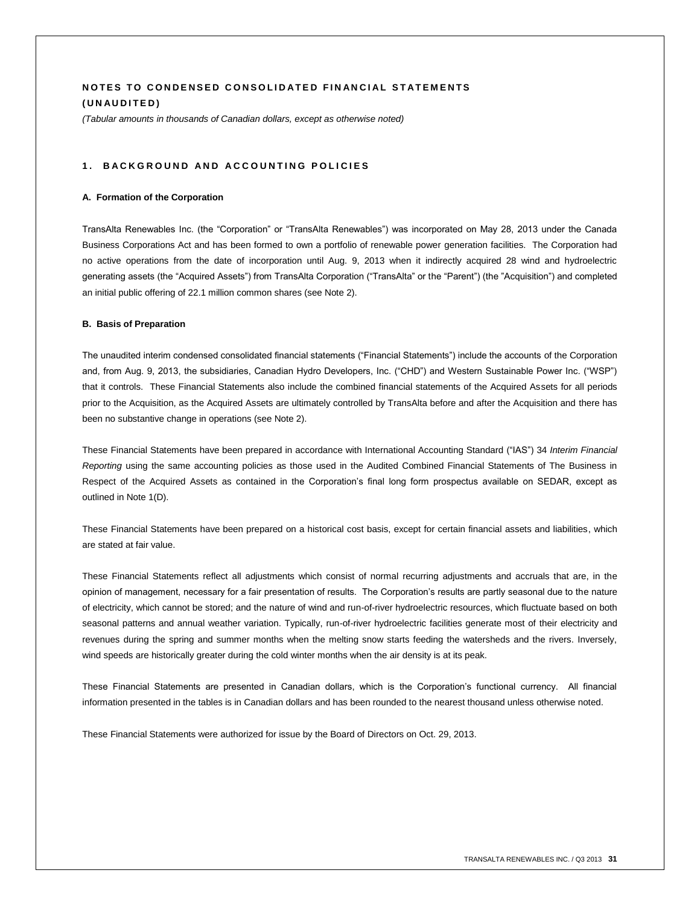## **NOTES TO CONDENSED CONSOLIDATED FINANCIAL STATEMENTS ( U N A U D I T E D )**

*(Tabular amounts in thousands of Canadian dollars, except as otherwise noted)*

#### **1 . B A C K G R O U N D A N D A CCO U N T I N G P O L I C I E S**

#### **A. Formation of the Corporation**

TransAlta Renewables Inc. (the "Corporation" or "TransAlta Renewables") was incorporated on May 28, 2013 under the Canada Business Corporations Act and has been formed to own a portfolio of renewable power generation facilities. The Corporation had no active operations from the date of incorporation until Aug. 9, 2013 when it indirectly acquired 28 wind and hydroelectric generating assets (the "Acquired Assets") from TransAlta Corporation ("TransAlta" or the "Parent") (the "Acquisition") and completed an initial public offering of 22.1 million common shares (see Note 2).

#### **B. Basis of Preparation**

The unaudited interim condensed consolidated financial statements ("Financial Statements") include the accounts of the Corporation and, from Aug. 9, 2013, the subsidiaries, Canadian Hydro Developers, Inc. ("CHD") and Western Sustainable Power Inc. ("WSP") that it controls. These Financial Statements also include the combined financial statements of the Acquired Assets for all periods prior to the Acquisition, as the Acquired Assets are ultimately controlled by TransAlta before and after the Acquisition and there has been no substantive change in operations (see Note 2).

These Financial Statements have been prepared in accordance with International Accounting Standard ("IAS") 34 *Interim Financial Reporting* using the same accounting policies as those used in the Audited Combined Financial Statements of The Business in Respect of the Acquired Assets as contained in the Corporation's final long form prospectus available on SEDAR, except as outlined in Note 1(D).

These Financial Statements have been prepared on a historical cost basis, except for certain financial assets and liabilities, which are stated at fair value.

These Financial Statements reflect all adjustments which consist of normal recurring adjustments and accruals that are, in the opinion of management, necessary for a fair presentation of results. The Corporation's results are partly seasonal due to the nature of electricity, which cannot be stored; and the nature of wind and run-of-river hydroelectric resources, which fluctuate based on both seasonal patterns and annual weather variation. Typically, run-of-river hydroelectric facilities generate most of their electricity and revenues during the spring and summer months when the melting snow starts feeding the watersheds and the rivers. Inversely, wind speeds are historically greater during the cold winter months when the air density is at its peak.

These Financial Statements are presented in Canadian dollars, which is the Corporation's functional currency. All financial information presented in the tables is in Canadian dollars and has been rounded to the nearest thousand unless otherwise noted.

These Financial Statements were authorized for issue by the Board of Directors on Oct. 29, 2013.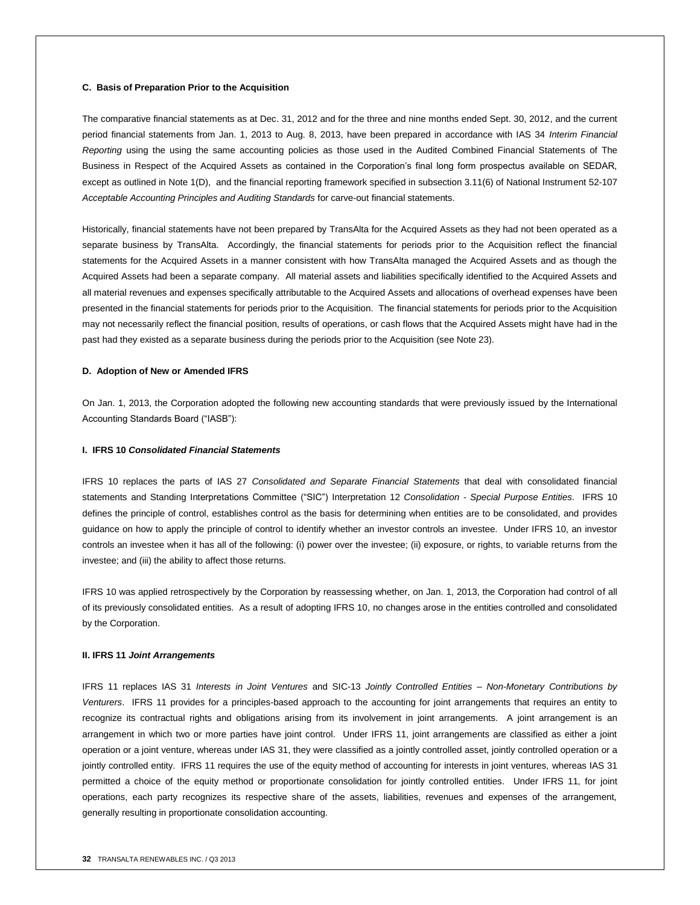#### **C. Basis of Preparation Prior to the Acquisition**

The comparative financial statements as at Dec. 31, 2012 and for the three and nine months ended Sept. 30, 2012, and the current period financial statements from Jan. 1, 2013 to Aug. 8, 2013, have been prepared in accordance with IAS 34 *Interim Financial Reporting* using the using the same accounting policies as those used in the Audited Combined Financial Statements of The Business in Respect of the Acquired Assets as contained in the Corporation's final long form prospectus available on SEDAR, except as outlined in Note 1(D), and the financial reporting framework specified in subsection 3.11(6) of National Instrument 52-107 *Acceptable Accounting Principles and Auditing Standards* for carve-out financial statements.

Historically, financial statements have not been prepared by TransAlta for the Acquired Assets as they had not been operated as a separate business by TransAlta. Accordingly, the financial statements for periods prior to the Acquisition reflect the financial statements for the Acquired Assets in a manner consistent with how TransAlta managed the Acquired Assets and as though the Acquired Assets had been a separate company. All material assets and liabilities specifically identified to the Acquired Assets and all material revenues and expenses specifically attributable to the Acquired Assets and allocations of overhead expenses have been presented in the financial statements for periods prior to the Acquisition. The financial statements for periods prior to the Acquisition may not necessarily reflect the financial position, results of operations, or cash flows that the Acquired Assets might have had in the past had they existed as a separate business during the periods prior to the Acquisition (see Note 23).

#### **D. Adoption of New or Amended IFRS**

On Jan. 1, 2013, the Corporation adopted the following new accounting standards that were previously issued by the International Accounting Standards Board ("IASB"):

#### **I. IFRS 10** *Consolidated Financial Statements*

IFRS 10 replaces the parts of IAS 27 *Consolidated and Separate Financial Statements* that deal with consolidated financial statements and Standing Interpretations Committee ("SIC") Interpretation 12 *Consolidation - Special Purpose Entities*.IFRS 10 defines the principle of control, establishes control as the basis for determining when entities are to be consolidated, and provides guidance on how to apply the principle of control to identify whether an investor controls an investee. Under IFRS 10, an investor controls an investee when it has all of the following: (i) power over the investee; (ii) exposure, or rights, to variable returns from the investee; and (iii) the ability to affect those returns.

IFRS 10 was applied retrospectively by the Corporation by reassessing whether, on Jan. 1, 2013, the Corporation had control of all of its previously consolidated entities. As a result of adopting IFRS 10, no changes arose in the entities controlled and consolidated by the Corporation.

#### **II. IFRS 11** *Joint Arrangements*

IFRS 11 replaces IAS 31 *Interests in Joint Ventures* and SIC-13 *Jointly Controlled Entities – Non-Monetary Contributions by Venturers*. IFRS 11 provides for a principles-based approach to the accounting for joint arrangements that requires an entity to recognize its contractual rights and obligations arising from its involvement in joint arrangements. A joint arrangement is an arrangement in which two or more parties have joint control. Under IFRS 11, joint arrangements are classified as either a joint operation or a joint venture, whereas under IAS 31, they were classified as a jointly controlled asset, jointly controlled operation or a jointly controlled entity. IFRS 11 requires the use of the equity method of accounting for interests in joint ventures, whereas IAS 31 permitted a choice of the equity method or proportionate consolidation for jointly controlled entities. Under IFRS 11, for joint operations, each party recognizes its respective share of the assets, liabilities, revenues and expenses of the arrangement, generally resulting in proportionate consolidation accounting.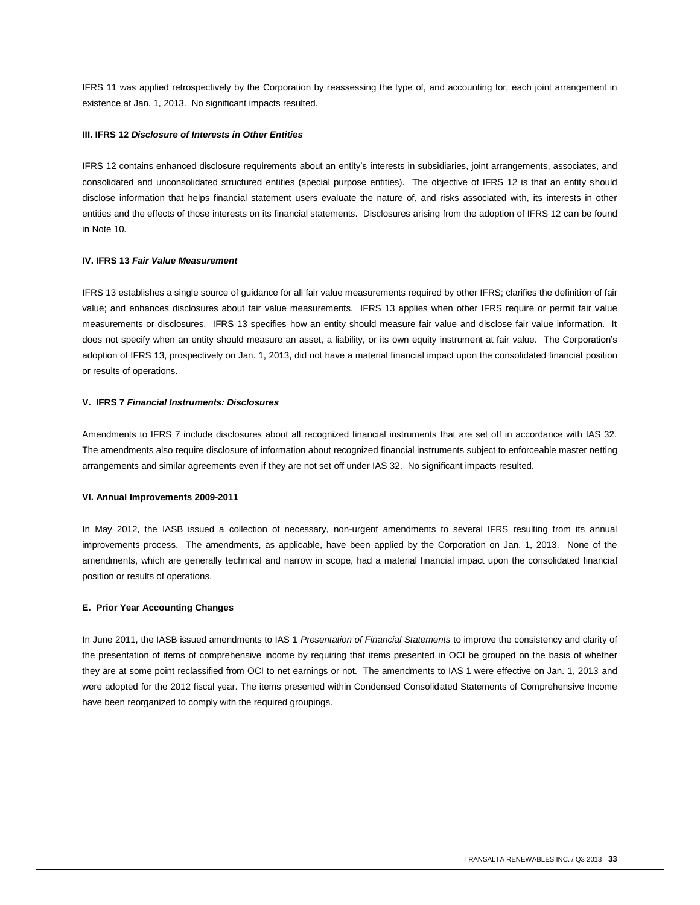IFRS 11 was applied retrospectively by the Corporation by reassessing the type of, and accounting for, each joint arrangement in existence at Jan. 1, 2013. No significant impacts resulted.

#### **III. IFRS 12** *Disclosure of Interests in Other Entities*

IFRS 12 contains enhanced disclosure requirements about an entity's interests in subsidiaries, joint arrangements, associates, and consolidated and unconsolidated structured entities (special purpose entities). The objective of IFRS 12 is that an entity should disclose information that helps financial statement users evaluate the nature of, and risks associated with, its interests in other entities and the effects of those interests on its financial statements. Disclosures arising from the adoption of IFRS 12 can be found in Note 10.

#### **IV. IFRS 13** *Fair Value Measurement*

IFRS 13 establishes a single source of guidance for all fair value measurements required by other IFRS; clarifies the definition of fair value; and enhances disclosures about fair value measurements. IFRS 13 applies when other IFRS require or permit fair value measurements or disclosures. IFRS 13 specifies how an entity should measure fair value and disclose fair value information. It does not specify when an entity should measure an asset, a liability, or its own equity instrument at fair value. The Corporation's adoption of IFRS 13, prospectively on Jan. 1, 2013, did not have a material financial impact upon the consolidated financial position or results of operations.

#### **V. IFRS 7** *Financial Instruments: Disclosures*

Amendments to IFRS 7 include disclosures about all recognized financial instruments that are set off in accordance with IAS 32. The amendments also require disclosure of information about recognized financial instruments subject to enforceable master netting arrangements and similar agreements even if they are not set off under IAS 32. No significant impacts resulted.

#### **VI. Annual Improvements 2009-2011**

In May 2012, the IASB issued a collection of necessary, non-urgent amendments to several IFRS resulting from its annual improvements process. The amendments, as applicable, have been applied by the Corporation on Jan. 1, 2013. None of the amendments, which are generally technical and narrow in scope, had a material financial impact upon the consolidated financial position or results of operations.

#### **E. Prior Year Accounting Changes**

In June 2011, the IASB issued amendments to IAS 1 *Presentation of Financial Statements* to improve the consistency and clarity of the presentation of items of comprehensive income by requiring that items presented in OCI be grouped on the basis of whether they are at some point reclassified from OCI to net earnings or not. The amendments to IAS 1 were effective on Jan. 1, 2013 and were adopted for the 2012 fiscal year. The items presented within Condensed Consolidated Statements of Comprehensive Income have been reorganized to comply with the required groupings.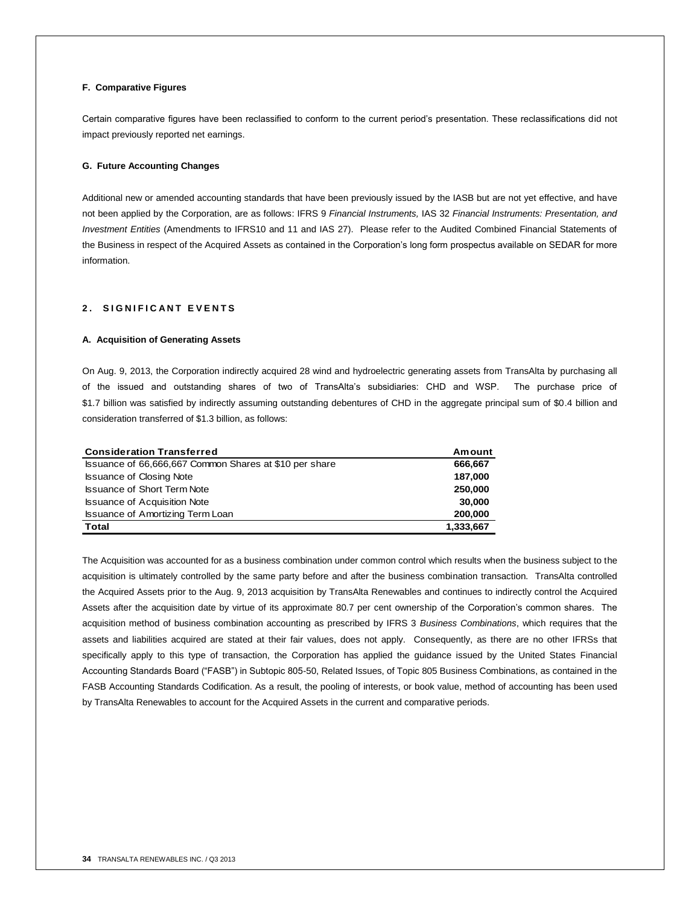#### **F. Comparative Figures**

Certain comparative figures have been reclassified to conform to the current period's presentation. These reclassifications did not impact previously reported net earnings.

#### **G. Future Accounting Changes**

Additional new or amended accounting standards that have been previously issued by the IASB but are not yet effective, and have not been applied by the Corporation, are as follows: IFRS 9 *Financial Instruments,* IAS 32 *Financial Instruments: Presentation, and Investment Entities* (Amendments to IFRS10 and 11 and IAS 27). Please refer to the Audited Combined Financial Statements of the Business in respect of the Acquired Assets as contained in the Corporation's long form prospectus available on SEDAR for more information.

## **2. SIGNIFICANT EVENTS**

#### **A. Acquisition of Generating Assets**

On Aug. 9, 2013, the Corporation indirectly acquired 28 wind and hydroelectric generating assets from TransAlta by purchasing all of the issued and outstanding shares of two of TransAlta's subsidiaries: CHD and WSP. The purchase price of \$1.7 billion was satisfied by indirectly assuming outstanding debentures of CHD in the aggregate principal sum of \$0.4 billion and consideration transferred of \$1.3 billion, as follows:

| <b>Consideration Transferred</b>                       | Amount    |
|--------------------------------------------------------|-----------|
| Issuance of 66,666,667 Common Shares at \$10 per share | 666,667   |
| <b>Issuance of Closing Note</b>                        | 187,000   |
| <b>Issuance of Short Term Note</b>                     | 250,000   |
| <b>Issuance of Acquisition Note</b>                    | 30,000    |
| <b>Issuance of Amortizing Term Loan</b>                | 200,000   |
| <b>Total</b>                                           | 1,333,667 |

The Acquisition was accounted for as a business combination under common control which results when the business subject to the acquisition is ultimately controlled by the same party before and after the business combination transaction. TransAlta controlled the Acquired Assets prior to the Aug. 9, 2013 acquisition by TransAlta Renewables and continues to indirectly control the Acquired Assets after the acquisition date by virtue of its approximate 80.7 per cent ownership of the Corporation's common shares. The acquisition method of business combination accounting as prescribed by IFRS 3 *Business Combinations*, which requires that the assets and liabilities acquired are stated at their fair values, does not apply. Consequently, as there are no other IFRSs that specifically apply to this type of transaction, the Corporation has applied the guidance issued by the United States Financial Accounting Standards Board ("FASB") in Subtopic 805-50, Related Issues, of Topic 805 Business Combinations, as contained in the FASB Accounting Standards Codification. As a result, the pooling of interests, or book value, method of accounting has been used by TransAlta Renewables to account for the Acquired Assets in the current and comparative periods.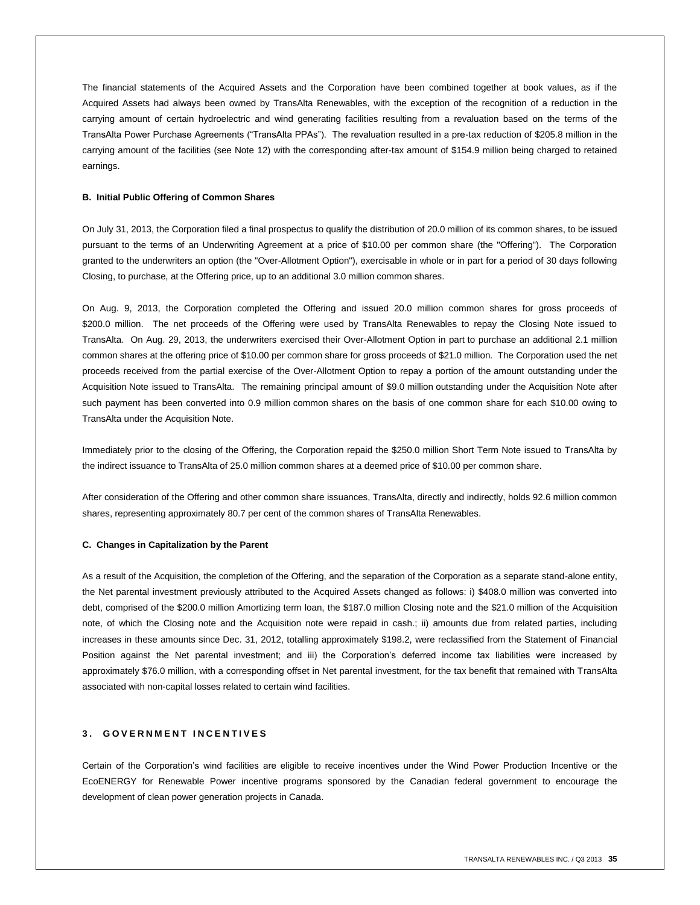The financial statements of the Acquired Assets and the Corporation have been combined together at book values, as if the Acquired Assets had always been owned by TransAlta Renewables, with the exception of the recognition of a reduction in the carrying amount of certain hydroelectric and wind generating facilities resulting from a revaluation based on the terms of the TransAlta Power Purchase Agreements ("TransAlta PPAs"). The revaluation resulted in a pre-tax reduction of \$205.8 million in the carrying amount of the facilities (see Note 12) with the corresponding after-tax amount of \$154.9 million being charged to retained earnings.

#### **B. Initial Public Offering of Common Shares**

On July 31, 2013, the Corporation filed a final prospectus to qualify the distribution of 20.0 million of its common shares, to be issued pursuant to the terms of an Underwriting Agreement at a price of \$10.00 per common share (the "Offering"). The Corporation granted to the underwriters an option (the "Over-Allotment Option"), exercisable in whole or in part for a period of 30 days following Closing, to purchase, at the Offering price, up to an additional 3.0 million common shares.

On Aug. 9, 2013, the Corporation completed the Offering and issued 20.0 million common shares for gross proceeds of \$200.0 million. The net proceeds of the Offering were used by TransAlta Renewables to repay the Closing Note issued to TransAlta. On Aug. 29, 2013, the underwriters exercised their Over-Allotment Option in part to purchase an additional 2.1 million common shares at the offering price of \$10.00 per common share for gross proceeds of \$21.0 million. The Corporation used the net proceeds received from the partial exercise of the Over-Allotment Option to repay a portion of the amount outstanding under the Acquisition Note issued to TransAlta. The remaining principal amount of \$9.0 million outstanding under the Acquisition Note after such payment has been converted into 0.9 million common shares on the basis of one common share for each \$10.00 owing to TransAlta under the Acquisition Note.

Immediately prior to the closing of the Offering, the Corporation repaid the \$250.0 million Short Term Note issued to TransAlta by the indirect issuance to TransAlta of 25.0 million common shares at a deemed price of \$10.00 per common share.

After consideration of the Offering and other common share issuances, TransAlta, directly and indirectly, holds 92.6 million common shares, representing approximately 80.7 per cent of the common shares of TransAlta Renewables.

#### **C. Changes in Capitalization by the Parent**

As a result of the Acquisition, the completion of the Offering, and the separation of the Corporation as a separate stand-alone entity, the Net parental investment previously attributed to the Acquired Assets changed as follows: i) \$408.0 million was converted into debt, comprised of the \$200.0 million Amortizing term loan, the \$187.0 million Closing note and the \$21.0 million of the Acquisition note, of which the Closing note and the Acquisition note were repaid in cash.; ii) amounts due from related parties, including increases in these amounts since Dec. 31, 2012, totalling approximately \$198.2, were reclassified from the Statement of Financial Position against the Net parental investment; and iii) the Corporation's deferred income tax liabilities were increased by approximately \$76.0 million, with a corresponding offset in Net parental investment, for the tax benefit that remained with TransAlta associated with non-capital losses related to certain wind facilities.

## **3 . G O V E R N M E N T I N C E N T I V E S**

Certain of the Corporation's wind facilities are eligible to receive incentives under the Wind Power Production Incentive or the EcoENERGY for Renewable Power incentive programs sponsored by the Canadian federal government to encourage the development of clean power generation projects in Canada.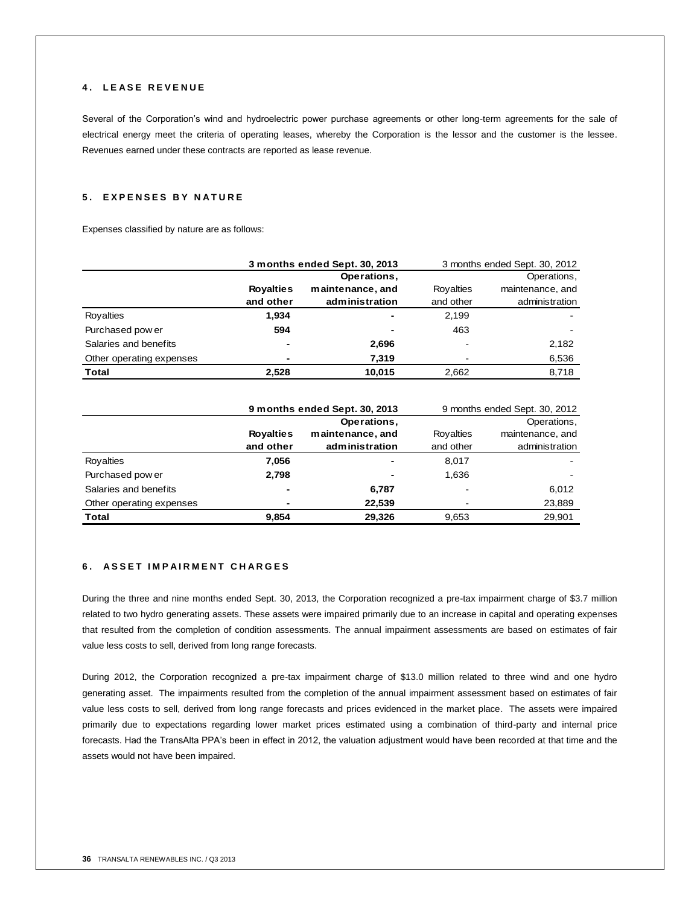## **4 . L E A S E R E V E N U E**

Several of the Corporation's wind and hydroelectric power purchase agreements or other long-term agreements for the sale of electrical energy meet the criteria of operating leases, whereby the Corporation is the lessor and the customer is the lessee. Revenues earned under these contracts are reported as lease revenue.

## **5 . E X P E N S E S B Y N A T U R E**

Expenses classified by nature are as follows:

|                          | 3 months ended Sept. 30, 2013 |                  |           | 3 months ended Sept. 30, 2012 |
|--------------------------|-------------------------------|------------------|-----------|-------------------------------|
|                          |                               | Operations,      |           | Operations,                   |
|                          | <b>Royalties</b>              | maintenance, and | Royalties | maintenance, and              |
|                          | and other                     | administration   | and other | administration                |
| Rovalties                | 1.934                         | ٠                | 2,199     |                               |
| Purchased pow er         | 594                           | ٠                | 463       |                               |
| Salaries and benefits    | $\overline{\phantom{0}}$      | 2,696            |           | 2,182                         |
| Other operating expenses |                               | 7.319            |           | 6,536                         |
| Total                    | 2.528                         | 10,015           | 2,662     | 8.718                         |

|                          | 9 months ended Sept. 30, 2013 |                  |           | 9 months ended Sept. 30, 2012 |
|--------------------------|-------------------------------|------------------|-----------|-------------------------------|
|                          |                               | Operations,      |           | Operations,                   |
|                          | <b>Royalties</b>              | maintenance, and | Rovalties | maintenance, and              |
|                          | and other                     | administration   | and other | administration                |
| Royalties                | 7,056                         | ٠                | 8.017     |                               |
| Purchased pow er         | 2.798                         | ٠                | 1,636     |                               |
| Salaries and benefits    |                               | 6,787            |           | 6,012                         |
| Other operating expenses | $\overline{\phantom{0}}$      | 22,539           |           | 23,889                        |
| Total                    | 9.854                         | 29,326           | 9,653     | 29.901                        |

## **6 . A S S E T I M P A I R M E N T C H A R G E S**

During the three and nine months ended Sept. 30, 2013, the Corporation recognized a pre-tax impairment charge of \$3.7 million related to two hydro generating assets. These assets were impaired primarily due to an increase in capital and operating expenses that resulted from the completion of condition assessments. The annual impairment assessments are based on estimates of fair value less costs to sell, derived from long range forecasts.

During 2012, the Corporation recognized a pre-tax impairment charge of \$13.0 million related to three wind and one hydro generating asset. The impairments resulted from the completion of the annual impairment assessment based on estimates of fair value less costs to sell, derived from long range forecasts and prices evidenced in the market place. The assets were impaired primarily due to expectations regarding lower market prices estimated using a combination of third-party and internal price forecasts. Had the TransAlta PPA's been in effect in 2012, the valuation adjustment would have been recorded at that time and the assets would not have been impaired.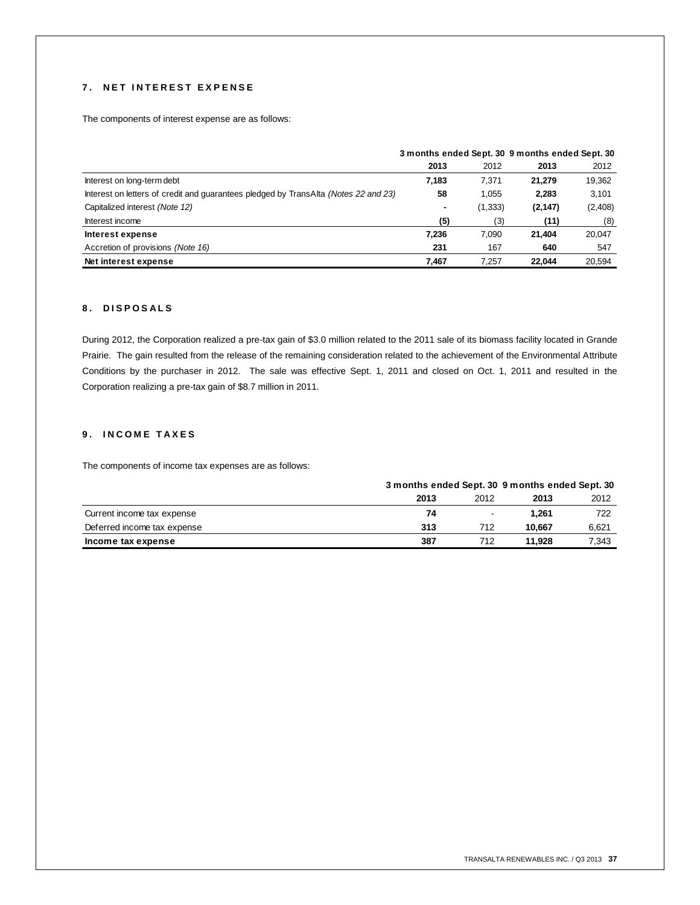## **7 . N E T I N T E R E S T E X P E N S E**

The components of interest expense are as follows:

|                                                                                     | 3 months ended Sept. 30 9 months ended Sept. 30 |         |          |         |
|-------------------------------------------------------------------------------------|-------------------------------------------------|---------|----------|---------|
|                                                                                     | 2013                                            | 2012    | 2013     | 2012    |
| Interest on long-term debt                                                          | 7.183                                           | 7.371   | 21.279   | 19,362  |
| Interest on letters of credit and quarantees pledged by TransAlta (Notes 22 and 23) | 58                                              | 1,055   | 2,283    | 3.101   |
| Capitalized interest (Note 12)                                                      | ۰                                               | (1,333) | (2, 147) | (2,408) |
| Interest income                                                                     | (5)                                             | (3)     | (11)     | (8)     |
| Interest expense                                                                    | 7,236                                           | 7.090   | 21,404   | 20,047  |
| Accretion of provisions (Note 16)                                                   | 231                                             | 167     | 640      | 547     |
| Net interest expense                                                                | 7.467                                           | 7.257   | 22.044   | 20,594  |

## **8 . D I S P O S A L S**

During 2012, the Corporation realized a pre-tax gain of \$3.0 million related to the 2011 sale of its biomass facility located in Grande Prairie. The gain resulted from the release of the remaining consideration related to the achievement of the Environmental Attribute Conditions by the purchaser in 2012. The sale was effective Sept. 1, 2011 and closed on Oct. 1, 2011 and resulted in the Corporation realizing a pre-tax gain of \$8.7 million in 2011.

## **9 . I N C O M E T A X E S**

The components of income tax expenses are as follows:

|                             |      | 3 months ended Sept. 30 9 months ended Sept. 30 |        |       |
|-----------------------------|------|-------------------------------------------------|--------|-------|
|                             | 2013 | 2012                                            | 2013   | 2012  |
| Current income tax expense  | 74   | $\sim$                                          | 1.261  | 722   |
| Deferred income tax expense | 313  | 712                                             | 10.667 | 6,621 |
| Income tax expense          | 387  | 712                                             | 11.928 | 7,343 |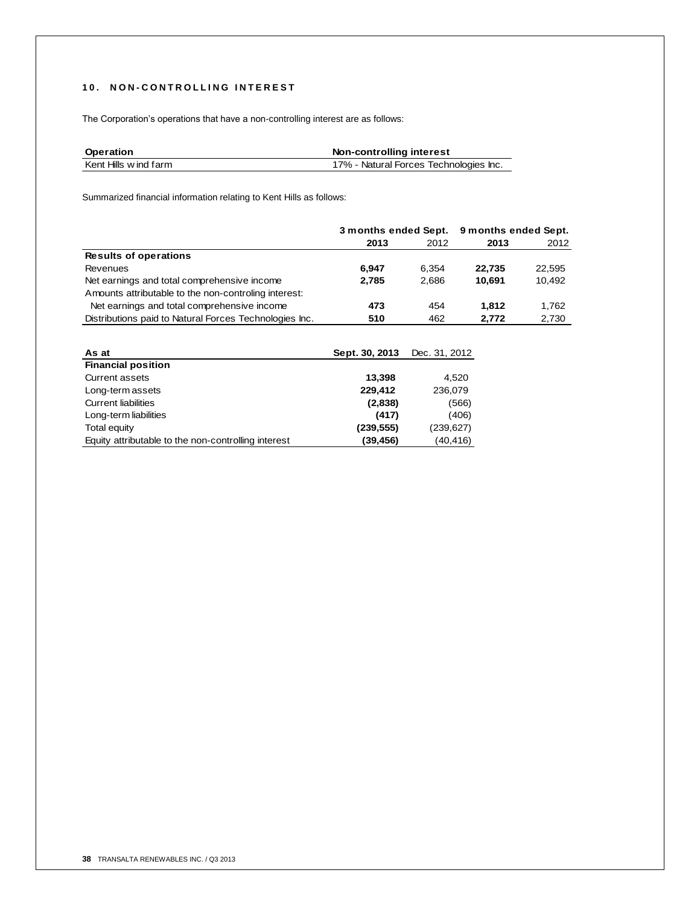## **1 0 . N O N - C O N T R O L L I N G I N T E R E S T**

The Corporation's operations that have a non-controlling interest are as follows:

| Operation             | Non-controlling interest               |
|-----------------------|----------------------------------------|
| Kent Hills w ind farm | 17% - Natural Forces Technologies Inc. |
|                       |                                        |

Summarized financial information relating to Kent Hills as follows:

|                                                        | 3 months ended Sept. |               | 9 months ended Sept. |        |
|--------------------------------------------------------|----------------------|---------------|----------------------|--------|
|                                                        | 2013                 | 2012          | 2013                 | 2012   |
| <b>Results of operations</b>                           |                      |               |                      |        |
| <b>Revenues</b>                                        | 6.947                | 6.354         | 22.735               | 22,595 |
| Net earnings and total comprehensive income            | 2.785                | 2.686         | 10.691               | 10,492 |
| Amounts attributable to the non-controling interest:   |                      |               |                      |        |
| Net earnings and total comprehensive income            | 473                  | 454           | 1.812                | 1,762  |
| Distributions paid to Natural Forces Technologies Inc. | 510                  | 462           | 2,772                | 2,730  |
|                                                        |                      |               |                      |        |
| As at                                                  | Sept. 30, 2013       | Dec. 31, 2012 |                      |        |

| As at                                               | Sept. 30, 2013 | Dec. 31, 2012 |
|-----------------------------------------------------|----------------|---------------|
| <b>Financial position</b>                           |                |               |
| <b>Current assets</b>                               | 13,398         | 4.520         |
| Long-term assets                                    | 229.412        | 236,079       |
| <b>Current liabilities</b>                          | (2,838)        | (566)         |
| Long-term liabilities                               | (417)          | (406)         |
| <b>Total equity</b>                                 | (239,555)      | (239, 627)    |
| Equity attributable to the non-controlling interest | (39,456)       | (40,416)      |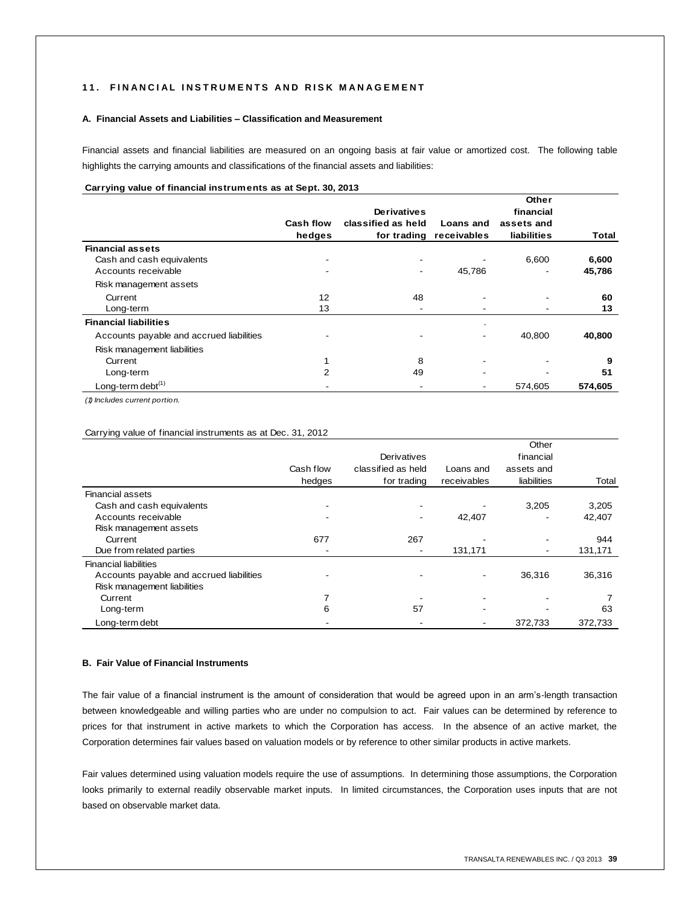#### 11. FINANCIAL INSTRUMENTS AND RISK MANAGEMENT

#### **A. Financial Assets and Liabilities – Classification and Measurement**

Financial assets and financial liabilities are measured on an ongoing basis at fair value or amortized cost. The following table highlights the carrying amounts and classifications of the financial assets and liabilities:

## **Carrying value of financial instruments as at Sept. 30, 2013**

|                                          |           |                    |                         | Other              |         |
|------------------------------------------|-----------|--------------------|-------------------------|--------------------|---------|
|                                          |           | <b>Derivatives</b> |                         | financial          |         |
|                                          | Cash flow | classified as held | Loans and               | assets and         |         |
|                                          | hedges    |                    | for trading receivables | <b>liabilities</b> | Total   |
| <b>Financial assets</b>                  |           |                    |                         |                    |         |
| Cash and cash equivalents                |           |                    |                         | 6.600              | 6,600   |
| Accounts receivable                      |           |                    | 45,786                  |                    | 45,786  |
| Risk management assets                   |           |                    |                         |                    |         |
| Current                                  | 12        | 48                 |                         |                    | 60      |
| Long-term                                | 13        |                    |                         |                    | 13      |
| <b>Financial liabilities</b>             |           |                    |                         |                    |         |
| Accounts payable and accrued liabilities |           |                    |                         | 40.800             | 40,800  |
| Risk management liabilities              |           |                    |                         |                    |         |
| Current                                  |           | 8                  |                         |                    | 9       |
| Long-term                                | 2         | 49                 |                         |                    | 51      |
| Long-term debt <sup>(1)</sup>            |           |                    |                         | 574,605            | 574,605 |

*(1) Includes current portion.*

| Carrying value of financial instruments as at Dec. 31, 2012 |                     |                                                  |                          |                                                 |         |
|-------------------------------------------------------------|---------------------|--------------------------------------------------|--------------------------|-------------------------------------------------|---------|
|                                                             | Cash flow<br>hedges | Derivatives<br>classified as held<br>for trading | Loans and<br>receivables | Other<br>financial<br>assets and<br>liabilities | Total   |
| <b>Financial assets</b>                                     |                     |                                                  |                          |                                                 |         |
| Cash and cash equivalents                                   |                     |                                                  |                          | 3,205                                           | 3,205   |
| Accounts receivable                                         |                     |                                                  | 42,407                   |                                                 | 42,407  |
| Risk management assets                                      |                     |                                                  |                          |                                                 |         |
| Current                                                     | 677                 | 267                                              |                          |                                                 | 944     |
| Due from related parties                                    |                     |                                                  | 131,171                  |                                                 | 131,171 |
| <b>Financial liabilities</b>                                |                     |                                                  |                          |                                                 |         |
| Accounts payable and accrued liabilities                    |                     |                                                  |                          | 36,316                                          | 36,316  |
| Risk management liabilities                                 |                     |                                                  |                          |                                                 |         |
| Current                                                     |                     |                                                  |                          |                                                 |         |
| Long-term                                                   | 6                   | 57                                               |                          |                                                 | 63      |
| Long-term debt                                              |                     |                                                  |                          | 372,733                                         | 372,733 |

#### **B. Fair Value of Financial Instruments**

The fair value of a financial instrument is the amount of consideration that would be agreed upon in an arm's-length transaction between knowledgeable and willing parties who are under no compulsion to act. Fair values can be determined by reference to prices for that instrument in active markets to which the Corporation has access. In the absence of an active market, the Corporation determines fair values based on valuation models or by reference to other similar products in active markets.

Fair values determined using valuation models require the use of assumptions. In determining those assumptions, the Corporation looks primarily to external readily observable market inputs. In limited circumstances, the Corporation uses inputs that are not based on observable market data.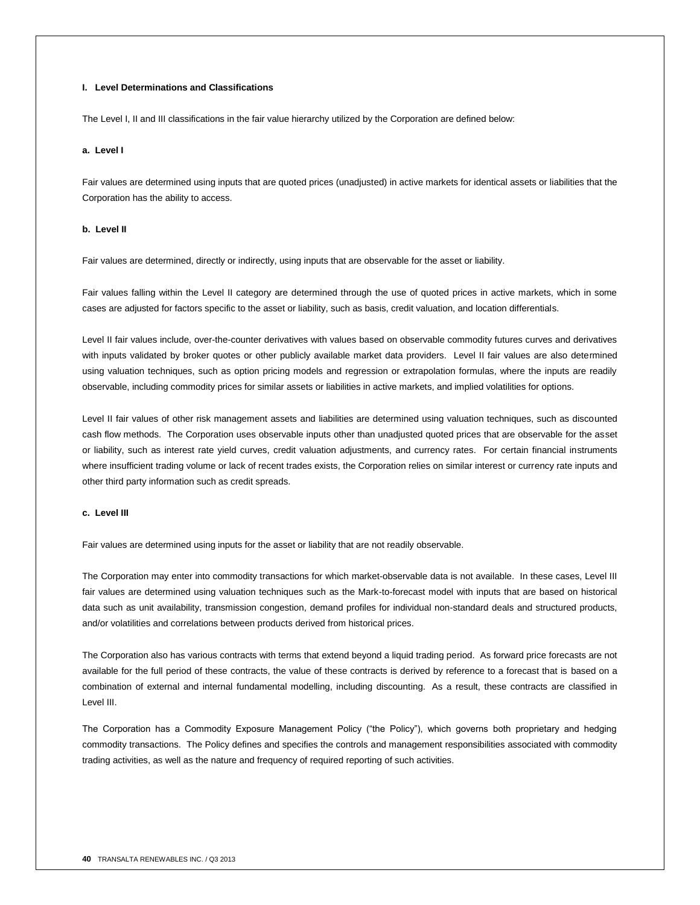#### **I. Level Determinations and Classifications**

The Level I, II and III classifications in the fair value hierarchy utilized by the Corporation are defined below:

#### **a. Level I**

Fair values are determined using inputs that are quoted prices (unadjusted) in active markets for identical assets or liabilities that the Corporation has the ability to access.

#### **b. Level II**

Fair values are determined, directly or indirectly, using inputs that are observable for the asset or liability.

Fair values falling within the Level II category are determined through the use of quoted prices in active markets, which in some cases are adjusted for factors specific to the asset or liability, such as basis, credit valuation, and location differentials.

Level II fair values include, over-the-counter derivatives with values based on observable commodity futures curves and derivatives with inputs validated by broker quotes or other publicly available market data providers. Level II fair values are also determined using valuation techniques, such as option pricing models and regression or extrapolation formulas, where the inputs are readily observable, including commodity prices for similar assets or liabilities in active markets, and implied volatilities for options.

Level II fair values of other risk management assets and liabilities are determined using valuation techniques, such as discounted cash flow methods. The Corporation uses observable inputs other than unadjusted quoted prices that are observable for the asset or liability, such as interest rate yield curves, credit valuation adjustments, and currency rates. For certain financial instruments where insufficient trading volume or lack of recent trades exists, the Corporation relies on similar interest or currency rate inputs and other third party information such as credit spreads.

#### **c. Level III**

Fair values are determined using inputs for the asset or liability that are not readily observable.

The Corporation may enter into commodity transactions for which market-observable data is not available. In these cases, Level III fair values are determined using valuation techniques such as the Mark-to-forecast model with inputs that are based on historical data such as unit availability, transmission congestion, demand profiles for individual non-standard deals and structured products, and/or volatilities and correlations between products derived from historical prices.

The Corporation also has various contracts with terms that extend beyond a liquid trading period. As forward price forecasts are not available for the full period of these contracts, the value of these contracts is derived by reference to a forecast that is based on a combination of external and internal fundamental modelling, including discounting. As a result, these contracts are classified in Level III.

The Corporation has a Commodity Exposure Management Policy ("the Policy"), which governs both proprietary and hedging commodity transactions. The Policy defines and specifies the controls and management responsibilities associated with commodity trading activities, as well as the nature and frequency of required reporting of such activities.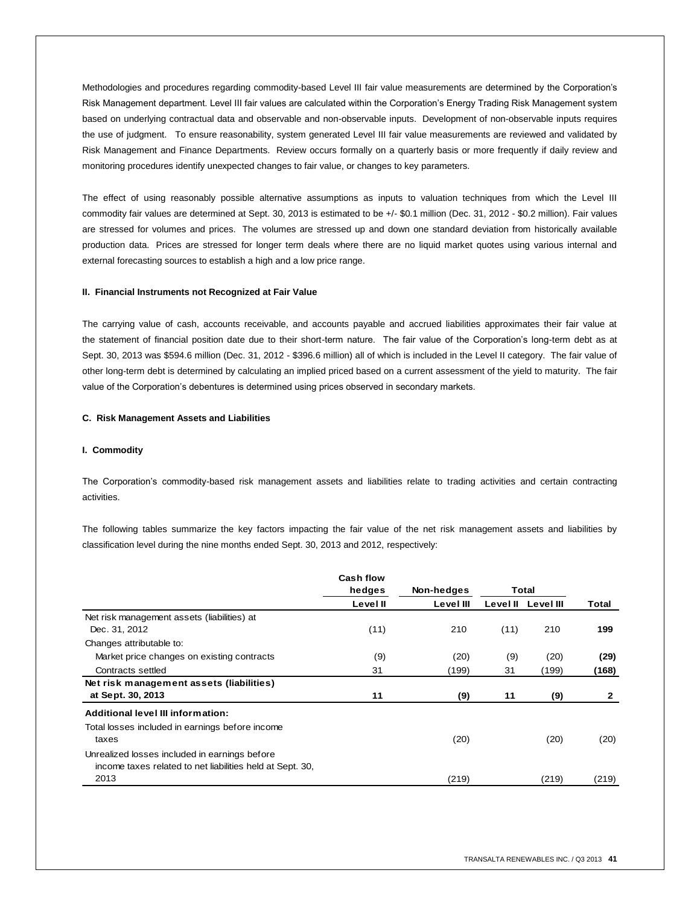Methodologies and procedures regarding commodity-based Level III fair value measurements are determined by the Corporation's Risk Management department. Level III fair values are calculated within the Corporation's Energy Trading Risk Management system based on underlying contractual data and observable and non-observable inputs. Development of non-observable inputs requires the use of judgment. To ensure reasonability, system generated Level III fair value measurements are reviewed and validated by Risk Management and Finance Departments. Review occurs formally on a quarterly basis or more frequently if daily review and monitoring procedures identify unexpected changes to fair value, or changes to key parameters.

The effect of using reasonably possible alternative assumptions as inputs to valuation techniques from which the Level III commodity fair values are determined at Sept. 30, 2013 is estimated to be +/- \$0.1 million (Dec. 31, 2012 - \$0.2 million). Fair values are stressed for volumes and prices. The volumes are stressed up and down one standard deviation from historically available production data. Prices are stressed for longer term deals where there are no liquid market quotes using various internal and external forecasting sources to establish a high and a low price range.

#### **II. Financial Instruments not Recognized at Fair Value**

The carrying value of cash, accounts receivable, and accounts payable and accrued liabilities approximates their fair value at the statement of financial position date due to their short-term nature. The fair value of the Corporation's long-term debt as at Sept. 30, 2013 was \$594.6 million (Dec. 31, 2012 - \$396.6 million) all of which is included in the Level II category. The fair value of other long-term debt is determined by calculating an implied priced based on a current assessment of the yield to maturity. The fair value of the Corporation's debentures is determined using prices observed in secondary markets.

#### **C. Risk Management Assets and Liabilities**

#### **I. Commodity**

The Corporation's commodity-based risk management assets and liabilities relate to trading activities and certain contracting activities.

The following tables summarize the key factors impacting the fair value of the net risk management assets and liabilities by classification level during the nine months ended Sept. 30, 2013 and 2012, respectively:

|                                                           | Cash flow<br>hedges | Non-hedges | Total    |           |       |
|-----------------------------------------------------------|---------------------|------------|----------|-----------|-------|
|                                                           | Level II            | Level III  | Level II | Level III | Total |
| Net risk management assets (liabilities) at               |                     |            |          |           |       |
| Dec. 31, 2012                                             | (11)                | 210        | (11)     | 210       | 199   |
| Changes attributable to:                                  |                     |            |          |           |       |
| Market price changes on existing contracts                | (9)                 | (20)       | (9)      | (20)      | (29)  |
| Contracts settled                                         | 31                  | (199)      | 31       | (199)     | (168) |
| Net risk management assets (liabilities)                  |                     |            |          |           |       |
| at Sept. 30, 2013                                         | 11                  | (9)        | 11       | (9)       |       |
| <b>Additional level III information:</b>                  |                     |            |          |           |       |
| Total losses included in earnings before income           |                     |            |          |           |       |
| taxes                                                     |                     | (20)       |          | (20)      | (20)  |
| Unrealized losses included in earnings before             |                     |            |          |           |       |
| income taxes related to net liabilities held at Sept. 30, |                     |            |          |           |       |
| 2013                                                      |                     | (219)      |          | (219)     | (219) |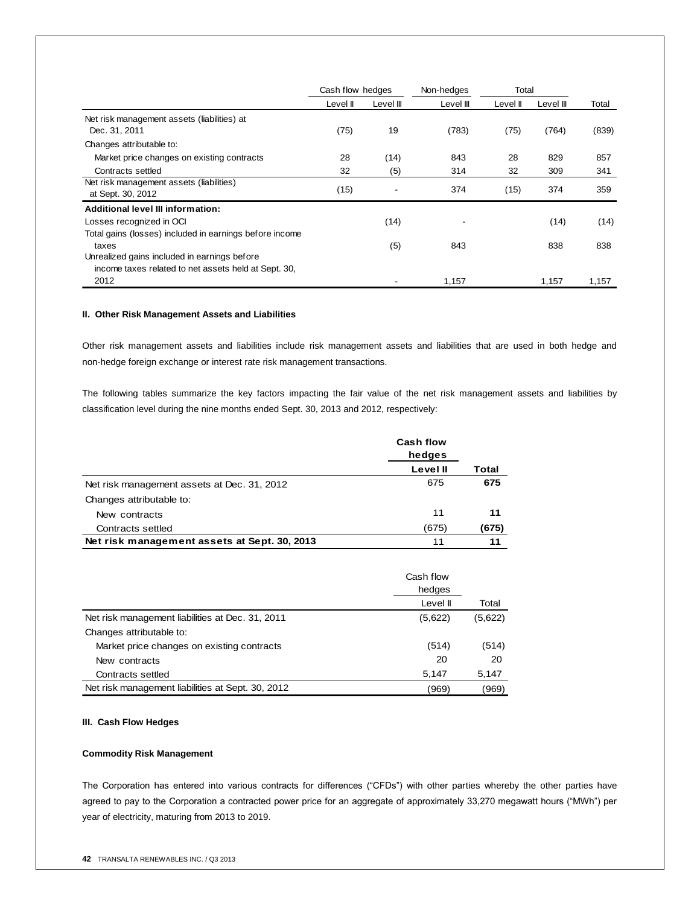|                                                         | Cash flow hedges |           | Non-hedges | Total    |           |       |
|---------------------------------------------------------|------------------|-----------|------------|----------|-----------|-------|
|                                                         | Level II         | Level III | Level III  | Level II | Level III | Total |
| Net risk management assets (liabilities) at             |                  |           |            |          |           |       |
| Dec. 31, 2011                                           | (75)             | 19        | (783)      | (75)     | (764)     | (839) |
| Changes attributable to:                                |                  |           |            |          |           |       |
| Market price changes on existing contracts              | 28               | (14)      | 843        | 28       | 829       | 857   |
| Contracts settled                                       | 32               | (5)       | 314        | 32       | 309       | 341   |
| Net risk management assets (liabilities)                |                  |           |            |          |           |       |
| at Sept. 30, 2012                                       | (15)             |           | 374        | (15)     | 374       | 359   |
| Additional level III information:                       |                  |           |            |          |           |       |
| Losses recognized in OCI                                |                  | (14)      |            |          | (14)      | (14)  |
| Total gains (losses) included in earnings before income |                  |           |            |          |           |       |
| taxes                                                   |                  | (5)       | 843        |          | 838       | 838   |
| Unrealized gains included in earnings before            |                  |           |            |          |           |       |
| income taxes related to net assets held at Sept. 30,    |                  |           |            |          |           |       |
| 2012                                                    |                  |           | 1,157      |          | 1,157     | 1,157 |

## **II. Other Risk Management Assets and Liabilities**

Other risk management assets and liabilities include risk management assets and liabilities that are used in both hedge and non-hedge foreign exchange or interest rate risk management transactions.

The following tables summarize the key factors impacting the fair value of the net risk management assets and liabilities by classification level during the nine months ended Sept. 30, 2013 and 2012, respectively:

|                                              | <b>Cash flow</b><br>hedges |              |
|----------------------------------------------|----------------------------|--------------|
|                                              | Level II                   | <b>Total</b> |
| Net risk management assets at Dec. 31, 2012  | 675                        | 675          |
| Changes attributable to:                     |                            |              |
| New contracts                                | 11                         | 11           |
| Contracts settled                            | (675)                      | (675)        |
| Net risk management assets at Sept. 30, 2013 | 11                         | 11           |

| Net risk management assets at Sept. 30, 2013      |           | 11      |  |
|---------------------------------------------------|-----------|---------|--|
|                                                   |           |         |  |
|                                                   | Cash flow |         |  |
|                                                   | hedges    |         |  |
|                                                   | Level II  | Total   |  |
| Net risk management liabilities at Dec. 31, 2011  | (5,622)   | (5,622) |  |
| Changes attributable to:                          |           |         |  |
| Market price changes on existing contracts        | (514)     | (514)   |  |
| New contracts                                     | 20        | 20      |  |
| Contracts settled                                 | 5,147     | 5,147   |  |
| Net risk management liabilities at Sept. 30, 2012 | (969)     | (969)   |  |

## **III. Cash Flow Hedges**

## **Commodity Risk Management**

The Corporation has entered into various contracts for differences ("CFDs") with other parties whereby the other parties have agreed to pay to the Corporation a contracted power price for an aggregate of approximately 33,270 megawatt hours ("MWh") per year of electricity, maturing from 2013 to 2019.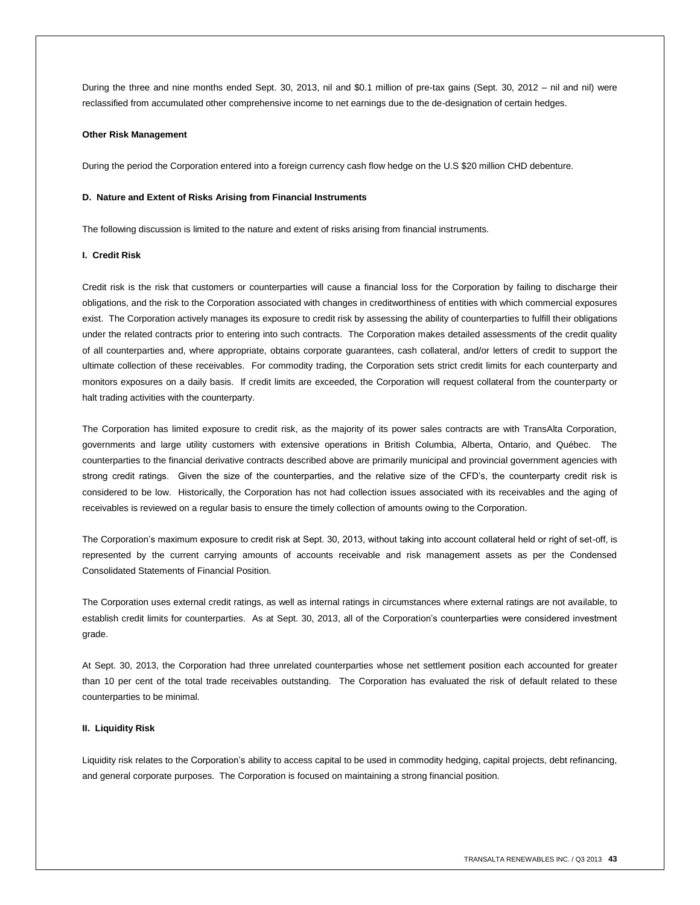During the three and nine months ended Sept. 30, 2013, nil and \$0.1 million of pre-tax gains (Sept. 30, 2012 – nil and nil) were reclassified from accumulated other comprehensive income to net earnings due to the de-designation of certain hedges.

#### **Other Risk Management**

During the period the Corporation entered into a foreign currency cash flow hedge on the U.S \$20 million CHD debenture.

#### **D. Nature and Extent of Risks Arising from Financial Instruments**

The following discussion is limited to the nature and extent of risks arising from financial instruments.

#### **I. Credit Risk**

Credit risk is the risk that customers or counterparties will cause a financial loss for the Corporation by failing to discharge their obligations, and the risk to the Corporation associated with changes in creditworthiness of entities with which commercial exposures exist. The Corporation actively manages its exposure to credit risk by assessing the ability of counterparties to fulfill their obligations under the related contracts prior to entering into such contracts. The Corporation makes detailed assessments of the credit quality of all counterparties and, where appropriate, obtains corporate guarantees, cash collateral, and/or letters of credit to support the ultimate collection of these receivables. For commodity trading, the Corporation sets strict credit limits for each counterparty and monitors exposures on a daily basis. If credit limits are exceeded, the Corporation will request collateral from the counterparty or halt trading activities with the counterparty.

The Corporation has limited exposure to credit risk, as the majority of its power sales contracts are with TransAlta Corporation, governments and large utility customers with extensive operations in British Columbia, Alberta, Ontario, and Québec. The counterparties to the financial derivative contracts described above are primarily municipal and provincial government agencies with strong credit ratings. Given the size of the counterparties, and the relative size of the CFD's, the counterparty credit risk is considered to be low. Historically, the Corporation has not had collection issues associated with its receivables and the aging of receivables is reviewed on a regular basis to ensure the timely collection of amounts owing to the Corporation.

The Corporation's maximum exposure to credit risk at Sept. 30, 2013, without taking into account collateral held or right of set-off, is represented by the current carrying amounts of accounts receivable and risk management assets as per the Condensed Consolidated Statements of Financial Position.

The Corporation uses external credit ratings, as well as internal ratings in circumstances where external ratings are not available, to establish credit limits for counterparties. As at Sept. 30, 2013, all of the Corporation's counterparties were considered investment grade.

At Sept. 30, 2013, the Corporation had three unrelated counterparties whose net settlement position each accounted for greater than 10 per cent of the total trade receivables outstanding. The Corporation has evaluated the risk of default related to these counterparties to be minimal.

#### **II. Liquidity Risk**

Liquidity risk relates to the Corporation's ability to access capital to be used in commodity hedging, capital projects, debt refinancing, and general corporate purposes. The Corporation is focused on maintaining a strong financial position.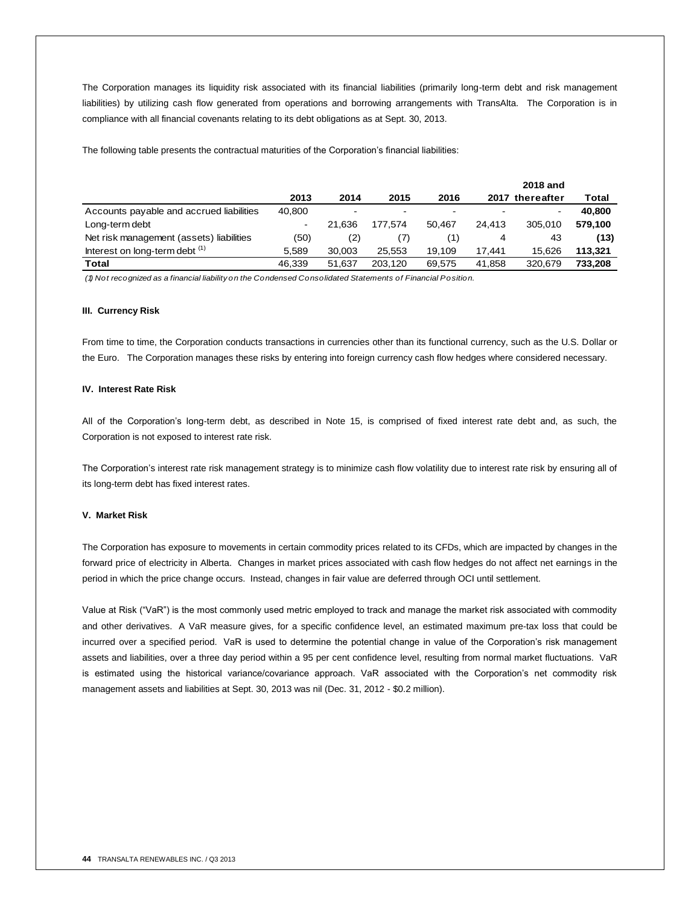The Corporation manages its liquidity risk associated with its financial liabilities (primarily long-term debt and risk management liabilities) by utilizing cash flow generated from operations and borrowing arrangements with TransAlta. The Corporation is in compliance with all financial covenants relating to its debt obligations as at Sept. 30, 2013.

The following table presents the contractual maturities of the Corporation's financial liabilities:

|                                          |                |                          |         |        |        | <b>2018 and</b> |         |
|------------------------------------------|----------------|--------------------------|---------|--------|--------|-----------------|---------|
|                                          | 2013           | 2014                     | 2015    | 2016   |        | 2017 thereafter | Total   |
| Accounts payable and accrued liabilities | 40,800         | $\overline{\phantom{a}}$ | $\,$    |        |        | $\,$            | 40,800  |
| Long-term debt                           | $\blacksquare$ | 21.636                   | 177.574 | 50.467 | 24.413 | 305.010         | 579.100 |
| Net risk management (assets) liabilities | (50)           | (2)                      |         | (1)    | 4      | 43              | (13)    |
| Interest on long-term debt (1)           | 5.589          | 30.003                   | 25.553  | 19.109 | 17.441 | 15.626          | 113.321 |
| Total                                    | 46.339         | 51.637                   | 203.120 | 69.575 | 41.858 | 320.679         | 733.208 |

*(1) Not recognized as a financial liability on the Condensed Consolidated Statements of Financial Position.*

#### **III. Currency Risk**

From time to time, the Corporation conducts transactions in currencies other than its functional currency, such as the U.S. Dollar or the Euro. The Corporation manages these risks by entering into foreign currency cash flow hedges where considered necessary.

#### **IV. Interest Rate Risk**

All of the Corporation's long-term debt, as described in Note 15, is comprised of fixed interest rate debt and, as such, the Corporation is not exposed to interest rate risk.

The Corporation's interest rate risk management strategy is to minimize cash flow volatility due to interest rate risk by ensuring all of its long-term debt has fixed interest rates.

## **V. Market Risk**

The Corporation has exposure to movements in certain commodity prices related to its CFDs, which are impacted by changes in the forward price of electricity in Alberta. Changes in market prices associated with cash flow hedges do not affect net earnings in the period in which the price change occurs. Instead, changes in fair value are deferred through OCI until settlement.

Value at Risk ("VaR") is the most commonly used metric employed to track and manage the market risk associated with commodity and other derivatives. A VaR measure gives, for a specific confidence level, an estimated maximum pre-tax loss that could be incurred over a specified period. VaR is used to determine the potential change in value of the Corporation's risk management assets and liabilities, over a three day period within a 95 per cent confidence level, resulting from normal market fluctuations. VaR is estimated using the historical variance/covariance approach. VaR associated with the Corporation's net commodity risk management assets and liabilities at Sept. 30, 2013 was nil (Dec. 31, 2012 - \$0.2 million).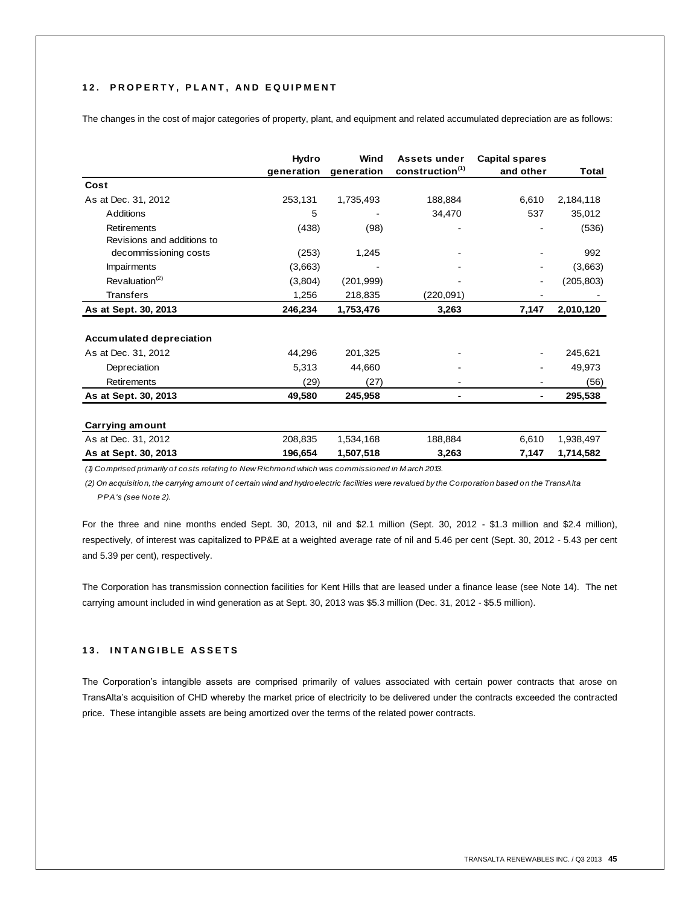## 12. PROPERTY, PLANT, AND EQUIPMENT

The changes in the cost of major categories of property, plant, and equipment and related accumulated depreciation are as follows:

|                                         | Hydro<br>generation | Wind<br>generation | <b>Assets under</b><br>construction <sup>(1)</sup> | <b>Capital spares</b><br>and other | Total      |
|-----------------------------------------|---------------------|--------------------|----------------------------------------------------|------------------------------------|------------|
| Cost                                    |                     |                    |                                                    |                                    |            |
| As at Dec. 31, 2012                     | 253,131             | 1,735,493          | 188,884                                            | 6,610                              | 2,184,118  |
| Additions                               | 5                   |                    | 34,470                                             | 537                                | 35,012     |
| Retirements                             | (438)               | (98)               |                                                    |                                    | (536)      |
| Revisions and additions to              |                     |                    |                                                    |                                    |            |
| decommissioning costs                   | (253)               | 1,245              |                                                    |                                    | 992        |
| <b>Impairments</b>                      | (3,663)             |                    |                                                    |                                    | (3,663)    |
| Revaluation <sup><math>(2)</math></sup> | (3,804)             | (201, 999)         |                                                    |                                    | (205, 803) |
| Transfers                               | 1,256               | 218,835            | (220,091)                                          |                                    |            |
| As at Sept. 30, 2013                    | 246,234             | 1,753,476          | 3,263                                              | 7,147                              | 2,010,120  |
|                                         |                     |                    |                                                    |                                    |            |
| <b>Accumulated depreciation</b>         |                     |                    |                                                    |                                    |            |
| As at Dec. 31, 2012                     | 44,296              | 201,325            |                                                    |                                    | 245,621    |
| Depreciation                            | 5,313               | 44,660             |                                                    |                                    | 49,973     |
| Retirements                             | (29)                | (27)               |                                                    |                                    | (56)       |
| As at Sept. 30, 2013                    | 49.580              | 245,958            |                                                    |                                    | 295,538    |
| Carrying amount                         |                     |                    |                                                    |                                    |            |
| As at Dec. 31, 2012                     | 208,835             | 1,534,168          | 188,884                                            | 6,610                              | 1,938,497  |
| As at Sept. 30, 2013                    | 196,654             | 1,507,518          | 3,263                                              | 7,147                              | 1,714,582  |

*(1) Comprised primarily of costs relating to New Richmond which was commissioned in M arch 2013.*

*(2) On acquisition, the carrying amount of certain wind and hydroelectric facilities were revalued by the Corporation based on the TransAlta PPA's (see Note 2).*

For the three and nine months ended Sept. 30, 2013, nil and \$2.1 million (Sept. 30, 2012 - \$1.3 million and \$2.4 million), respectively, of interest was capitalized to PP&E at a weighted average rate of nil and 5.46 per cent (Sept. 30, 2012 - 5.43 per cent and 5.39 per cent), respectively.

The Corporation has transmission connection facilities for Kent Hills that are leased under a finance lease (see Note 14). The net carrying amount included in wind generation as at Sept. 30, 2013 was \$5.3 million (Dec. 31, 2012 - \$5.5 million).

## **1 3 . I N T A N G I B L E A S S E T S**

The Corporation's intangible assets are comprised primarily of values associated with certain power contracts that arose on TransAlta's acquisition of CHD whereby the market price of electricity to be delivered under the contracts exceeded the contracted price. These intangible assets are being amortized over the terms of the related power contracts.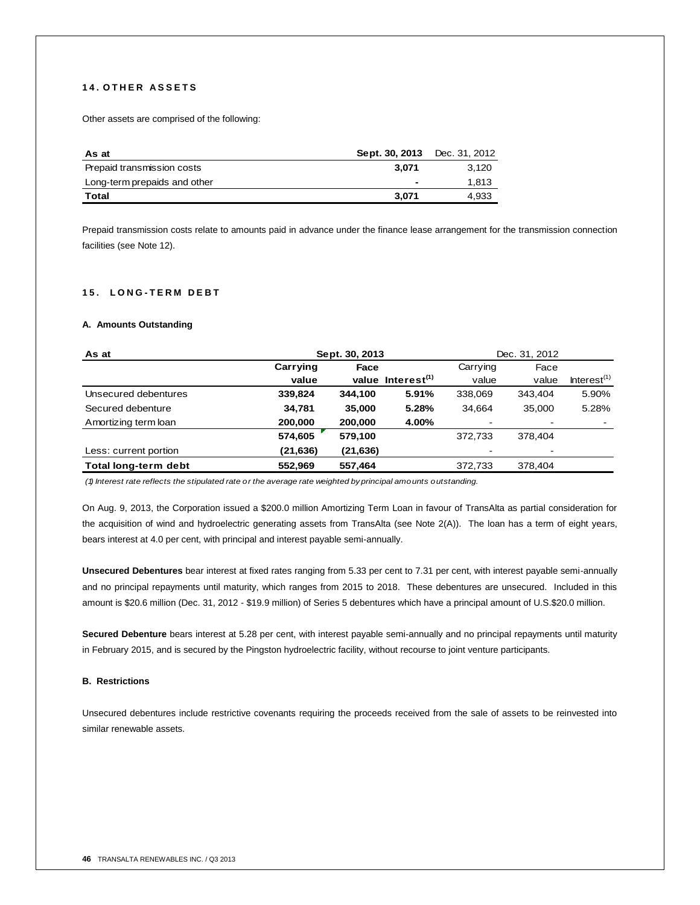## **1 4 . O T H E R A S S E T S**

Other assets are comprised of the following:

| As at                        | Sept. 30, 2013 Dec. 31, 2012 |       |
|------------------------------|------------------------------|-------|
| Prepaid transmission costs   | 3.071                        | 3.120 |
| Long-term prepaids and other | -                            | 1.813 |
| Total                        | 3.071                        | 4.933 |

Prepaid transmission costs relate to amounts paid in advance under the finance lease arrangement for the transmission connection facilities (see Note 12).

#### **1 5 . L O N G - T E R M D E B T**

#### **A. Amounts Outstanding**

| As at                 | Sept. 30, 2013 |           |                               |                          | Dec. 31, 2012 |                         |
|-----------------------|----------------|-----------|-------------------------------|--------------------------|---------------|-------------------------|
|                       | Carrying       | Face      |                               | Carrying                 | Face          |                         |
|                       | value          |           | value Interest <sup>(1)</sup> | value                    | value         | Interest <sup>(1)</sup> |
| Unsecured debentures  | 339,824        | 344,100   | 5.91%                         | 338,069                  | 343.404       | 5.90%                   |
| Secured debenture     | 34,781         | 35,000    | 5.28%                         | 34.664                   | 35,000        | 5.28%                   |
| Amortizing term loan  | 200,000        | 200,000   | 4.00%                         | $\overline{\phantom{a}}$ |               | -                       |
|                       | 574,605        | 579,100   |                               | 372.733                  | 378.404       |                         |
| Less: current portion | (21, 636)      | (21, 636) |                               |                          |               |                         |
| Total long-term debt  | 552,969        | 557,464   |                               | 372,733                  | 378,404       |                         |

*(1) Interest rate reflects the stipulated rate or the average rate weighted by principal amounts outstanding.*

On Aug. 9, 2013, the Corporation issued a \$200.0 million Amortizing Term Loan in favour of TransAlta as partial consideration for the acquisition of wind and hydroelectric generating assets from TransAlta (see Note 2(A)). The loan has a term of eight years, bears interest at 4.0 per cent, with principal and interest payable semi-annually.

**Unsecured Debentures** bear interest at fixed rates ranging from 5.33 per cent to 7.31 per cent, with interest payable semi-annually and no principal repayments until maturity, which ranges from 2015 to 2018. These debentures are unsecured. Included in this amount is \$20.6 million (Dec. 31, 2012 - \$19.9 million) of Series 5 debentures which have a principal amount of U.S.\$20.0 million.

**Secured Debenture** bears interest at 5.28 per cent, with interest payable semi-annually and no principal repayments until maturity in February 2015, and is secured by the Pingston hydroelectric facility, without recourse to joint venture participants.

#### **B. Restrictions**

Unsecured debentures include restrictive covenants requiring the proceeds received from the sale of assets to be reinvested into similar renewable assets.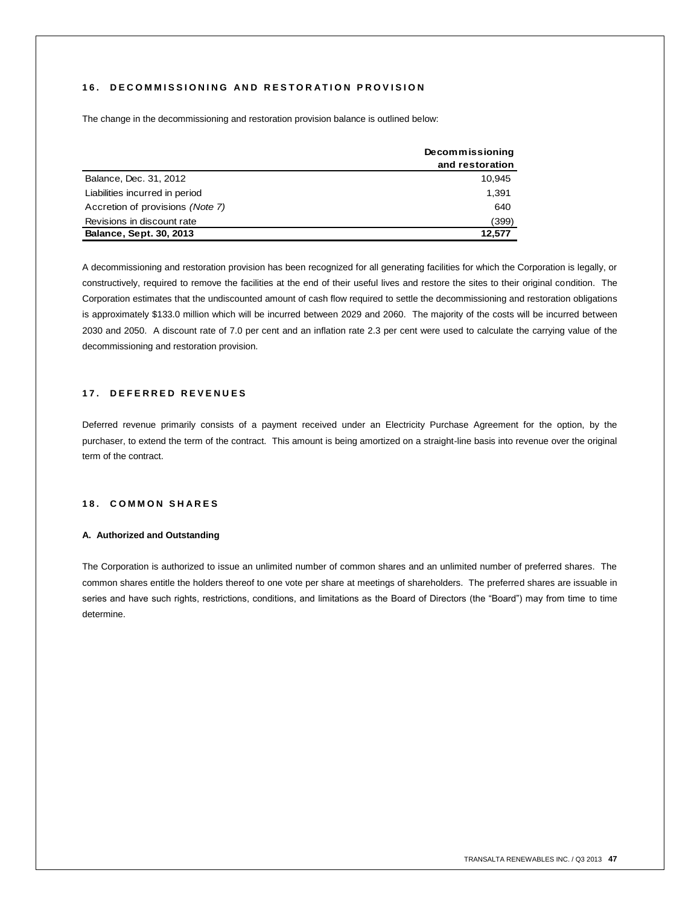## **16. DECOMMISSIONING AND RESTORATION PROVISION**

The change in the decommissioning and restoration provision balance is outlined below:

|                                  | Decommissioning<br>and restoration |
|----------------------------------|------------------------------------|
| Balance, Dec. 31, 2012           | 10,945                             |
| Liabilities incurred in period   | 1.391                              |
| Accretion of provisions (Note 7) | 640                                |
| Revisions in discount rate       | (399)                              |
| <b>Balance, Sept. 30, 2013</b>   | 12.577                             |

A decommissioning and restoration provision has been recognized for all generating facilities for which the Corporation is legally, or constructively, required to remove the facilities at the end of their useful lives and restore the sites to their original condition. The Corporation estimates that the undiscounted amount of cash flow required to settle the decommissioning and restoration obligations is approximately \$133.0 million which will be incurred between 2029 and 2060. The majority of the costs will be incurred between 2030 and 2050. A discount rate of 7.0 per cent and an inflation rate 2.3 per cent were used to calculate the carrying value of the decommissioning and restoration provision.

## **1 7 . D E F E R R E D R E V E N U E S**

Deferred revenue primarily consists of a payment received under an Electricity Purchase Agreement for the option, by the purchaser, to extend the term of the contract. This amount is being amortized on a straight-line basis into revenue over the original term of the contract.

## **18. COMMON SHARES**

#### **A. Authorized and Outstanding**

The Corporation is authorized to issue an unlimited number of common shares and an unlimited number of preferred shares. The common shares entitle the holders thereof to one vote per share at meetings of shareholders. The preferred shares are issuable in series and have such rights, restrictions, conditions, and limitations as the Board of Directors (the "Board") may from time to time determine.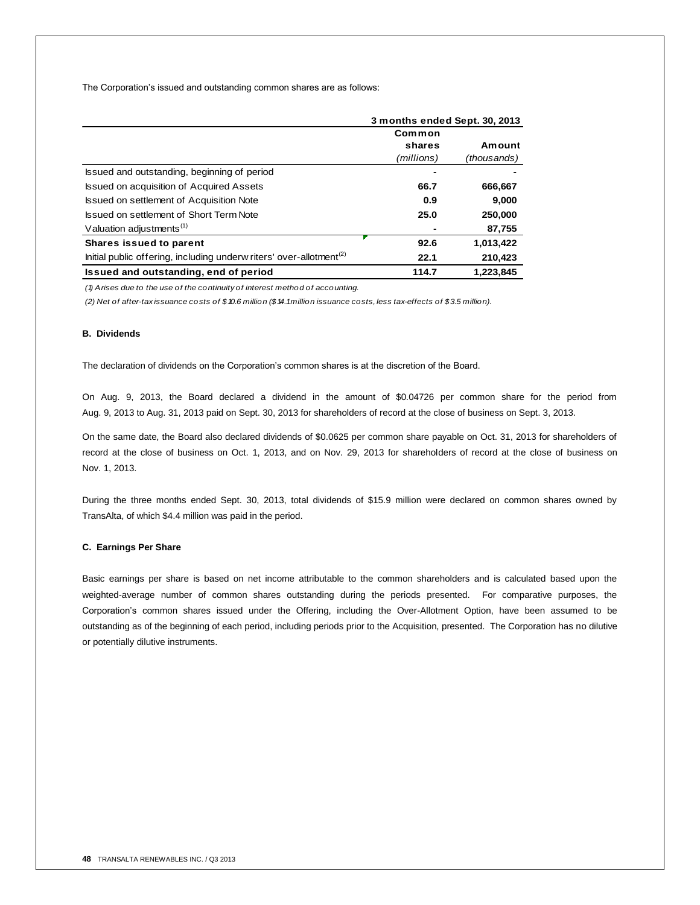The Corporation's issued and outstanding common shares are as follows:

|                                                                                 |                | 3 months ended Sept. 30, 2013 |  |  |
|---------------------------------------------------------------------------------|----------------|-------------------------------|--|--|
|                                                                                 | Common         |                               |  |  |
|                                                                                 | shares         | Amount                        |  |  |
|                                                                                 | (millions)     | (thousands)                   |  |  |
| Issued and outstanding, beginning of period                                     | $\blacksquare$ |                               |  |  |
| <b>Issued on acquisition of Acquired Assets</b>                                 | 66.7           | 666,667                       |  |  |
| Issued on settlement of Acquisition Note                                        | 0.9            | 9.000                         |  |  |
| Issued on settlement of Short Term Note                                         | 25.0           | 250,000                       |  |  |
| Valuation adjustments <sup>(1)</sup>                                            |                | 87,755                        |  |  |
| Shares issued to parent                                                         | 92.6           | 1,013,422                     |  |  |
| Initial public offering, including underw riters' over-allotment <sup>(2)</sup> | 22.1           | 210,423                       |  |  |
| Issued and outstanding, end of period                                           | 114.7          | 1.223.845                     |  |  |

*(1) Arises due to the use of the continuity of interest method of accounting.*

*(2) Net of after-tax issuance costs of \$10.6 million (\$14.1 million issuance costs, less tax-effects of \$3.5 million).*

## **B. Dividends**

The declaration of dividends on the Corporation's common shares is at the discretion of the Board.

On Aug. 9, 2013, the Board declared a dividend in the amount of \$0.04726 per common share for the period from Aug. 9, 2013 to Aug. 31, 2013 paid on Sept. 30, 2013 for shareholders of record at the close of business on Sept. 3, 2013.

On the same date, the Board also declared dividends of \$0.0625 per common share payable on Oct. 31, 2013 for shareholders of record at the close of business on Oct. 1, 2013, and on Nov. 29, 2013 for shareholders of record at the close of business on Nov. 1, 2013.

During the three months ended Sept. 30, 2013, total dividends of \$15.9 million were declared on common shares owned by TransAlta, of which \$4.4 million was paid in the period.

#### **C. Earnings Per Share**

Basic earnings per share is based on net income attributable to the common shareholders and is calculated based upon the weighted-average number of common shares outstanding during the periods presented. For comparative purposes, the Corporation's common shares issued under the Offering, including the Over-Allotment Option, have been assumed to be outstanding as of the beginning of each period, including periods prior to the Acquisition, presented. The Corporation has no dilutive or potentially dilutive instruments.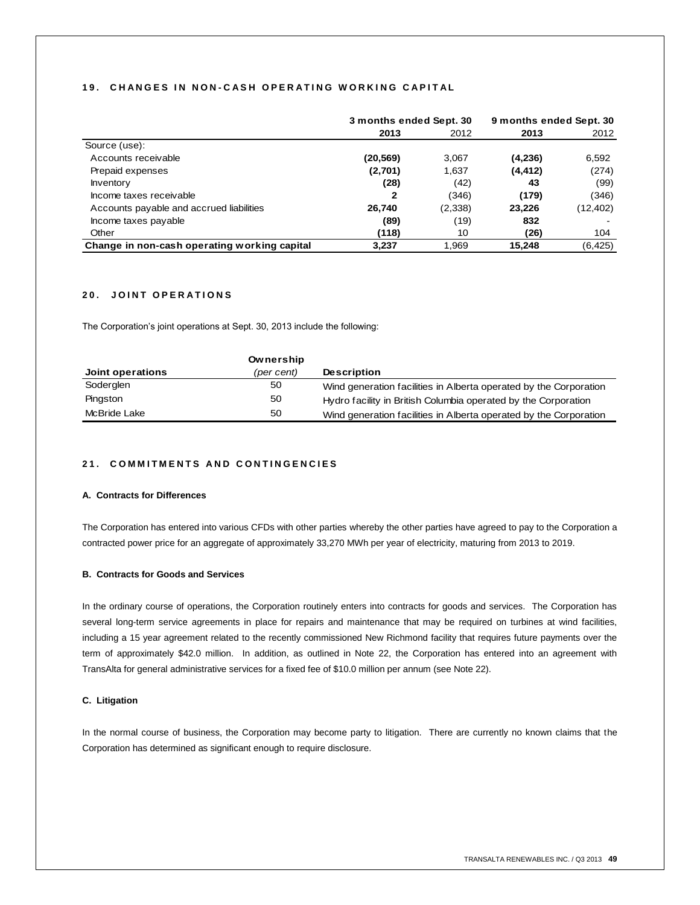#### **1 9 . C H A N G E S I N N O N - C A S H O P E R A T I N G W O R K I N G C A P I T A L**

|                                              | 3 months ended Sept. 30 |         | 9 months ended Sept. 30 |           |
|----------------------------------------------|-------------------------|---------|-------------------------|-----------|
|                                              | 2013                    | 2012    | 2013                    | 2012      |
| Source (use):                                |                         |         |                         |           |
| Accounts receivable                          | (20, 569)               | 3,067   | (4,236)                 | 6,592     |
| Prepaid expenses                             | (2,701)                 | 1,637   | (4, 412)                | (274)     |
| <b>Inventory</b>                             | (28)                    | (42)    | 43                      | (99)      |
| Income taxes receivable                      | 2                       | (346)   | (179)                   | (346)     |
| Accounts payable and accrued liabilities     | 26,740                  | (2,338) | 23,226                  | (12, 402) |
| Income taxes payable                         | (89)                    | (19)    | 832                     |           |
| Other                                        | (118)                   | 10      | (26)                    | 104       |
| Change in non-cash operating working capital | 3,237                   | 1,969   | 15,248                  | (6, 425)  |

## **20. JOINT OPERATIONS**

The Corporation's joint operations at Sept. 30, 2013 include the following:

|                  | Ownership  |                                                                   |
|------------------|------------|-------------------------------------------------------------------|
| Joint operations | (per cent) | <b>Description</b>                                                |
| Soderglen        | 50         | Wind generation facilities in Alberta operated by the Corporation |
| Pingston         | 50         | Hydro facility in British Columbia operated by the Corporation    |
| McBride Lake     | 50         | Wind generation facilities in Alberta operated by the Corporation |

## **21. COMMITMENTS AND CONTINGENCIES**

#### **A. Contracts for Differences**

The Corporation has entered into various CFDs with other parties whereby the other parties have agreed to pay to the Corporation a contracted power price for an aggregate of approximately 33,270 MWh per year of electricity, maturing from 2013 to 2019.

#### **B. Contracts for Goods and Services**

In the ordinary course of operations, the Corporation routinely enters into contracts for goods and services. The Corporation has several long-term service agreements in place for repairs and maintenance that may be required on turbines at wind facilities, including a 15 year agreement related to the recently commissioned New Richmond facility that requires future payments over the term of approximately \$42.0 million. In addition, as outlined in Note 22, the Corporation has entered into an agreement with TransAlta for general administrative services for a fixed fee of \$10.0 million per annum (see Note 22).

#### **C. Litigation**

In the normal course of business, the Corporation may become party to litigation. There are currently no known claims that the Corporation has determined as significant enough to require disclosure.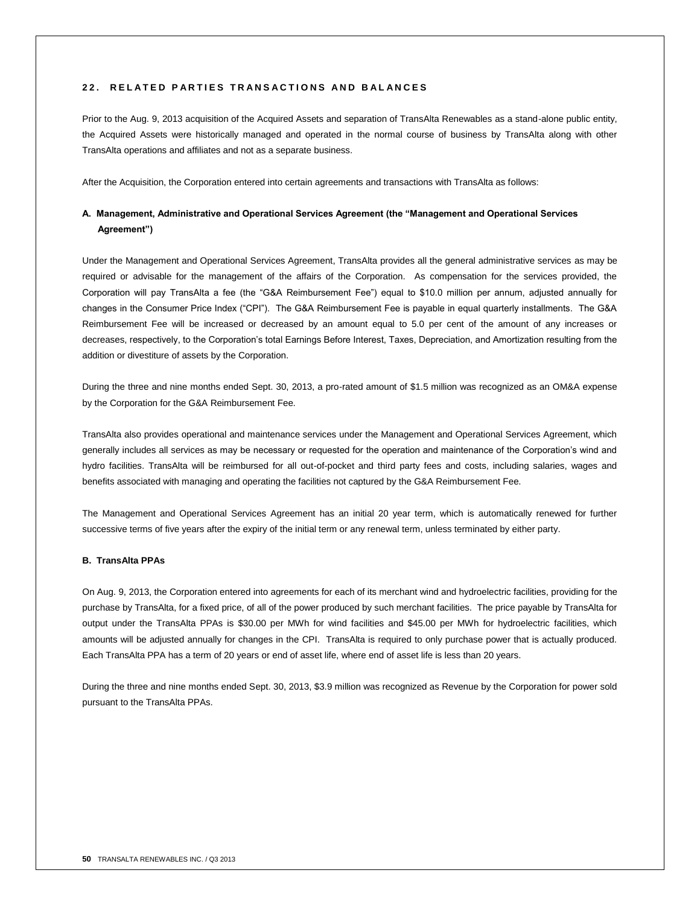### **2 2 . R E L A T E D P A R T I E S T R A N S A C T I O N S A N D B A L A N C E S**

Prior to the Aug. 9, 2013 acquisition of the Acquired Assets and separation of TransAlta Renewables as a stand-alone public entity, the Acquired Assets were historically managed and operated in the normal course of business by TransAlta along with other TransAlta operations and affiliates and not as a separate business.

After the Acquisition, the Corporation entered into certain agreements and transactions with TransAlta as follows:

## **A. Management, Administrative and Operational Services Agreement (the "Management and Operational Services Agreement")**

Under the Management and Operational Services Agreement, TransAlta provides all the general administrative services as may be required or advisable for the management of the affairs of the Corporation. As compensation for the services provided, the Corporation will pay TransAlta a fee (the "G&A Reimbursement Fee") equal to \$10.0 million per annum, adjusted annually for changes in the Consumer Price Index ("CPI"). The G&A Reimbursement Fee is payable in equal quarterly installments. The G&A Reimbursement Fee will be increased or decreased by an amount equal to 5.0 per cent of the amount of any increases or decreases, respectively, to the Corporation's total Earnings Before Interest, Taxes, Depreciation, and Amortization resulting from the addition or divestiture of assets by the Corporation.

During the three and nine months ended Sept. 30, 2013, a pro-rated amount of \$1.5 million was recognized as an OM&A expense by the Corporation for the G&A Reimbursement Fee.

TransAlta also provides operational and maintenance services under the Management and Operational Services Agreement, which generally includes all services as may be necessary or requested for the operation and maintenance of the Corporation's wind and hydro facilities. TransAlta will be reimbursed for all out-of-pocket and third party fees and costs, including salaries, wages and benefits associated with managing and operating the facilities not captured by the G&A Reimbursement Fee.

The Management and Operational Services Agreement has an initial 20 year term, which is automatically renewed for further successive terms of five years after the expiry of the initial term or any renewal term, unless terminated by either party.

#### **B. TransAlta PPAs**

On Aug. 9, 2013, the Corporation entered into agreements for each of its merchant wind and hydroelectric facilities, providing for the purchase by TransAlta, for a fixed price, of all of the power produced by such merchant facilities. The price payable by TransAlta for output under the TransAlta PPAs is \$30.00 per MWh for wind facilities and \$45.00 per MWh for hydroelectric facilities, which amounts will be adjusted annually for changes in the CPI. TransAlta is required to only purchase power that is actually produced. Each TransAlta PPA has a term of 20 years or end of asset life, where end of asset life is less than 20 years.

During the three and nine months ended Sept. 30, 2013, \$3.9 million was recognized as Revenue by the Corporation for power sold pursuant to the TransAlta PPAs.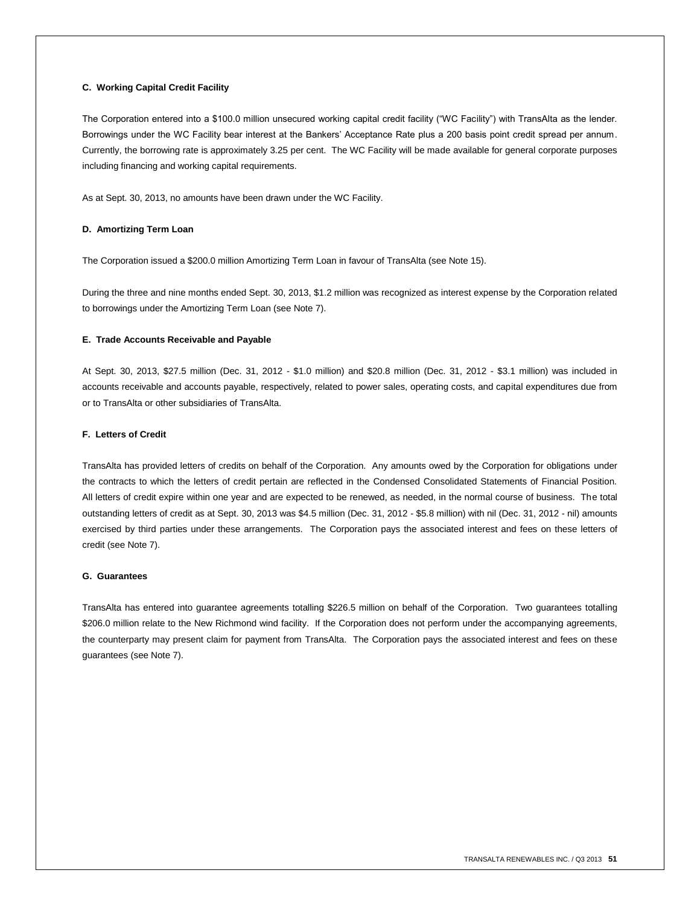#### **C. Working Capital Credit Facility**

The Corporation entered into a \$100.0 million unsecured working capital credit facility ("WC Facility") with TransAlta as the lender. Borrowings under the WC Facility bear interest at the Bankers' Acceptance Rate plus a 200 basis point credit spread per annum. Currently, the borrowing rate is approximately 3.25 per cent. The WC Facility will be made available for general corporate purposes including financing and working capital requirements.

As at Sept. 30, 2013, no amounts have been drawn under the WC Facility.

#### **D. Amortizing Term Loan**

The Corporation issued a \$200.0 million Amortizing Term Loan in favour of TransAlta (see Note 15).

During the three and nine months ended Sept. 30, 2013, \$1.2 million was recognized as interest expense by the Corporation related to borrowings under the Amortizing Term Loan (see Note 7).

#### **E. Trade Accounts Receivable and Payable**

At Sept. 30, 2013, \$27.5 million (Dec. 31, 2012 - \$1.0 million) and \$20.8 million (Dec. 31, 2012 - \$3.1 million) was included in accounts receivable and accounts payable, respectively, related to power sales, operating costs, and capital expenditures due from or to TransAlta or other subsidiaries of TransAlta.

#### **F. Letters of Credit**

TransAlta has provided letters of credits on behalf of the Corporation. Any amounts owed by the Corporation for obligations under the contracts to which the letters of credit pertain are reflected in the Condensed Consolidated Statements of Financial Position. All letters of credit expire within one year and are expected to be renewed, as needed, in the normal course of business. The total outstanding letters of credit as at Sept. 30, 2013 was \$4.5 million (Dec. 31, 2012 - \$5.8 million) with nil (Dec. 31, 2012 - nil) amounts exercised by third parties under these arrangements. The Corporation pays the associated interest and fees on these letters of credit (see Note 7).

#### **G. Guarantees**

TransAlta has entered into guarantee agreements totalling \$226.5 million on behalf of the Corporation. Two guarantees totalling \$206.0 million relate to the New Richmond wind facility. If the Corporation does not perform under the accompanying agreements, the counterparty may present claim for payment from TransAlta. The Corporation pays the associated interest and fees on these guarantees (see Note 7).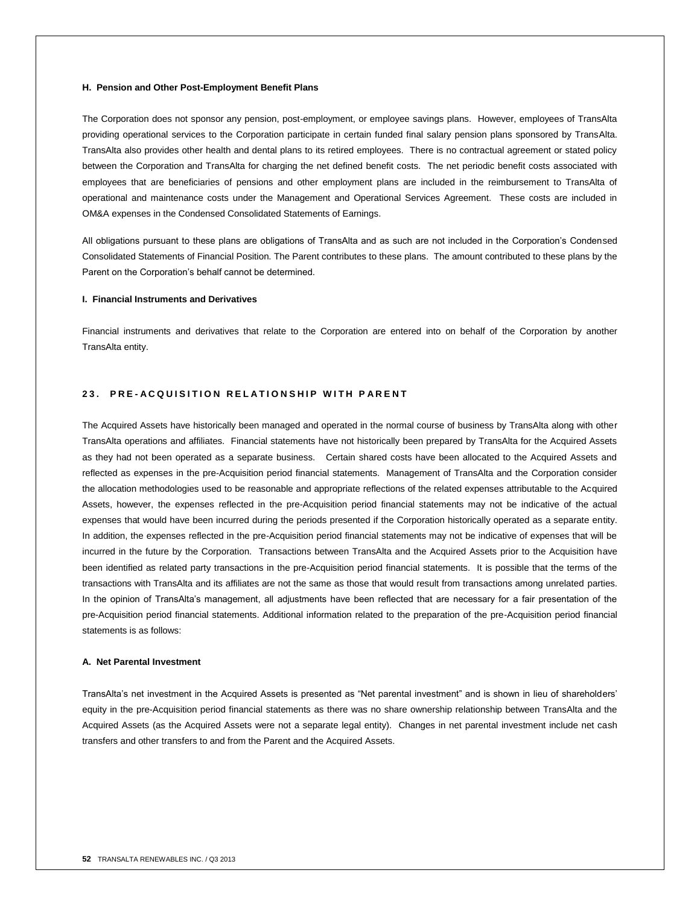#### **H. Pension and Other Post-Employment Benefit Plans**

The Corporation does not sponsor any pension, post-employment, or employee savings plans. However, employees of TransAlta providing operational services to the Corporation participate in certain funded final salary pension plans sponsored by TransAlta. TransAlta also provides other health and dental plans to its retired employees. There is no contractual agreement or stated policy between the Corporation and TransAlta for charging the net defined benefit costs. The net periodic benefit costs associated with employees that are beneficiaries of pensions and other employment plans are included in the reimbursement to TransAlta of operational and maintenance costs under the Management and Operational Services Agreement. These costs are included in OM&A expenses in the Condensed Consolidated Statements of Earnings.

All obligations pursuant to these plans are obligations of TransAlta and as such are not included in the Corporation's Condensed Consolidated Statements of Financial Position. The Parent contributes to these plans. The amount contributed to these plans by the Parent on the Corporation's behalf cannot be determined.

#### **I. Financial Instruments and Derivatives**

Financial instruments and derivatives that relate to the Corporation are entered into on behalf of the Corporation by another TransAlta entity.

## **23. PRE-ACQUISITION RELATIONSHIP WITH PARENT**

The Acquired Assets have historically been managed and operated in the normal course of business by TransAlta along with other TransAlta operations and affiliates. Financial statements have not historically been prepared by TransAlta for the Acquired Assets as they had not been operated as a separate business. Certain shared costs have been allocated to the Acquired Assets and reflected as expenses in the pre-Acquisition period financial statements. Management of TransAlta and the Corporation consider the allocation methodologies used to be reasonable and appropriate reflections of the related expenses attributable to the Acquired Assets, however, the expenses reflected in the pre-Acquisition period financial statements may not be indicative of the actual expenses that would have been incurred during the periods presented if the Corporation historically operated as a separate entity. In addition, the expenses reflected in the pre-Acquisition period financial statements may not be indicative of expenses that will be incurred in the future by the Corporation. Transactions between TransAlta and the Acquired Assets prior to the Acquisition have been identified as related party transactions in the pre-Acquisition period financial statements. It is possible that the terms of the transactions with TransAlta and its affiliates are not the same as those that would result from transactions among unrelated parties. In the opinion of TransAlta's management, all adjustments have been reflected that are necessary for a fair presentation of the pre-Acquisition period financial statements. Additional information related to the preparation of the pre-Acquisition period financial statements is as follows:

#### **A. Net Parental Investment**

TransAlta's net investment in the Acquired Assets is presented as "Net parental investment" and is shown in lieu of shareholders' equity in the pre-Acquisition period financial statements as there was no share ownership relationship between TransAlta and the Acquired Assets (as the Acquired Assets were not a separate legal entity). Changes in net parental investment include net cash transfers and other transfers to and from the Parent and the Acquired Assets.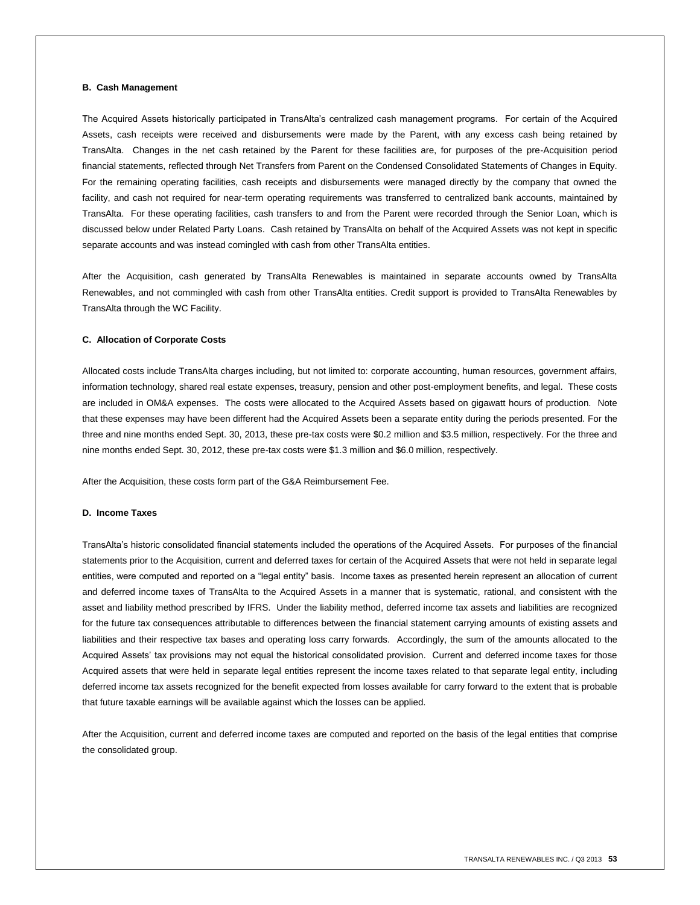#### **B. Cash Management**

The Acquired Assets historically participated in TransAlta's centralized cash management programs. For certain of the Acquired Assets, cash receipts were received and disbursements were made by the Parent, with any excess cash being retained by TransAlta. Changes in the net cash retained by the Parent for these facilities are, for purposes of the pre-Acquisition period financial statements, reflected through Net Transfers from Parent on the Condensed Consolidated Statements of Changes in Equity. For the remaining operating facilities, cash receipts and disbursements were managed directly by the company that owned the facility, and cash not required for near-term operating requirements was transferred to centralized bank accounts, maintained by TransAlta. For these operating facilities, cash transfers to and from the Parent were recorded through the Senior Loan, which is discussed below under Related Party Loans. Cash retained by TransAlta on behalf of the Acquired Assets was not kept in specific separate accounts and was instead comingled with cash from other TransAlta entities.

After the Acquisition, cash generated by TransAlta Renewables is maintained in separate accounts owned by TransAlta Renewables, and not commingled with cash from other TransAlta entities. Credit support is provided to TransAlta Renewables by TransAlta through the WC Facility.

#### **C. Allocation of Corporate Costs**

Allocated costs include TransAlta charges including, but not limited to: corporate accounting, human resources, government affairs, information technology, shared real estate expenses, treasury, pension and other post-employment benefits, and legal. These costs are included in OM&A expenses. The costs were allocated to the Acquired Assets based on gigawatt hours of production. Note that these expenses may have been different had the Acquired Assets been a separate entity during the periods presented. For the three and nine months ended Sept. 30, 2013, these pre-tax costs were \$0.2 million and \$3.5 million, respectively. For the three and nine months ended Sept. 30, 2012, these pre-tax costs were \$1.3 million and \$6.0 million, respectively.

After the Acquisition, these costs form part of the G&A Reimbursement Fee.

#### **D. Income Taxes**

TransAlta's historic consolidated financial statements included the operations of the Acquired Assets. For purposes of the financial statements prior to the Acquisition, current and deferred taxes for certain of the Acquired Assets that were not held in separate legal entities, were computed and reported on a "legal entity" basis. Income taxes as presented herein represent an allocation of current and deferred income taxes of TransAlta to the Acquired Assets in a manner that is systematic, rational, and consistent with the asset and liability method prescribed by IFRS. Under the liability method, deferred income tax assets and liabilities are recognized for the future tax consequences attributable to differences between the financial statement carrying amounts of existing assets and liabilities and their respective tax bases and operating loss carry forwards. Accordingly, the sum of the amounts allocated to the Acquired Assets' tax provisions may not equal the historical consolidated provision. Current and deferred income taxes for those Acquired assets that were held in separate legal entities represent the income taxes related to that separate legal entity, including deferred income tax assets recognized for the benefit expected from losses available for carry forward to the extent that is probable that future taxable earnings will be available against which the losses can be applied.

After the Acquisition, current and deferred income taxes are computed and reported on the basis of the legal entities that comprise the consolidated group.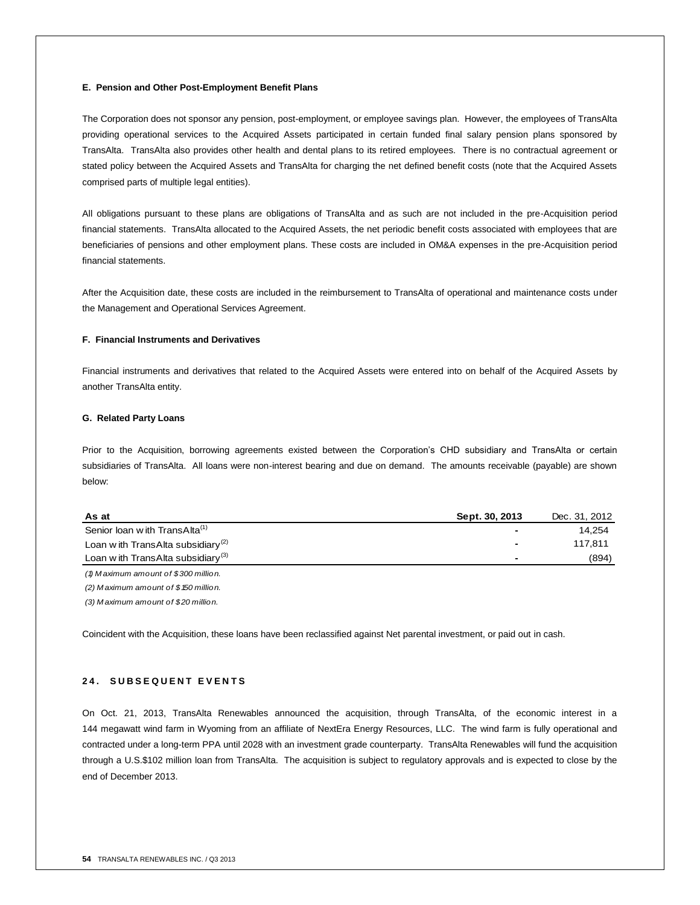#### **E. Pension and Other Post-Employment Benefit Plans**

The Corporation does not sponsor any pension, post-employment, or employee savings plan. However, the employees of TransAlta providing operational services to the Acquired Assets participated in certain funded final salary pension plans sponsored by TransAlta. TransAlta also provides other health and dental plans to its retired employees. There is no contractual agreement or stated policy between the Acquired Assets and TransAlta for charging the net defined benefit costs (note that the Acquired Assets comprised parts of multiple legal entities).

All obligations pursuant to these plans are obligations of TransAlta and as such are not included in the pre-Acquisition period financial statements. TransAlta allocated to the Acquired Assets, the net periodic benefit costs associated with employees that are beneficiaries of pensions and other employment plans. These costs are included in OM&A expenses in the pre-Acquisition period financial statements.

After the Acquisition date, these costs are included in the reimbursement to TransAlta of operational and maintenance costs under the Management and Operational Services Agreement.

### **F. Financial Instruments and Derivatives**

Financial instruments and derivatives that related to the Acquired Assets were entered into on behalf of the Acquired Assets by another TransAlta entity.

#### **G. Related Party Loans**

Prior to the Acquisition, borrowing agreements existed between the Corporation's CHD subsidiary and TransAlta or certain subsidiaries of TransAlta. All loans were non-interest bearing and due on demand. The amounts receivable (payable) are shown below:

| .                                             |                |               |
|-----------------------------------------------|----------------|---------------|
| As at                                         | Sept. 30, 2013 | Dec. 31, 2012 |
| Senior loan with TransAlta <sup>(1)</sup>     |                | 14,254        |
| Loan with TransAlta subsidiary <sup>(2)</sup> |                | 117.811       |
| Loan with TransAlta subsidiary <sup>(3)</sup> |                | (894)         |
| (1) Maximum amount of \$300 million.          |                |               |
| $(2)$ Maximum amount of \$150 million.        |                |               |

*(3) M aximum amount of \$20 million.*

Coincident with the Acquisition, these loans have been reclassified against Net parental investment, or paid out in cash.

#### **2 4 . S U B S E Q U E N T E V E N T S**

On Oct. 21, 2013, TransAlta Renewables announced the acquisition, through TransAlta, of the economic interest in a 144 megawatt wind farm in Wyoming from an affiliate of NextEra Energy Resources, LLC. The wind farm is fully operational and contracted under a long-term PPA until 2028 with an investment grade counterparty. TransAlta Renewables will fund the acquisition through a U.S.\$102 million loan from TransAlta. The acquisition is subject to regulatory approvals and is expected to close by the end of December 2013.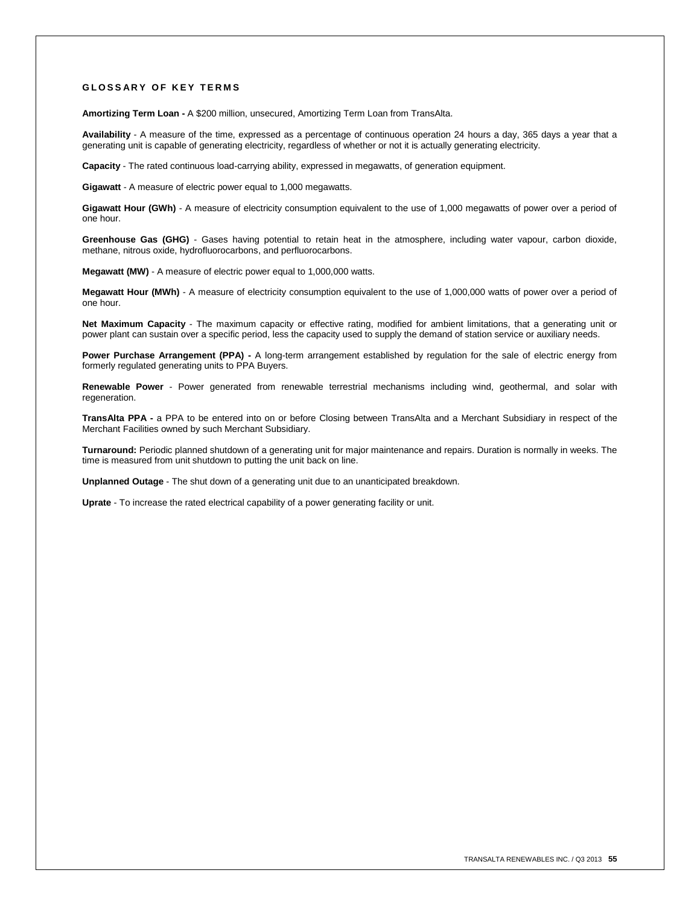#### **G L O S S A R Y O F K E Y T E R M S**

**Amortizing Term Loan -** A \$200 million, unsecured, Amortizing Term Loan from TransAlta.

**Availability** - A measure of the time, expressed as a percentage of continuous operation 24 hours a day, 365 days a year that a generating unit is capable of generating electricity, regardless of whether or not it is actually generating electricity.

**Capacity** - The rated continuous load-carrying ability, expressed in megawatts, of generation equipment.

**Gigawatt** - A measure of electric power equal to 1,000 megawatts.

**Gigawatt Hour (GWh)** - A measure of electricity consumption equivalent to the use of 1,000 megawatts of power over a period of one hour.

**Greenhouse Gas (GHG)** - Gases having potential to retain heat in the atmosphere, including water vapour, carbon dioxide, methane, nitrous oxide, hydrofluorocarbons, and perfluorocarbons.

**Megawatt (MW)** - A measure of electric power equal to 1,000,000 watts.

**Megawatt Hour (MWh)** - A measure of electricity consumption equivalent to the use of 1,000,000 watts of power over a period of one hour.

**Net Maximum Capacity** - The maximum capacity or effective rating, modified for ambient limitations, that a generating unit or power plant can sustain over a specific period, less the capacity used to supply the demand of station service or auxiliary needs.

**Power Purchase Arrangement (PPA) -** A long-term arrangement established by regulation for the sale of electric energy from formerly regulated generating units to PPA Buyers.

**Renewable Power** - Power generated from renewable terrestrial mechanisms including wind, geothermal, and solar with regeneration.

**TransAlta PPA -** a PPA to be entered into on or before Closing between TransAlta and a Merchant Subsidiary in respect of the Merchant Facilities owned by such Merchant Subsidiary.

**Turnaround:** Periodic planned shutdown of a generating unit for major maintenance and repairs. Duration is normally in weeks. The time is measured from unit shutdown to putting the unit back on line.

**Unplanned Outage** - The shut down of a generating unit due to an unanticipated breakdown.

**Uprate** - To increase the rated electrical capability of a power generating facility or unit.